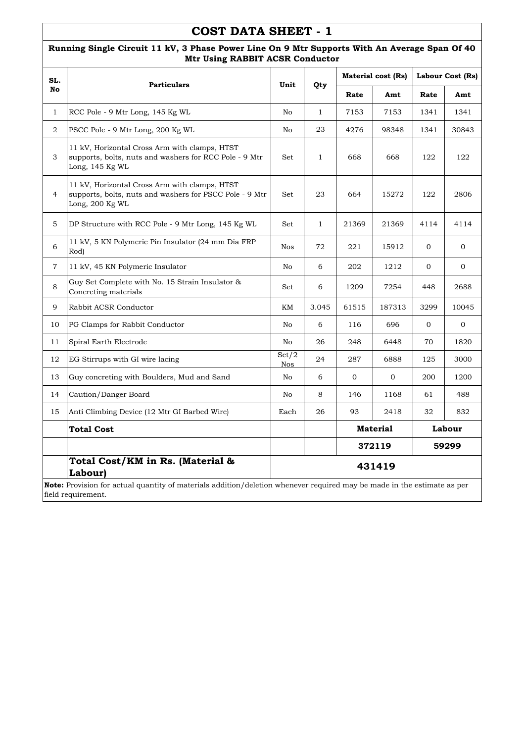#### **Running Single Circuit 11 kV, 3 Phase Power Line On 9 Mtr Supports With An Average Span Of 40 Mtr Using RABBIT ACSR Conductor**

| SL.            | <b>Particulars</b>                                                                                                          | Unit                | Qty          |                           | Material cost (Rs) |                | Labour Cost (Rs) |  |  |
|----------------|-----------------------------------------------------------------------------------------------------------------------------|---------------------|--------------|---------------------------|--------------------|----------------|------------------|--|--|
| No             |                                                                                                                             |                     |              | Rate                      | Amt                | Rate           | Amt              |  |  |
| $\mathbf{1}$   | RCC Pole - 9 Mtr Long, 145 Kg WL                                                                                            | No                  | $\mathbf{1}$ | 7153                      | 7153               | 1341           | 1341             |  |  |
| $\overline{2}$ | PSCC Pole - 9 Mtr Long, 200 Kg WL                                                                                           | No                  | 23           | 4276                      | 98348              | 1341           | 30843            |  |  |
| 3              | 11 kV, Horizontal Cross Arm with clamps, HTST<br>supports, bolts, nuts and washers for RCC Pole - 9 Mtr<br>Long, 145 Kg WL  | Set                 | $\mathbf{1}$ | 668                       | 668                | 122            | 122              |  |  |
| $\overline{4}$ | 11 kV, Horizontal Cross Arm with clamps, HTST<br>supports, bolts, nuts and washers for PSCC Pole - 9 Mtr<br>Long, 200 Kg WL | Set                 | 23           | 664                       | 15272              | 122            | 2806             |  |  |
| 5              | DP Structure with RCC Pole - 9 Mtr Long, 145 Kg WL                                                                          | Set                 | $\mathbf{1}$ | 21369                     | 21369              | 4114           | 4114             |  |  |
| 6              | 11 kV, 5 KN Polymeric Pin Insulator (24 mm Dia FRP<br>Rod)                                                                  | <b>Nos</b>          | 72           | 221                       | 15912              | $\overline{0}$ | $\mathbf{0}$     |  |  |
| $\overline{7}$ | 11 kV, 45 KN Polymeric Insulator                                                                                            | No                  | 6            | 202                       | 1212               | $\overline{0}$ | $\mathbf{0}$     |  |  |
| 8              | Guy Set Complete with No. 15 Strain Insulator &<br>Concreting materials                                                     | Set                 | 6            | 1209                      | 7254               | 448            | 2688             |  |  |
| 9              | Rabbit ACSR Conductor                                                                                                       | KM                  | 3.045        | 61515                     | 187313             | 3299           | 10045            |  |  |
| 10             | PG Clamps for Rabbit Conductor                                                                                              | No                  | 6            | 116                       | 696                | $\overline{0}$ | $\Omega$         |  |  |
| 11             | Spiral Earth Electrode                                                                                                      | No                  | 26           | 248                       | 6448               | 70             | 1820             |  |  |
| 12             | EG Stirrups with GI wire lacing                                                                                             | Set/2<br><b>Nos</b> | 24           | 287                       | 6888               | 125            | 3000             |  |  |
| 13             | Guy concreting with Boulders, Mud and Sand                                                                                  | No                  | 6            | $\mathbf{0}$              | $\mathbf{0}$       | 200            | 1200             |  |  |
| 14             | Caution/Danger Board                                                                                                        | No                  | 8            | 146                       | 1168               | 61             | 488              |  |  |
| 15             | Anti Climbing Device (12 Mtr GI Barbed Wire)                                                                                | Each                | 26           | 93                        | 2418               | 32             | 832              |  |  |
|                | <b>Total Cost</b>                                                                                                           |                     |              | <b>Material</b><br>Labour |                    |                |                  |  |  |
|                |                                                                                                                             |                     |              |                           | 372119             |                | 59299            |  |  |
|                | Total Cost/KM in Rs. (Material &<br>Labour)                                                                                 | 431419              |              |                           |                    |                |                  |  |  |
|                | Note: Provision for actual quantity of materials addition/deletion whenever required may be made in the estimate as per     |                     |              |                           |                    |                |                  |  |  |

field requirement.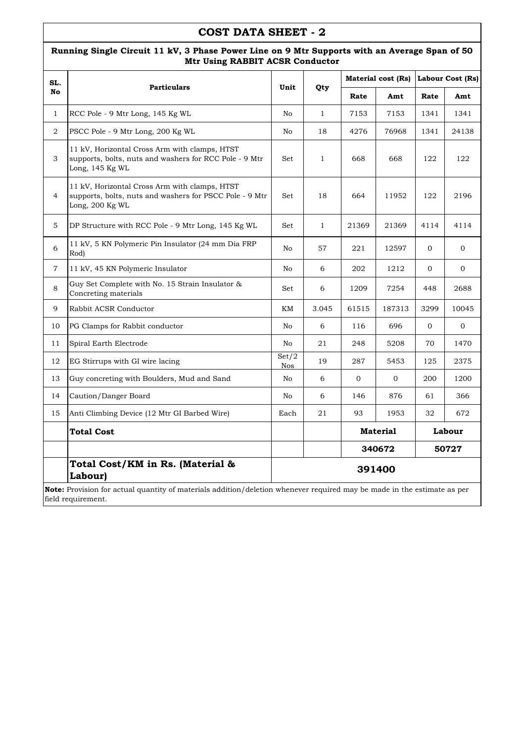#### **Running Single Circuit 11 kV, 3 Phase Power Line on 9 Mtr Supports with an Average Span of 50 Mtr Using RABBIT ACSR Conductor**

| SL.            | <b>Particulars</b>                                                                                                          | Unit                | Qty          |                 | <b>Material cost (Rs)</b> | Labour Cost (Rs) |              |  |  |
|----------------|-----------------------------------------------------------------------------------------------------------------------------|---------------------|--------------|-----------------|---------------------------|------------------|--------------|--|--|
| No             |                                                                                                                             |                     |              | Rate            | Amt                       | Rate             | Amt          |  |  |
| $\mathbf{1}$   | RCC Pole - 9 Mtr Long, 145 Kg WL                                                                                            | No                  | $\mathbf{1}$ | 7153            | 7153                      | 1341             | 1341         |  |  |
| 2              | PSCC Pole - 9 Mtr Long, 200 Kg WL                                                                                           | No                  | 18           | 4276            | 76968                     | 1341             | 24138        |  |  |
| 3              | 11 kV, Horizontal Cross Arm with clamps, HTST<br>supports, bolts, nuts and washers for RCC Pole - 9 Mtr<br>Long, 145 Kg WL  | Set                 | $\mathbf{1}$ | 668             | 668                       | 122              | 122          |  |  |
| $\overline{4}$ | 11 kV, Horizontal Cross Arm with clamps, HTST<br>supports, bolts, nuts and washers for PSCC Pole - 9 Mtr<br>Long, 200 Kg WL | Set                 | 18           | 664             | 11952                     | 122              | 2196         |  |  |
| 5              | DP Structure with RCC Pole - 9 Mtr Long, 145 Kg WL                                                                          | Set                 | $\mathbf{1}$ | 21369           | 21369                     | 4114             | 4114         |  |  |
| 6              | 11 kV, 5 KN Polymeric Pin Insulator (24 mm Dia FRP<br>Rod)                                                                  | No                  | 57           | 221             | 12597                     | $\mathbf{0}$     | $\Omega$     |  |  |
| $\overline{7}$ | 11 kV, 45 KN Polymeric Insulator                                                                                            | No                  | 6            | 202             | 1212                      | $\mathbf{0}$     | $\mathbf{0}$ |  |  |
| 8              | Guy Set Complete with No. 15 Strain Insulator &<br>Concreting materials                                                     | Set                 | 6            | 1209            | 7254                      | 448              | 2688         |  |  |
| 9              | Rabbit ACSR Conductor                                                                                                       | KM                  | 3.045        | 61515           | 187313                    | 3299             | 10045        |  |  |
| 10             | PG Clamps for Rabbit conductor                                                                                              | No                  | 6            | 116             | 696                       | $\Omega$         | $\mathbf{0}$ |  |  |
| 11             | Spiral Earth Electrode                                                                                                      | No                  | 21           | 248             | 5208                      | 70               | 1470         |  |  |
| 12             | EG Stirrups with GI wire lacing                                                                                             | Set/2<br><b>Nos</b> | 19           | 287             | 5453                      | 125              | 2375         |  |  |
| 13             | Guy concreting with Boulders, Mud and Sand                                                                                  | No                  | 6            | $\mathbf{0}$    | $\mathbf 0$               | 200              | 1200         |  |  |
| 14             | Caution/Danger Board                                                                                                        | No                  | 6            | 146             | 876                       | 61               | 366          |  |  |
| 15             | Anti Climbing Device (12 Mtr GI Barbed Wire)                                                                                | Each                | 21           | 93              | 1953                      | 32               | 672          |  |  |
|                | Total Cost                                                                                                                  |                     |              |                 | <b>Material</b>           | Labour           |              |  |  |
|                |                                                                                                                             |                     |              | 340672<br>50727 |                           |                  |              |  |  |
|                | Total Cost/KM in Rs. (Material &<br>Labour)                                                                                 |                     |              |                 | 391400                    |                  |              |  |  |
|                | Note: Provision for actual quantity of materials addition/deletion whenever required may be made in the estimate as per     |                     |              |                 |                           |                  |              |  |  |

field requirement.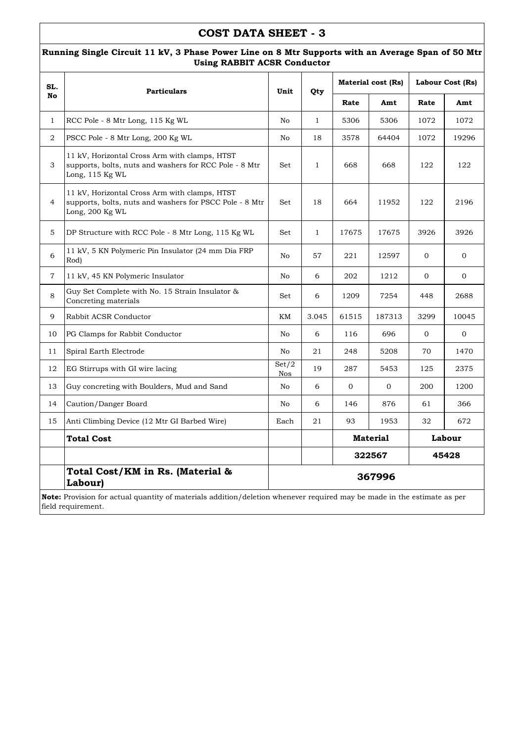#### **Running Single Circuit 11 kV, 3 Phase Power Line on 8 Mtr Supports with an Average Span of 50 Mtr Using RABBIT ACSR Conductor**

| SL.            | <b>Particulars</b>                                                                                                                                   | Unit                | Qty          |                 | <b>Material cost (Rs)</b> | Labour Cost (Rs) |                |  |
|----------------|------------------------------------------------------------------------------------------------------------------------------------------------------|---------------------|--------------|-----------------|---------------------------|------------------|----------------|--|
| No             |                                                                                                                                                      |                     |              | Rate            | Amt                       | Rate             | Amt            |  |
| $\mathbf{1}$   | RCC Pole - 8 Mtr Long, 115 Kg WL                                                                                                                     | No                  | $\mathbf{1}$ | 5306            | 5306                      | 1072             | 1072           |  |
| 2              | PSCC Pole - 8 Mtr Long, 200 Kg WL                                                                                                                    | No                  | 18           | 3578            | 64404                     | 1072             | 19296          |  |
| 3              | 11 kV, Horizontal Cross Arm with clamps, HTST<br>supports, bolts, nuts and washers for RCC Pole - 8 Mtr<br>Long, 115 Kg WL                           | Set                 | $\mathbf{1}$ | 668             | 668                       | 122              | 122            |  |
| $\overline{4}$ | 11 kV, Horizontal Cross Arm with clamps, HTST<br>supports, bolts, nuts and washers for PSCC Pole - 8 Mtr<br>Long, 200 Kg WL                          | Set                 | 18           | 664             | 11952                     | 122              | 2196           |  |
| 5              | DP Structure with RCC Pole - 8 Mtr Long, 115 Kg WL                                                                                                   | Set                 | $\mathbf{1}$ | 17675           | 17675                     | 3926             | 3926           |  |
| 6              | 11 kV, 5 KN Polymeric Pin Insulator (24 mm Dia FRP)<br>Rod)                                                                                          | No                  | 57           | 221             | 12597                     | $\mathbf{0}$     | $\overline{0}$ |  |
| $\overline{7}$ | 11 kV, 45 KN Polymeric Insulator                                                                                                                     | No                  | 6            | 202             | 1212                      | $\overline{0}$   | $\overline{0}$ |  |
| 8              | Guy Set Complete with No. 15 Strain Insulator &<br>Concreting materials                                                                              | Set                 | 6            | 1209            | 7254                      | 448              | 2688           |  |
| 9              | Rabbit ACSR Conductor                                                                                                                                | KM                  | 3.045        | 61515           | 187313                    | 3299             | 10045          |  |
| 10             | PG Clamps for Rabbit Conductor                                                                                                                       | No                  | 6            | 116             | 696                       | $\mathbf{0}$     | $\mathbf 0$    |  |
| 11             | Spiral Earth Electrode                                                                                                                               | No                  | 21           | 248             | 5208                      | 70               | 1470           |  |
| 12             | EG Stirrups with GI wire lacing                                                                                                                      | Set/2<br><b>Nos</b> | 19           | 287             | 5453                      | 125              | 2375           |  |
| 13             | Guy concreting with Boulders, Mud and Sand                                                                                                           | No                  | 6            | $\mathbf{0}$    | $\mathbf{0}$              | 200              | 1200           |  |
| 14             | Caution/Danger Board                                                                                                                                 | No                  | 6            | 146             | 876                       | 61               | 366            |  |
| 15             | Anti Climbing Device (12 Mtr GI Barbed Wire)                                                                                                         | Each                | 21           | 93              | 1953                      | 32               | 672            |  |
|                | <b>Total Cost</b>                                                                                                                                    |                     |              | <b>Material</b> |                           |                  | Labour         |  |
|                |                                                                                                                                                      |                     |              | 322567<br>45428 |                           |                  |                |  |
|                | Total Cost/KM in Rs. (Material &<br>Labour)                                                                                                          |                     |              |                 | 367996                    |                  |                |  |
|                | <b>Note:</b> Provision for actual quantity of materials addition/deletion whenever required may be made in the estimate as per<br>field requirement. |                     |              |                 |                           |                  |                |  |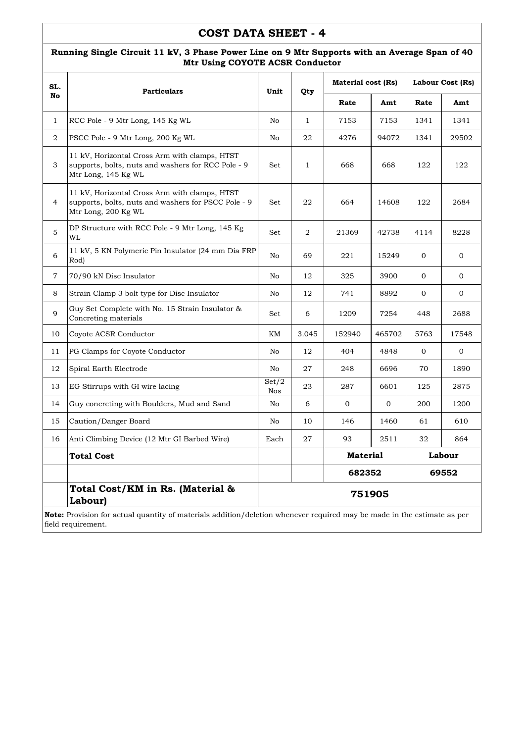#### **Running Single Circuit 11 kV, 3 Phase Power Line on 9 Mtr Supports with an Average Span of 40 Mtr Using COYOTE ACSR Conductor**

| SL.            | <b>Particulars</b>                                                                                                             | Unit                | Qty          | <b>Material cost (Rs)</b> |                |                | Labour Cost (Rs) |  |
|----------------|--------------------------------------------------------------------------------------------------------------------------------|---------------------|--------------|---------------------------|----------------|----------------|------------------|--|
| No             |                                                                                                                                |                     |              | Rate                      | Amt            | Rate           | Amt              |  |
| $\mathbf{1}$   | RCC Pole - 9 Mtr Long, 145 Kg WL                                                                                               | No                  | $\mathbf{1}$ | 7153                      | 7153           | 1341           | 1341             |  |
| $\overline{2}$ | PSCC Pole - 9 Mtr Long, 200 Kg WL                                                                                              | No                  | 22           | 4276                      | 94072          | 1341           | 29502            |  |
| 3              | 11 kV, Horizontal Cross Arm with clamps, HTST<br>supports, bolts, nuts and washers for RCC Pole - 9<br>Mtr Long, 145 Kg WL     | Set                 | $\mathbf{1}$ | 668                       | 668            | 122            | 122              |  |
| 4              | 11 kV, Horizontal Cross Arm with clamps, HTST<br>supports, bolts, nuts and washers for PSCC Pole - 9<br>Mtr Long, 200 Kg WL    | Set                 | 22           | 664                       | 14608          | 122            | 2684             |  |
| 5              | DP Structure with RCC Pole - 9 Mtr Long, 145 Kg<br>WL                                                                          | Set                 | 2            | 21369                     | 42738          | 4114           | 8228             |  |
| 6              | 11 kV, 5 KN Polymeric Pin Insulator (24 mm Dia FRP)<br>Rod)                                                                    | No                  | 69           | 221                       | 15249          | $\overline{0}$ | $\mathbf{0}$     |  |
| $\overline{7}$ | 70/90 kN Disc Insulator                                                                                                        | No                  | 12           | 325                       | 3900           | $\Omega$       | $\Omega$         |  |
| 8              | Strain Clamp 3 bolt type for Disc Insulator                                                                                    | No                  | 12           | 741                       | 8892           | $\overline{0}$ | $\mathbf{0}$     |  |
| 9              | Guy Set Complete with No. 15 Strain Insulator &<br>Concreting materials                                                        | Set                 | 6            | 1209                      | 7254           | 448            | 2688             |  |
| 10             | Coyote ACSR Conductor                                                                                                          | KM                  | 3.045        | 152940                    | 465702         | 5763           | 17548            |  |
| 11             | PG Clamps for Coyote Conductor                                                                                                 | No                  | 12           | 404                       | 4848           | $\overline{0}$ | $\mathbf{0}$     |  |
| 12             | Spiral Earth Electrode                                                                                                         | No                  | 27           | 248                       | 6696           | 70             | 1890             |  |
| 13             | EG Stirrups with GI wire lacing                                                                                                | Set/2<br><b>Nos</b> | 23           | 287                       | 6601           | 125            | 2875             |  |
| 14             | Guy concreting with Boulders, Mud and Sand                                                                                     | No                  | 6            | $\mathbf{0}$              | $\overline{0}$ | 200            | 1200             |  |
| 15             | Caution/Danger Board                                                                                                           | No                  | 10           | 146                       | 1460           | 61             | 610              |  |
| 16             | Anti Climbing Device (12 Mtr GI Barbed Wire)                                                                                   | Each                | 27           | 93                        | 2511           | 32             | 864              |  |
|                | <b>Total Cost</b>                                                                                                              |                     |              | <b>Material</b><br>Labour |                |                |                  |  |
|                |                                                                                                                                |                     |              | 682352                    |                |                | 69552            |  |
|                | Total Cost/KM in Rs. (Material &<br>Labour)                                                                                    |                     |              | 751905                    |                |                |                  |  |
|                | <b>Note:</b> Provision for actual quantity of materials addition/deletion whenever required may be made in the estimate as per |                     |              |                           |                |                |                  |  |

field requirement.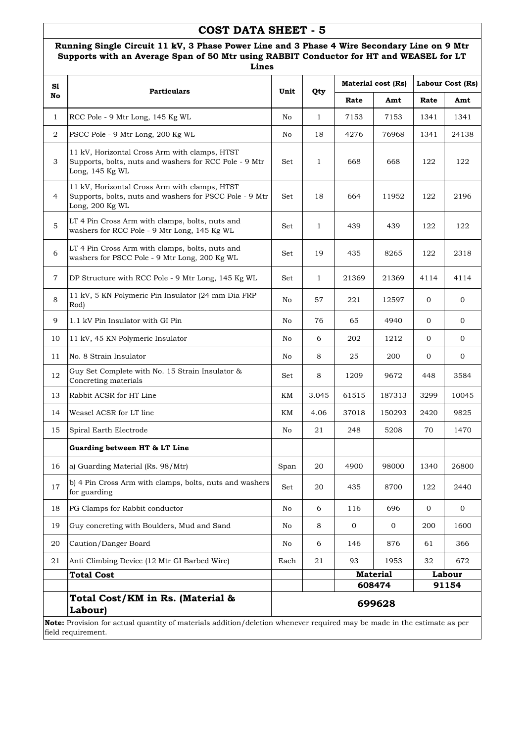#### **Running Single Circuit 11 kV, 3 Phase Power Line and 3 Phase 4 Wire Secondary Line on 9 Mtr Supports with an Average Span of 50 Mtr using RABBIT Conductor for HT and WEASEL for LT Lines**

| S1             |                                                                                                                                               |      |              |       | <b>Material cost (Rs)</b> |                | Labour Cost (Rs) |
|----------------|-----------------------------------------------------------------------------------------------------------------------------------------------|------|--------------|-------|---------------------------|----------------|------------------|
| No             | <b>Particulars</b>                                                                                                                            | Unit | Qty          | Rate  | Amt                       | Rate           | Amt              |
| $\mathbf{1}$   | RCC Pole - 9 Mtr Long, 145 Kg WL                                                                                                              | No   | $\mathbf{1}$ | 7153  | 7153                      | 1341           | 1341             |
| 2              | PSCC Pole - 9 Mtr Long, 200 Kg WL                                                                                                             | No   | 18           | 4276  | 76968                     | 1341           | 24138            |
| 3              | 11 kV, Horizontal Cross Arm with clamps, HTST<br>Supports, bolts, nuts and washers for RCC Pole - 9 Mtr<br>Long, 145 Kg WL                    | Set  | $\mathbf{1}$ | 668   | 668                       | 122            | 122              |
| 4              | 11 kV, Horizontal Cross Arm with clamps, HTST<br>Supports, bolts, nuts and washers for PSCC Pole - 9 Mtr<br>Long, 200 Kg WL                   | Set  | 18           | 664   | 11952                     | 122            | 2196             |
| $\mathbf 5$    | LT 4 Pin Cross Arm with clamps, bolts, nuts and<br>washers for RCC Pole - 9 Mtr Long, 145 Kg WL                                               | Set  | $\mathbf{1}$ | 439   | 439                       | 122            | 122              |
| 6              | LT 4 Pin Cross Arm with clamps, bolts, nuts and<br>washers for PSCC Pole - 9 Mtr Long, 200 Kg WL                                              | Set  | 19           | 435   | 8265                      | 122            | 2318             |
| $\overline{7}$ | DP Structure with RCC Pole - 9 Mtr Long, 145 Kg WL                                                                                            | Set  | $\mathbf{1}$ | 21369 | 21369                     | 4114           | 4114             |
| 8              | 11 kV, 5 KN Polymeric Pin Insulator (24 mm Dia FRP<br>Rod)                                                                                    | No   | 57           | 221   | 12597                     | $\mathbf{0}$   | $\mathbf{0}$     |
| 9              | 1.1 kV Pin Insulator with GI Pin                                                                                                              | No   | 76           | 65    | 4940                      | 0              | $\mathbf{0}$     |
| 10             | 11 kV, 45 KN Polymeric Insulator                                                                                                              | No   | 6            | 202   | 1212                      | $\overline{0}$ | $\mathbf 0$      |
| 11             | No. 8 Strain Insulator                                                                                                                        | No   | 8            | 25    | 200                       | $\mathbf{0}$   | $\mathbf{0}$     |
| 12             | Guy Set Complete with No. 15 Strain Insulator &<br>Concreting materials                                                                       | Set  | 8            | 1209  | 9672                      | 448            | 3584             |
| 13             | Rabbit ACSR for HT Line                                                                                                                       | KМ   | 3.045        | 61515 | 187313                    | 3299           | 10045            |
| 14             | Weasel ACSR for LT line                                                                                                                       | KМ   | 4.06         | 37018 | 150293                    | 2420           | 9825             |
| 15             | Spiral Earth Electrode                                                                                                                        | No   | 21           | 248   | 5208                      | 70             | 1470             |
|                | Guarding between HT & LT Line                                                                                                                 |      |              |       |                           |                |                  |
| 16             | a) Guarding Material (Rs. 98/Mtr)                                                                                                             | Span | $20\,$       | 4900  | 98000                     | 1340           | 26800            |
| 17             | b) 4 Pin Cross Arm with clamps, bolts, nuts and washers<br>for guarding                                                                       | Set  | 20           | 435   | 8700                      | 122            | 2440             |
| 18             | PG Clamps for Rabbit conductor                                                                                                                | No   | 6            | 116   | 696                       | $\mathbf 0$    | $\mathbf{0}$     |
| 19             | Guy concreting with Boulders, Mud and Sand                                                                                                    | No   | 8            | 0     | $\overline{0}$            | 200            | 1600             |
| 20             | Caution/Danger Board                                                                                                                          | No   | 6            | 146   | 876                       | 61             | 366              |
| 21             | Anti Climbing Device (12 Mtr GI Barbed Wire)                                                                                                  | Each | 21           | 93    | 1953                      | 32             | 672              |
|                | <b>Total Cost</b>                                                                                                                             |      |              |       | <b>Material</b>           |                | Labour           |
|                |                                                                                                                                               |      |              |       | 608474                    |                | 91154            |
|                | Total Cost/KM in Rs. (Material &<br>Labour)                                                                                                   |      |              |       | 699628                    |                |                  |
|                | Note: Provision for actual quantity of materials addition/deletion whenever required may be made in the estimate as per<br>field requirement. |      |              |       |                           |                |                  |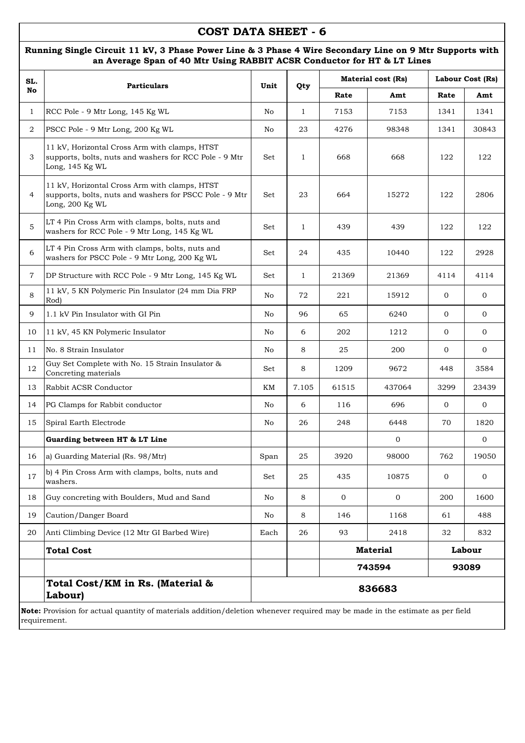### **Running Single Circuit 11 kV, 3 Phase Power Line & 3 Phase 4 Wire Secondary Line on 9 Mtr Supports with an Average Span of 40 Mtr Using RABBIT ACSR Conductor for HT & LT Lines**

| SL.            | <b>Particulars</b>                                                                                                          | Unit | Qty          |             | Material cost (Rs) |                | Labour Cost (Rs) |
|----------------|-----------------------------------------------------------------------------------------------------------------------------|------|--------------|-------------|--------------------|----------------|------------------|
| No             |                                                                                                                             |      |              | Rate        | Amt                | Rate           | Amt              |
| $\mathbf{1}$   | RCC Pole - 9 Mtr Long, 145 Kg WL                                                                                            | No   | $\mathbf{1}$ | 7153        | 7153               | 1341           | 1341             |
| 2              | PSCC Pole - 9 Mtr Long, 200 Kg WL                                                                                           | No   | 23           | 4276        | 98348              | 1341           | 30843            |
| 3              | 11 kV, Horizontal Cross Arm with clamps, HTST<br>supports, bolts, nuts and washers for RCC Pole - 9 Mtr<br>Long, 145 Kg WL  | Set  | $\mathbf{1}$ | 668         | 668                | 122            | 122              |
| $\overline{4}$ | 11 kV, Horizontal Cross Arm with clamps, HTST<br>supports, bolts, nuts and washers for PSCC Pole - 9 Mtr<br>Long, 200 Kg WL | Set  | 23           | 664         | 15272              | 122            | 2806             |
| 5              | LT 4 Pin Cross Arm with clamps, bolts, nuts and<br>washers for RCC Pole - 9 Mtr Long, 145 Kg WL                             | Set  | $\mathbf{1}$ | 439         | 439                | 122            | 122              |
| 6              | LT 4 Pin Cross Arm with clamps, bolts, nuts and<br>washers for PSCC Pole - 9 Mtr Long, 200 Kg WL                            | Set  | 24           | 435         | 10440              | 122            | 2928             |
| 7              | DP Structure with RCC Pole - 9 Mtr Long, 145 Kg WL                                                                          | Set  | $\mathbf{1}$ | 21369       | 21369              | 4114           | 4114             |
| 8              | 11 kV, 5 KN Polymeric Pin Insulator (24 mm Dia FRP<br>Rod)                                                                  | No   | 72           | 221         | 15912              | $\mathbf{0}$   | $\mathbf{0}$     |
| 9              | 1.1 kV Pin Insulator with GI Pin                                                                                            | No   | 96           | 65          | 6240               | $\mathbf{0}$   | $\mathbf{0}$     |
| 10             | 11 kV, 45 KN Polymeric Insulator                                                                                            | No   | 6            | 202         | 1212               | $\mathbf{0}$   | 0                |
| 11             | No. 8 Strain Insulator                                                                                                      | No   | 8            | 25          | 200                | $\overline{0}$ | 0                |
| 12             | Guy Set Complete with No. 15 Strain Insulator &<br>Concreting materials                                                     | Set  | 8            | 1209        | 9672               | 448            | 3584             |
| 13             | Rabbit ACSR Conductor                                                                                                       | KΜ   | 7.105        | 61515       | 437064             | 3299           | 23439            |
| 14             | PG Clamps for Rabbit conductor                                                                                              | No   | 6            | 116         | 696                | $\mathbf{0}$   | $\mathbf{0}$     |
| 15             | Spiral Earth Electrode                                                                                                      | No   | 26           | 248         | 6448               | 70             | 1820             |
|                | Guarding between HT & LT Line                                                                                               |      |              |             | $\mathbf{0}$       |                | $\mathbf{0}$     |
| 16             | a) Guarding Material (Rs. 98/Mtr)                                                                                           | Span | 25           | 3920        | 98000              | 762            | 19050            |
| 17             | b) 4 Pin Cross Arm with clamps, bolts, nuts and<br>washers.                                                                 | Set  | 25           | 435         | 10875              | $\mathbf{0}$   | 0                |
| 18             | Guy concreting with Boulders, Mud and Sand                                                                                  | No   | 8            | $\mathbf 0$ | $\mathbf{0}$       | 200            | 1600             |
| 19             | Caution/Danger Board                                                                                                        | No   | 8            | 146         | 1168               | 61             | 488              |
| 20             | Anti Climbing Device (12 Mtr GI Barbed Wire)                                                                                | Each | 26           | 93          | 2418               | 32             | 832              |
|                | <b>Total Cost</b>                                                                                                           |      |              |             | <b>Material</b>    |                | Labour           |
|                |                                                                                                                             |      |              |             | 743594             |                | 93089            |
|                | Total Cost/KM in Rs. (Material &<br>Labour)                                                                                 |      |              |             | 836683             |                |                  |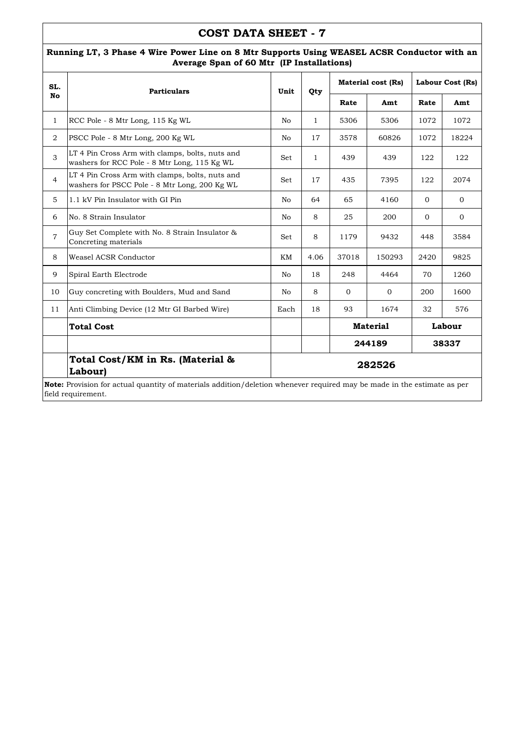#### **Running LT, 3 Phase 4 Wire Power Line on 8 Mtr Supports Using WEASEL ACSR Conductor with an Average Span of 60 Mtr (IP Installations)**

| SL.            | <b>Particulars</b>                                                                                                             | Unit | Qty          |                 | <b>Material cost (Rs)</b> | Labour Cost (Rs) |              |
|----------------|--------------------------------------------------------------------------------------------------------------------------------|------|--------------|-----------------|---------------------------|------------------|--------------|
| No             |                                                                                                                                |      |              | Rate            | Amt                       | Rate             | Amt          |
| $\mathbf{1}$   | RCC Pole - 8 Mtr Long, 115 Kg WL                                                                                               | No   | $\mathbf{1}$ | 5306            | 5306                      | 1072             | 1072         |
| $\overline{2}$ | PSCC Pole - 8 Mtr Long, 200 Kg WL                                                                                              | No   | 17           | 3578            | 60826                     | 1072             | 18224        |
| 3              | LT 4 Pin Cross Arm with clamps, bolts, nuts and<br>washers for RCC Pole - 8 Mtr Long, 115 Kg WL                                | Set  | $\mathbf{1}$ | 439             | 439                       | 122              | 122          |
| $\overline{4}$ | LT 4 Pin Cross Arm with clamps, bolts, nuts and<br>washers for PSCC Pole - 8 Mtr Long, 200 Kg WL                               | Set  | 17           | 435             | 7395                      | 122              | 2074         |
| 5              | 1.1 kV Pin Insulator with GI Pin                                                                                               | No   | 64           | 65              | 4160                      | $\Omega$         | $\Omega$     |
| 6              | No. 8 Strain Insulator                                                                                                         | No   | 8            | 25              | 200                       | $\mathbf{0}$     | $\mathbf{0}$ |
| $\overline{7}$ | Guy Set Complete with No. 8 Strain Insulator &<br>Concreting materials                                                         | Set  | 8            | 1179            | 9432                      | 448              | 3584         |
| 8              | Weasel ACSR Conductor                                                                                                          | KΜ   | 4.06         | 37018           | 150293                    | 2420             | 9825         |
| 9              | Spiral Earth Electrode                                                                                                         | No   | 18           | 248             | 4464                      | 70               | 1260         |
| 10             | Guy concreting with Boulders, Mud and Sand                                                                                     | No   | 8            | $\mathbf{0}$    | $\mathbf{0}$              | 200              | 1600         |
| 11             | Anti Climbing Device (12 Mtr GI Barbed Wire)                                                                                   | Each | 18           | 93              | 1674                      | 32               | 576          |
|                | <b>Total Cost</b>                                                                                                              |      |              |                 | <b>Material</b>           |                  | Labour       |
|                |                                                                                                                                |      |              | 244189<br>38337 |                           |                  |              |
|                | Total Cost/KM in Rs. (Material &<br>Labour)                                                                                    |      |              |                 | 282526                    |                  |              |
|                | <b>Note:</b> Provision for actual quantity of materials addition/deletion whenever required may be made in the estimate as per |      |              |                 |                           |                  |              |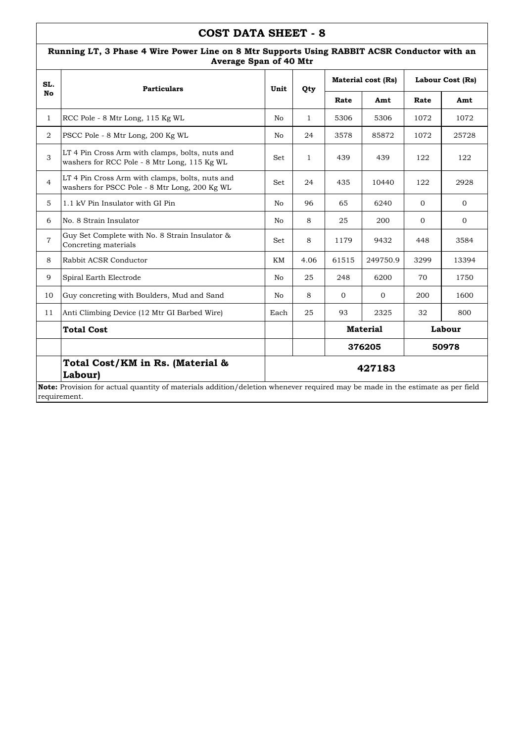| SL.            | <b>Particulars</b>                                                                               | Unit | Qty          |                 | <b>Material cost (Rs)</b> | Labour Cost (Rs) |              |
|----------------|--------------------------------------------------------------------------------------------------|------|--------------|-----------------|---------------------------|------------------|--------------|
| No             |                                                                                                  |      |              | Rate            | Amt                       | Rate             | Amt          |
| $\mathbf{1}$   | RCC Pole - 8 Mtr Long, 115 Kg WL                                                                 | No   | $\mathbf{1}$ | 5306            | 5306                      | 1072             | 1072         |
| $\overline{2}$ | PSCC Pole - 8 Mtr Long, 200 Kg WL                                                                | No   | 24           | 3578            | 85872                     | 1072             | 25728        |
| 3              | LT 4 Pin Cross Arm with clamps, bolts, nuts and<br>washers for RCC Pole - 8 Mtr Long, 115 Kg WL  | Set  | $\mathbf{1}$ | 439             | 439                       | 122              | 122          |
| $\overline{4}$ | LT 4 Pin Cross Arm with clamps, bolts, nuts and<br>washers for PSCC Pole - 8 Mtr Long, 200 Kg WL | Set  | 24           | 435             | 10440                     | 122              | 2928         |
| 5              | 1.1 kV Pin Insulator with GI Pin                                                                 | No   | 96           | 65              | 6240                      | $\mathbf{0}$     | $\mathbf{0}$ |
| 6              | No. 8 Strain Insulator                                                                           | No   | 8            | 25              | 200                       | $\overline{0}$   | $\mathbf{0}$ |
| $\overline{7}$ | Guy Set Complete with No. 8 Strain Insulator &<br>Concreting materials                           | Set  | 8            | 1179            | 9432                      | 448              | 3584         |
| 8              | Rabbit ACSR Conductor                                                                            | KM   | 4.06         | 61515           | 249750.9                  | 3299             | 13394        |
| 9              | Spiral Earth Electrode                                                                           | No   | 25           | 248             | 6200                      | 70               | 1750         |
| 10             | Guy concreting with Boulders, Mud and Sand                                                       | No   | 8            | $\mathbf{0}$    | $\mathbf{0}$              | 200              | 1600         |
| 11             | Anti Climbing Device (12 Mtr GI Barbed Wire)                                                     | Each | 25           | 93              | 2325                      | 32               | 800          |
|                | <b>Total Cost</b>                                                                                |      |              | <b>Material</b> | Labour                    |                  |              |
|                |                                                                                                  |      |              |                 | 376205                    |                  | 50978        |
|                | Total Cost/KM in Rs. (Material &<br>Labour)                                                      |      |              |                 | 427183                    |                  |              |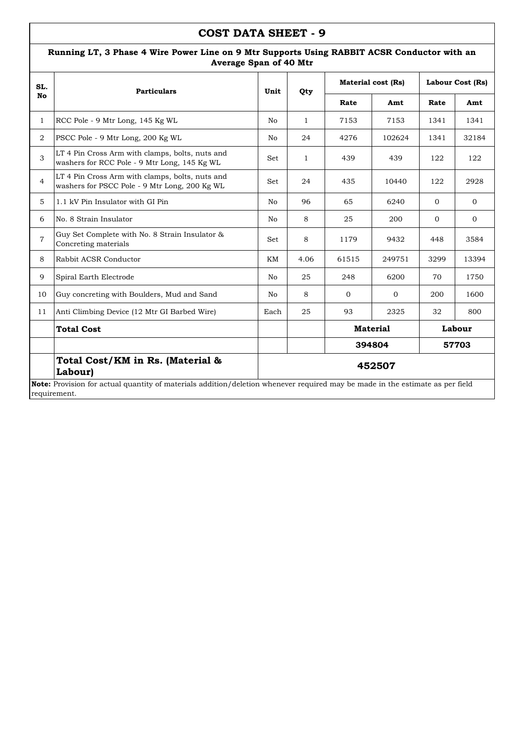| SL.            | <b>Particulars</b>                                                                               | Unit | Qty             |          | <b>Material cost (Rs)</b> | Labour Cost (Rs) |              |  |
|----------------|--------------------------------------------------------------------------------------------------|------|-----------------|----------|---------------------------|------------------|--------------|--|
| No             |                                                                                                  |      |                 | Rate     | Amt                       | Rate             | Amt          |  |
| $\mathbf{1}$   | RCC Pole - 9 Mtr Long, 145 Kg WL                                                                 | No   | $\mathbf{1}$    | 7153     | 7153                      | 1341             | 1341         |  |
| $\overline{2}$ | PSCC Pole - 9 Mtr Long, 200 Kg WL                                                                | No   | 24              | 4276     | 102624                    | 1341             | 32184        |  |
| 3              | LT 4 Pin Cross Arm with clamps, bolts, nuts and<br>washers for RCC Pole - 9 Mtr Long, 145 Kg WL  | Set  | $\mathbf{1}$    | 439      | 439                       | 122              | 122          |  |
| $\overline{4}$ | LT 4 Pin Cross Arm with clamps, bolts, nuts and<br>washers for PSCC Pole - 9 Mtr Long, 200 Kg WL | Set  | 24              | 435      | 10440                     | 122              | 2928         |  |
| 5              | 1.1 kV Pin Insulator with GI Pin                                                                 | No   | 96              | 65       | 6240                      | $\mathbf{0}$     | $\mathbf{0}$ |  |
| 6              | No. 8 Strain Insulator                                                                           | No.  | 8               | 25       | 200                       | $\Omega$         | $\Omega$     |  |
| $\overline{7}$ | Guy Set Complete with No. 8 Strain Insulator &<br>Concreting materials                           | Set  | 8               | 1179     | 9432                      | 448              | 3584         |  |
| 8              | Rabbit ACSR Conductor                                                                            | KМ   | 4.06            | 61515    | 249751                    | 3299             | 13394        |  |
| 9              | Spiral Earth Electrode                                                                           | No   | 25              | 248      | 6200                      | 70               | 1750         |  |
| 10             | Guy concreting with Boulders, Mud and Sand                                                       | No   | 8               | $\Omega$ | $\Omega$                  | 200              | 1600         |  |
| 11             | Anti Climbing Device (12 Mtr GI Barbed Wire)                                                     | Each | 25              | 93       | 2325                      | 32               | 800          |  |
|                | <b>Total Cost</b>                                                                                |      | <b>Material</b> |          |                           |                  | Labour       |  |
|                |                                                                                                  |      | 394804<br>57703 |          |                           |                  |              |  |
|                | Total Cost/KM in Rs. (Material &<br>Labour)                                                      |      |                 |          | 452507                    |                  |              |  |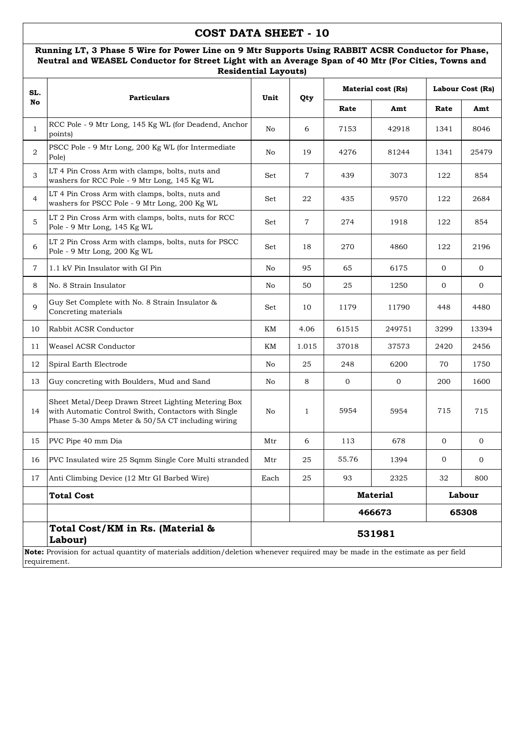### **Running LT, 3 Phase 5 Wire for Power Line on 9 Mtr Supports Using RABBIT ACSR Conductor for Phase, Neutral and WEASEL Conductor for Street Light with an Average Span of 40 Mtr (For Cities, Towns and Residential Layouts)**

| SL.            | <b>Particulars</b>                                                                                                                                               | Unit | Qty             |                           | <b>Material cost (Rs)</b> | Labour Cost (Rs) |                |  |
|----------------|------------------------------------------------------------------------------------------------------------------------------------------------------------------|------|-----------------|---------------------------|---------------------------|------------------|----------------|--|
| No             |                                                                                                                                                                  |      |                 | Rate                      | Amt                       | Rate             | Amt            |  |
| $\mathbf{1}$   | RCC Pole - 9 Mtr Long, 145 Kg WL (for Deadend, Anchor<br>points)                                                                                                 | No   | 6               | 7153                      | 42918                     | 1341             | 8046           |  |
| $\overline{2}$ | PSCC Pole - 9 Mtr Long, 200 Kg WL (for Intermediate<br>Pole)                                                                                                     | No   | 19              | 4276                      | 81244                     | 1341             | 25479          |  |
| 3              | LT 4 Pin Cross Arm with clamps, bolts, nuts and<br>washers for RCC Pole - 9 Mtr Long, 145 Kg WL                                                                  | Set  | 7               | 439                       | 3073                      | 122              | 854            |  |
| $\overline{4}$ | LT 4 Pin Cross Arm with clamps, bolts, nuts and<br>washers for PSCC Pole - 9 Mtr Long, 200 Kg WL                                                                 | Set  | 22              | 435                       | 9570                      | 122              | 2684           |  |
| 5              | LT 2 Pin Cross Arm with clamps, bolts, nuts for RCC<br>Pole - 9 Mtr Long, 145 Kg WL                                                                              | Set  | 7               | 274                       | 1918                      | 122              | 854            |  |
| 6              | LT 2 Pin Cross Arm with clamps, bolts, nuts for PSCC<br>Pole - 9 Mtr Long, 200 Kg WL                                                                             | Set  | 18              | 270                       | 4860                      | 122              | 2196           |  |
| $\overline{7}$ | 1.1 kV Pin Insulator with GI Pin                                                                                                                                 | No   | 95              | 65                        | 6175                      | $\mathbf{0}$     | $\mathbf{0}$   |  |
| 8              | No. 8 Strain Insulator                                                                                                                                           | No   | 50              | 25                        | 1250                      | $\mathbf{0}$     | $\overline{0}$ |  |
| 9              | Guy Set Complete with No. 8 Strain Insulator &<br>Concreting materials                                                                                           | Set  | 10              | 1179                      | 11790                     | 448              | 4480           |  |
| 10             | Rabbit ACSR Conductor                                                                                                                                            | KΜ   | 4.06            | 61515                     | 249751                    | 3299             | 13394          |  |
| 11             | Weasel ACSR Conductor                                                                                                                                            | KΜ   | 1.015           | 37018                     | 37573                     | 2420             | 2456           |  |
| 12             | Spiral Earth Electrode                                                                                                                                           | No   | 25              | 248                       | 6200                      | 70               | 1750           |  |
| 13             | Guy concreting with Boulders, Mud and Sand                                                                                                                       | No   | 8               | $\mathbf{0}$              | 0                         | 200              | 1600           |  |
| 14             | Sheet Metal/Deep Drawn Street Lighting Metering Box<br>with Automatic Control Swith, Contactors with Single<br>Phase 5-30 Amps Meter & 50/5A CT including wiring | No   | $\mathbf{1}$    | 5954                      | 5954                      | 715              | 715            |  |
| 15             | PVC Pipe 40 mm Dia                                                                                                                                               | Mtr  | 6               | 113                       | 678                       | $\overline{0}$   | $\mathbf{0}$   |  |
| 16             | PVC Insulated wire 25 Sqmm Single Core Multi stranded                                                                                                            | Mtr  | 25              | 55.76                     | 1394                      | 0                | $\mathbf 0$    |  |
| 17             | Anti Climbing Device (12 Mtr GI Barbed Wire)                                                                                                                     | Each | 25              | 93                        | 2325                      | 32               | 800            |  |
|                | <b>Total Cost</b>                                                                                                                                                |      |                 | <b>Material</b><br>Labour |                           |                  |                |  |
|                |                                                                                                                                                                  |      | 466673<br>65308 |                           |                           |                  |                |  |
|                | Total Cost/KM in Rs. (Material &<br>Labour)                                                                                                                      |      |                 |                           | 531981                    |                  |                |  |
| requirement.   | Note: Provision for actual quantity of materials addition/deletion whenever required may be made in the estimate as per field                                    |      |                 |                           |                           |                  |                |  |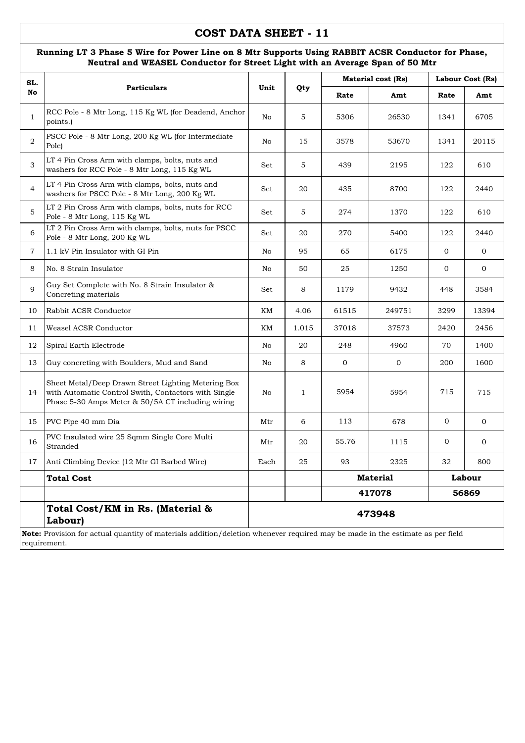#### **Running LT 3 Phase 5 Wire for Power Line on 8 Mtr Supports Using RABBIT ACSR Conductor for Phase, Neutral and WEASEL Conductor for Street Light with an Average Span of 50 Mtr**

| SL.            |                                                                                                                                                                  |                 |              |              | Material cost (Rs) | Labour Cost (Rs) |              |  |  |
|----------------|------------------------------------------------------------------------------------------------------------------------------------------------------------------|-----------------|--------------|--------------|--------------------|------------------|--------------|--|--|
| No             | <b>Particulars</b>                                                                                                                                               | Unit            | Qty          | Rate         | Amt                | Rate             | Amt          |  |  |
| $\mathbf{1}$   | RCC Pole - 8 Mtr Long, 115 Kg WL (for Deadend, Anchor<br>points.)                                                                                                | No              | 5            | 5306         | 26530              | 1341             | 6705         |  |  |
| 2              | PSCC Pole - 8 Mtr Long, 200 Kg WL (for Intermediate<br>Pole)                                                                                                     | No              | 15           | 3578         | 53670              | 1341             | 20115        |  |  |
| 3              | LT 4 Pin Cross Arm with clamps, bolts, nuts and<br>washers for RCC Pole - 8 Mtr Long, 115 Kg WL                                                                  | Set             | 5            | 439          | 2195               | 122              | 610          |  |  |
| $\overline{4}$ | LT 4 Pin Cross Arm with clamps, bolts, nuts and<br>washers for PSCC Pole - 8 Mtr Long, 200 Kg WL                                                                 | Set             | 20           | 435          | 8700               | 122              | 2440         |  |  |
| 5              | LT 2 Pin Cross Arm with clamps, bolts, nuts for RCC<br>Pole - 8 Mtr Long, 115 Kg WL                                                                              | Set             | 5            | 274          | 1370               | 122              | 610          |  |  |
| 6              | LT 2 Pin Cross Arm with clamps, bolts, nuts for PSCC<br>Pole - 8 Mtr Long, 200 Kg WL                                                                             | Set             | 20           | 270          | 5400               | 122              | 2440         |  |  |
| $\overline{7}$ | 1.1 kV Pin Insulator with GI Pin                                                                                                                                 | No              | 95           | 65           | 6175               | $\mathbf{0}$     | $\mathbf 0$  |  |  |
| 8              | No. 8 Strain Insulator                                                                                                                                           | No              | 50           | 25           | 1250               | $\overline{0}$   | $\mathbf 0$  |  |  |
| 9              | Guy Set Complete with No. 8 Strain Insulator &<br>Concreting materials                                                                                           | Set             | 8            | 1179         | 9432               | 448              | 3584         |  |  |
| 10             | Rabbit ACSR Conductor                                                                                                                                            | KM              | 4.06         | 61515        | 249751             | 3299             | 13394        |  |  |
| 11             | Weasel ACSR Conductor                                                                                                                                            | KM              | 1.015        | 37018        | 37573              | 2420             | 2456         |  |  |
| 12             | Spiral Earth Electrode                                                                                                                                           | No              | 20           | 248          | 4960               | 70               | 1400         |  |  |
| 13             | Guy concreting with Boulders, Mud and Sand                                                                                                                       | No              | 8            | $\mathbf{0}$ | $\mathbf 0$        | 200              | 1600         |  |  |
| 14             | Sheet Metal/Deep Drawn Street Lighting Metering Box<br>with Automatic Control Swith, Contactors with Single<br>Phase 5-30 Amps Meter & 50/5A CT including wiring | No              | $\mathbf{1}$ | 5954         | 5954               | 715              | 715          |  |  |
| 15             | PVC Pipe 40 mm Dia                                                                                                                                               | Mtr             | 6            | 113          | 678                | $\mathbf{0}$     | $\mathbf{0}$ |  |  |
| 16             | PVC Insulated wire 25 Sqmm Single Core Multi<br>Stranded                                                                                                         | Mtr             | 20           | 55.76        | 1115               | $\overline{0}$   | $\mathbf{0}$ |  |  |
| 17             | Anti Climbing Device (12 Mtr GI Barbed Wire)                                                                                                                     | Each            | 25           | 93           | 2325               | 32               | 800          |  |  |
|                | <b>Total Cost</b>                                                                                                                                                |                 |              |              | <b>Material</b>    |                  | Labour       |  |  |
|                |                                                                                                                                                                  | 417078<br>56869 |              |              |                    |                  |              |  |  |
|                | Total Cost/KM in Rs. (Material &<br>Labour)                                                                                                                      |                 |              |              | 473948             |                  |              |  |  |
|                | Note: Provision for actual quantity of materials addition/deletion whenever required may be made in the estimate as per field<br>requirement.                    |                 |              |              |                    |                  |              |  |  |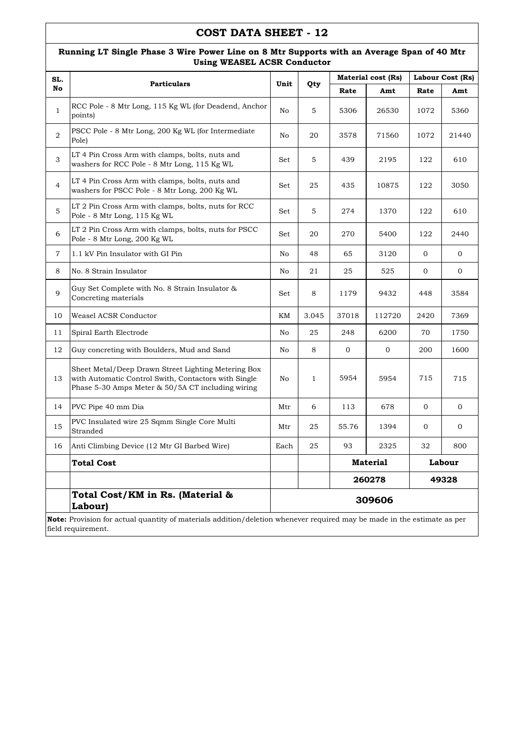**Running LT Single Phase 3 Wire Power Line on 8 Mtr Supports with an Average Span of 40 Mtr** 

|                | <b>Using WEASEL ACSR Conductor</b>                                                                                                                               |      |              |                 |                           |              |                  |  |  |
|----------------|------------------------------------------------------------------------------------------------------------------------------------------------------------------|------|--------------|-----------------|---------------------------|--------------|------------------|--|--|
| SL.            | <b>Particulars</b>                                                                                                                                               | Unit |              |                 | <b>Material cost (Rs)</b> |              | Labour Cost (Rs) |  |  |
| No             |                                                                                                                                                                  |      | Qty          | Rate            | Amt                       | Rate         | Amt              |  |  |
| $\mathbf{1}$   | RCC Pole - 8 Mtr Long, 115 Kg WL (for Deadend, Anchor<br>points)                                                                                                 | No   | 5            | 5306            | 26530                     | 1072         | 5360             |  |  |
| $\overline{2}$ | PSCC Pole - 8 Mtr Long, 200 Kg WL (for Intermediate<br>Pole)                                                                                                     | No   | 20           | 3578            | 71560                     | 1072         | 21440            |  |  |
| $\mathfrak 3$  | LT 4 Pin Cross Arm with clamps, bolts, nuts and<br>washers for RCC Pole - 8 Mtr Long, 115 Kg WL                                                                  | Set  | 5            | 439             | 2195                      | 122          | 610              |  |  |
| $\overline{4}$ | LT 4 Pin Cross Arm with clamps, bolts, nuts and<br>washers for PSCC Pole - 8 Mtr Long, 200 Kg WL                                                                 | Set  | 25           | 435             | 10875                     | 122          | 3050             |  |  |
| 5              | LT 2 Pin Cross Arm with clamps, bolts, nuts for RCC<br>Pole - 8 Mtr Long, 115 Kg WL                                                                              | Set  | 5            | 274             | 1370                      | 122          | 610              |  |  |
| 6              | LT 2 Pin Cross Arm with clamps, bolts, nuts for PSCC<br>Pole - 8 Mtr Long, 200 Kg WL                                                                             | Set  | 20           | 270             | 5400                      | 122          | 2440             |  |  |
| $\overline{7}$ | 1.1 kV Pin Insulator with GI Pin                                                                                                                                 | No   | 48           | 65              | 3120                      | $\mathbf{0}$ | $\mathbf{0}$     |  |  |
| 8              | No. 8 Strain Insulator                                                                                                                                           | No   | 21           | 25              | 525                       | $\mathbf{0}$ | $\mathbf{0}$     |  |  |
| 9              | Guy Set Complete with No. 8 Strain Insulator &<br>Concreting materials                                                                                           | Set  | 8            | 1179            | 9432                      | 448          | 3584             |  |  |
| 10             | Weasel ACSR Conductor                                                                                                                                            | KΜ   | 3.045        | 37018           | 112720                    | 2420         | 7369             |  |  |
| 11             | Spiral Earth Electrode                                                                                                                                           | No   | 25           | 248             | 6200                      | 70           | 1750             |  |  |
| 12             | Guy concreting with Boulders, Mud and Sand                                                                                                                       | No   | 8            | 0               | 0                         | 200          | 1600             |  |  |
| 13             | Sheet Metal/Deep Drawn Street Lighting Metering Box<br>with Automatic Control Swith, Contactors with Single<br>Phase 5-30 Amps Meter & 50/5A CT including wiring | No   | $\mathbf{1}$ | 5954            | 5954                      | 715          | 715              |  |  |
| 14             | PVC Pipe 40 mm Dia                                                                                                                                               | Mtr  | 6            | 113             | 678                       | $\mathbf 0$  | 0                |  |  |
| 15             | PVC Insulated wire 25 Sqmm Single Core Multi<br>Stranded                                                                                                         | Mtr  | 25           | 55.76           | 1394                      | $\mathbf 0$  | 0                |  |  |
| 16             | Anti Climbing Device (12 Mtr GI Barbed Wire)                                                                                                                     | Each | 25           | 93              | 2325                      | 32           | 800              |  |  |
|                | <b>Total Cost</b>                                                                                                                                                |      |              | <b>Material</b> |                           |              | Labour           |  |  |
|                |                                                                                                                                                                  |      |              | 260278<br>49328 |                           |              |                  |  |  |
|                | Total Cost/KM in Rs. (Material &<br>Labour)                                                                                                                      |      |              |                 | 309606                    |              |                  |  |  |
|                | Note: Provision for actual quantity of materials addition/deletion whenever required may be made in the estimate as per<br>field requirement.                    |      |              |                 |                           |              |                  |  |  |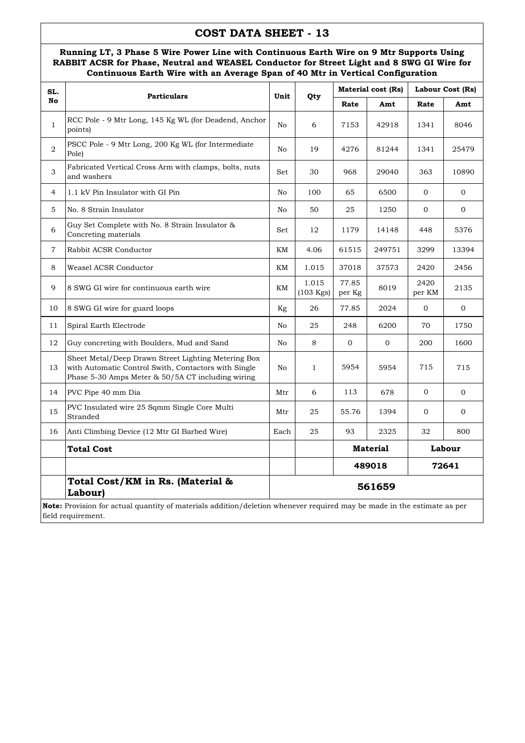#### **Running LT, 3 Phase 5 Wire Power Line with Continuous Earth Wire on 9 Mtr Supports Using RABBIT ACSR for Phase, Neutral and WEASEL Conductor for Street Light and 8 SWG GI Wire for Continuous Earth Wire with an Average Span of 40 Mtr in Vertical Configuration**

| SL.            | <b>Particulars</b>                                                                                                                                                            | Unit   |                      |                           | <b>Material cost (Rs)</b> | Labour Cost (Rs) |              |  |
|----------------|-------------------------------------------------------------------------------------------------------------------------------------------------------------------------------|--------|----------------------|---------------------------|---------------------------|------------------|--------------|--|
| <b>No</b>      |                                                                                                                                                                               |        | Qty                  | Rate                      | Amt                       | Rate             | Amt          |  |
| $\mathbf{1}$   | RCC Pole - 9 Mtr Long, 145 Kg WL (for Deadend, Anchor<br>points)                                                                                                              | No     | 6                    | 7153                      | 42918                     | 1341             | 8046         |  |
| $\overline{2}$ | PSCC Pole - 9 Mtr Long, 200 Kg WL (for Intermediate<br>Pole)                                                                                                                  | No     | 19                   | 4276                      | 81244                     | 1341             | 25479        |  |
| 3              | Fabricated Vertical Cross Arm with clamps, bolts, nuts<br>and washers                                                                                                         | Set    | 30                   | 968                       | 29040                     | 363              | 10890        |  |
| $\overline{4}$ | 1.1 kV Pin Insulator with GI Pin                                                                                                                                              | No     | 100                  | 65                        | 6500                      | $\mathbf{0}$     | $\mathbf{0}$ |  |
| 5              | No. 8 Strain Insulator                                                                                                                                                        | No     | 50                   | 25                        | 1250                      | $\mathbf{0}$     | $\mathbf{0}$ |  |
| 6              | Guy Set Complete with No. 8 Strain Insulator &<br>Concreting materials                                                                                                        | Set    | 12                   | 1179                      | 14148                     | 448              | 5376         |  |
| $\overline{7}$ | Rabbit ACSR Conductor                                                                                                                                                         | KM     | 4.06                 | 61515                     | 249751                    | 3299             | 13394        |  |
| 8              | Weasel ACSR Conductor                                                                                                                                                         | KM     | 1.015                | 37018                     | 37573                     | 2420             | 2456         |  |
| 9              | 8 SWG GI wire for continuous earth wire                                                                                                                                       | KΜ     | 1.015<br>$(103$ Kgs) | 77.85<br>per Kg           | 8019                      | 2420<br>per KM   | 2135         |  |
| 10             | 8 SWG GI wire for guard loops                                                                                                                                                 | Kg     | 26                   | 77.85                     | 2024                      | $\mathbf{0}$     | $\mathbf{0}$ |  |
| 11             | Spiral Earth Electrode                                                                                                                                                        | No     | 25                   | 248                       | 6200                      | 70               | 1750         |  |
| 12             | Guy concreting with Boulders, Mud and Sand                                                                                                                                    | No     | 8                    | $\overline{0}$            | $\mathbf{0}$              | 200              | 1600         |  |
| 13             | Sheet Metal/Deep Drawn Street Lighting Metering Box<br>with Automatic Control Swith, Contactors with Single<br>Phase 5-30 Amps Meter & 50/5A CT including wiring              | No     | $\mathbf{1}$         | 5954                      | 5954                      | 715              | 715          |  |
| 14             | PVC Pipe 40 mm Dia                                                                                                                                                            | Mtr    | 6                    | 113                       | 678                       | $\mathbf{O}$     | $\mathbf{O}$ |  |
| 15             | PVC Insulated wire 25 Sqmm Single Core Multi<br>Stranded                                                                                                                      | Mtr    | 25                   | 55.76                     | 1394                      | $\mathbf{0}$     | $\mathbf{0}$ |  |
| 16             | Anti Climbing Device (12 Mtr GI Barbed Wire)                                                                                                                                  | Each   | 25                   | 93                        | 2325                      | 32               | 800          |  |
|                | <b>Total Cost</b>                                                                                                                                                             |        |                      | <b>Material</b><br>Labour |                           |                  |              |  |
|                |                                                                                                                                                                               |        |                      |                           | 489018                    |                  | 72641        |  |
|                | Total Cost/KM in Rs. (Material &<br>Labour)<br><b>Note:</b> Provision for actual quantity of materials addition/deletion whenever required may be made in the estimate as per | 561659 |                      |                           |                           |                  |              |  |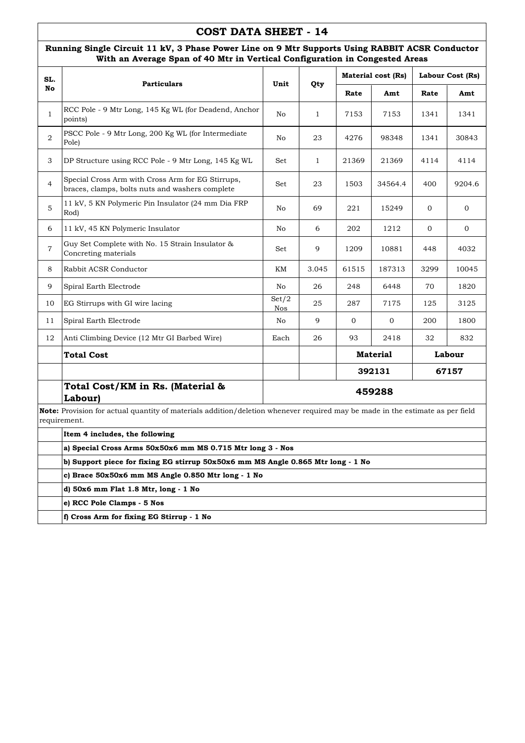#### **Running Single Circuit 11 kV, 3 Phase Power Line on 9 Mtr Supports Using RABBIT ACSR Conductor With an Average Span of 40 Mtr in Vertical Configuration in Congested Areas**

| SL.            | <b>Particulars</b>                                                                                                                            | Unit         | Qty          |              | <b>Material cost (Rs)</b> | Labour Cost (Rs) |                |  |
|----------------|-----------------------------------------------------------------------------------------------------------------------------------------------|--------------|--------------|--------------|---------------------------|------------------|----------------|--|
| No             |                                                                                                                                               |              |              | Rate         | Amt                       | Rate             | Amt            |  |
| $\mathbf{1}$   | RCC Pole - 9 Mtr Long, 145 Kg WL (for Deadend, Anchor<br>points)                                                                              | No           | 1            | 7153         | 7153                      | 1341             | 1341           |  |
| $\overline{2}$ | PSCC Pole - 9 Mtr Long, 200 Kg WL (for Intermediate)<br>Pole)                                                                                 | No           | 23           | 4276         | 98348                     | 1341             | 30843          |  |
| 3              | DP Structure using RCC Pole - 9 Mtr Long, 145 Kg WL                                                                                           | Set          | $\mathbf{1}$ | 21369        | 21369                     | 4114             | 4114           |  |
| 4              | Special Cross Arm with Cross Arm for EG Stirrups,<br>braces, clamps, bolts nuts and washers complete                                          | Set          | 23           | 1503         | 34564.4                   | 400              | 9204.6         |  |
| 5              | 11 kV, 5 KN Polymeric Pin Insulator (24 mm Dia FRP)<br>Rod)                                                                                   | No           | 69           | 221          | 15249                     | 0                | 0              |  |
| 6              | 11 kV, 45 KN Polymeric Insulator                                                                                                              | No           | 6            | 202          | 1212                      | $\overline{0}$   | $\overline{0}$ |  |
| $\overline{7}$ | Guy Set Complete with No. 15 Strain Insulator &<br>Concreting materials                                                                       | Set          | 9            | 1209         | 10881                     | 448              | 4032           |  |
| 8              | Rabbit ACSR Conductor                                                                                                                         | KM           | 3.045        | 61515        | 187313                    | 3299             | 10045          |  |
| 9              | Spiral Earth Electrode                                                                                                                        | No           | 26           | 248          | 6448                      | 70               | 1820           |  |
| 10             | EG Stirrups with GI wire lacing                                                                                                               | Set/2<br>Nos | 25           | 287          | 7175                      | 125              | 3125           |  |
| 11             | Spiral Earth Electrode                                                                                                                        | No           | 9            | $\mathbf{0}$ | $\overline{0}$            | 200              | 1800           |  |
| 12             | Anti Climbing Device (12 Mtr GI Barbed Wire)                                                                                                  | Each         | 26           | 93           | 2418                      | 32               | 832            |  |
|                | Total Cost                                                                                                                                    |              |              |              | <b>Material</b>           |                  | Labour         |  |
|                |                                                                                                                                               |              |              |              | 392131                    |                  | 67157          |  |
|                | Total Cost/KM in Rs. (Material &<br>Labour)                                                                                                   |              |              |              | 459288                    |                  |                |  |
|                | Note: Provision for actual quantity of materials addition/deletion whenever required may be made in the estimate as per field<br>requirement. |              |              |              |                           |                  |                |  |
|                | Item 4 includes, the following                                                                                                                |              |              |              |                           |                  |                |  |
|                | a) Special Cross Arms 50x50x6 mm MS 0.715 Mtr long 3 - Nos                                                                                    |              |              |              |                           |                  |                |  |
|                | b) Support piece for fixing EG stirrup 50x50x6 mm MS Angle 0.865 Mtr long - 1 No                                                              |              |              |              |                           |                  |                |  |
|                | c) Brace 50x50x6 mm MS Angle 0.850 Mtr long - 1 No                                                                                            |              |              |              |                           |                  |                |  |
|                | d) 50x6 mm Flat 1.8 Mtr, long - 1 No                                                                                                          |              |              |              |                           |                  |                |  |
|                | e) RCC Pole Clamps - 5 Nos                                                                                                                    |              |              |              |                           |                  |                |  |
|                | f) Cross Arm for fixing EG Stirrup - 1 No                                                                                                     |              |              |              |                           |                  |                |  |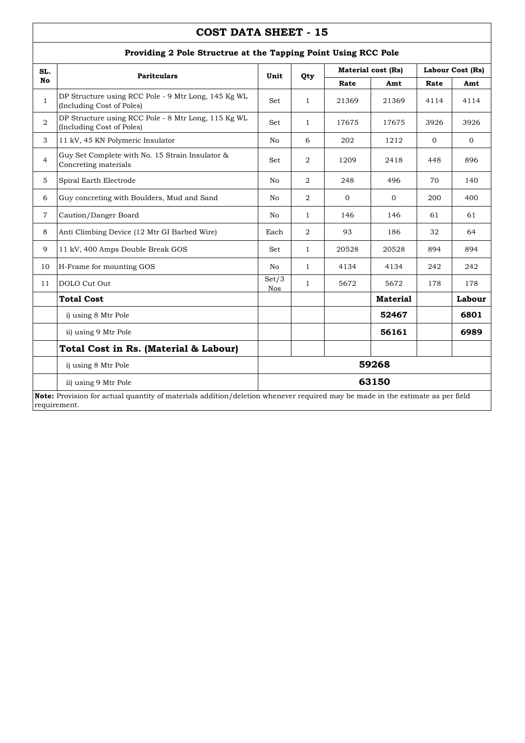| SL.            |                                                                                                                                               |              |                |              | <b>Material cost (Rs)</b> | Labour Cost (Rs) |              |
|----------------|-----------------------------------------------------------------------------------------------------------------------------------------------|--------------|----------------|--------------|---------------------------|------------------|--------------|
| No             | <b>Paritculars</b>                                                                                                                            | Unit         | Qty            | Rate         | Amt                       | Rate             | Amt          |
| $\mathbf{1}$   | DP Structure using RCC Pole - 9 Mtr Long, 145 Kg WL<br>(Including Cost of Poles)                                                              | Set          | $\mathbf{1}$   | 21369        | 21369                     | 4114             | 4114         |
| $\overline{2}$ | DP Structure using RCC Pole - 8 Mtr Long, 115 Kg WL<br>(Including Cost of Poles)                                                              | Set          | 1              | 17675        | 17675                     | 3926             | 3926         |
| 3              | 11 kV, 45 KN Polymeric Insulator                                                                                                              | No           | 6              | 202          | 1212                      | $\mathbf{0}$     | $\mathbf{0}$ |
| $\overline{4}$ | Guy Set Complete with No. 15 Strain Insulator &<br>Concreting materials                                                                       | Set          | 2              | 1209         | 2418                      | 448              | 896          |
| 5              | Spiral Earth Electrode                                                                                                                        | No           | $\overline{2}$ | 248          | 496                       | 70               | 140          |
| 6              | Guy concreting with Boulders, Mud and Sand                                                                                                    | No           | 2              | $\mathbf{0}$ | $\Omega$                  | 200              | 400          |
| $\overline{7}$ | Caution/Danger Board                                                                                                                          | No           | $\mathbf{1}$   | 146          | 146                       | 61               | 61           |
| 8              | Anti Climbing Device (12 Mtr GI Barbed Wire)                                                                                                  | Each         | $\overline{2}$ | 93           | 186                       | 32               | 64           |
| 9              | 11 kV, 400 Amps Double Break GOS                                                                                                              | Set          | $\mathbf{1}$   | 20528        | 20528                     | 894              | 894          |
| 10             | H-Frame for mounting GOS                                                                                                                      | No           | $\mathbf{1}$   | 4134         | 4134                      | 242              | 242          |
| 11             | DOLO Cut Out                                                                                                                                  | Set/3<br>Nos | $\mathbf{1}$   | 5672         | 5672                      | 178              | 178          |
|                | <b>Total Cost</b>                                                                                                                             |              |                |              | <b>Material</b>           |                  | Labour       |
|                | i) using 8 Mtr Pole                                                                                                                           |              |                |              | 52467                     |                  | 6801         |
|                | ii) using 9 Mtr Pole                                                                                                                          |              |                |              | 56161                     |                  | 6989         |
|                | Total Cost in Rs. (Material & Labour)                                                                                                         |              |                |              |                           |                  |              |
|                | i) using 8 Mtr Pole                                                                                                                           | 59268        |                |              |                           |                  |              |
|                | ii) using 9 Mtr Pole                                                                                                                          |              |                |              | 63150                     |                  |              |
|                | Note: Provision for actual quantity of materials addition/deletion whenever required may be made in the estimate as per field<br>requirement. |              |                |              |                           |                  |              |

#### **Providing 2 Pole Structrue at the Tapping Point Using RCC Pole**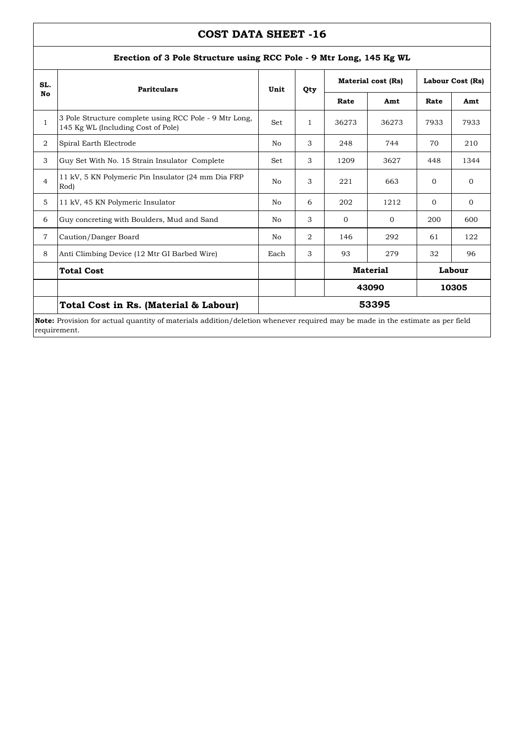| SL.            | <b>Paritculars</b>                                                                                                            | Unit | Qty            | Material cost (Rs)        |          | Labour Cost (Rs) |          |  |
|----------------|-------------------------------------------------------------------------------------------------------------------------------|------|----------------|---------------------------|----------|------------------|----------|--|
| No             |                                                                                                                               |      |                | Rate                      | Amt      | Rate             | Amt      |  |
| $\mathbf{1}$   | 3 Pole Structure complete using RCC Pole - 9 Mtr Long,<br>145 Kg WL (Including Cost of Pole)                                  | Set  | $\mathbf{1}$   | 36273                     | 36273    | 7933             | 7933     |  |
| 2              | Spiral Earth Electrode                                                                                                        | No   | 3              | 248                       | 744      | 70               | 210      |  |
| 3              | Guy Set With No. 15 Strain Insulator Complete                                                                                 | Set  | 3              | 1209                      | 3627     | 448              | 1344     |  |
| $\overline{4}$ | 11 kV, 5 KN Polymeric Pin Insulator (24 mm Dia FRP)<br>Rod)                                                                   | No   | 3              | 221                       | 663      | $\Omega$         | $\Omega$ |  |
| 5              | 11 kV, 45 KN Polymeric Insulator                                                                                              | No   | 6              | 202                       | 1212     | $\Omega$         | $\Omega$ |  |
| 6              | Guy concreting with Boulders, Mud and Sand                                                                                    | No   | 3              | $\Omega$                  | $\Omega$ | 200              | 600      |  |
| $\overline{7}$ | Caution/Danger Board                                                                                                          | No   | $\overline{2}$ | 146                       | 292      | 61               | 122      |  |
| 8              | Anti Climbing Device (12 Mtr GI Barbed Wire)                                                                                  | Each | 3              | 93                        | 279      | 32               | 96       |  |
|                | <b>Total Cost</b>                                                                                                             |      |                | <b>Material</b><br>Labour |          |                  |          |  |
|                |                                                                                                                               |      |                | 43090<br>10305            |          |                  |          |  |
|                | Total Cost in Rs. (Material & Labour)                                                                                         |      |                |                           | 53395    |                  |          |  |
|                | Note: Provision for actual quantity of materials addition/deletion whenever required may be made in the estimate as per field |      |                |                           |          |                  |          |  |

#### **Erection of 3 Pole Structure using RCC Pole - 9 Mtr Long, 145 Kg WL**

actual quantity of materials addition/deletion whenever required may be made in the estimate as pe requirement.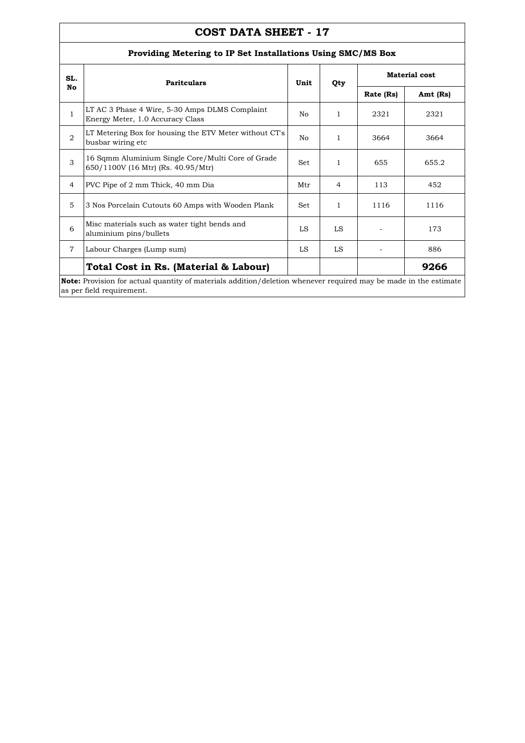### **Providing Metering to IP Set Installations Using SMC/MS Box**

| SL.            | <b>Paritculars</b>                                                                                                                                   | Unit       | Qty          |           | <b>Material cost</b> |  |
|----------------|------------------------------------------------------------------------------------------------------------------------------------------------------|------------|--------------|-----------|----------------------|--|
| No             |                                                                                                                                                      |            |              | Rate (Rs) | Amt (Rs)             |  |
| $\mathbf{1}$   | LT AC 3 Phase 4 Wire, 5-30 Amps DLMS Complaint<br>Energy Meter, 1.0 Accuracy Class                                                                   | No         | $\mathbf{1}$ | 2321      | 2321                 |  |
| $\overline{2}$ | LT Metering Box for housing the ETV Meter without CT's<br>busbar wiring etc                                                                          | No.        | 1            | 3664      | 3664                 |  |
| 3              | 16 Sqmm Aluminium Single Core/Multi Core of Grade<br>650/1100V (16 Mtr) (Rs. 40.95/Mtr)                                                              | Set        | 1            | 655       | 655.2                |  |
| $\overline{4}$ | PVC Pipe of 2 mm Thick, 40 mm Dia                                                                                                                    | Mtr        | 4            | 113       | 452                  |  |
| 5              | 3 Nos Porcelain Cutouts 60 Amps with Wooden Plank                                                                                                    | <b>Set</b> | 1            | 1116      | 1116                 |  |
| 6              | Misc materials such as water tight bends and<br>aluminium pins/bullets                                                                               | LS         | LS           |           | 173                  |  |
| $\overline{7}$ | Labour Charges (Lump sum)                                                                                                                            | LS         | LS           |           | 886                  |  |
|                | Total Cost in Rs. (Material & Labour)                                                                                                                |            |              |           | 9266                 |  |
|                | <b>Note:</b> Provision for actual quantity of materials addition/deletion whenever required may be made in the estimate<br>as per field requirement. |            |              |           |                      |  |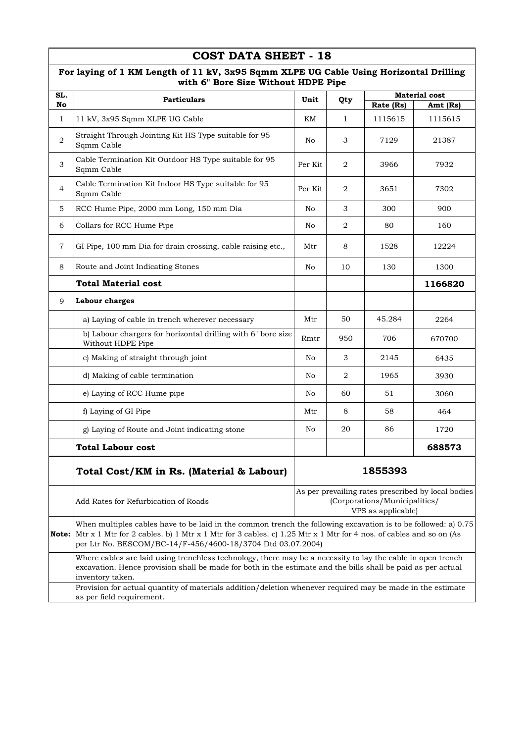| SL.            |                                                                                                                                                                                                                                                                                                  |                                                                                                           |                |           | <b>Material cost</b> |
|----------------|--------------------------------------------------------------------------------------------------------------------------------------------------------------------------------------------------------------------------------------------------------------------------------------------------|-----------------------------------------------------------------------------------------------------------|----------------|-----------|----------------------|
| No             | <b>Particulars</b>                                                                                                                                                                                                                                                                               | Unit                                                                                                      | Qty            | Rate (Rs) | Amt (Rs)             |
| $\mathbf{1}$   | 11 kV, 3x95 Sqmm XLPE UG Cable                                                                                                                                                                                                                                                                   | KМ                                                                                                        | $\mathbf{1}$   | 1115615   | 1115615              |
| $\overline{a}$ | Straight Through Jointing Kit HS Type suitable for 95<br>Sqmm Cable                                                                                                                                                                                                                              | No                                                                                                        | 3              | 7129      | 21387                |
| 3              | Cable Termination Kit Outdoor HS Type suitable for 95<br>Sqmm Cable                                                                                                                                                                                                                              | Per Kit                                                                                                   | 2              | 3966      | 7932                 |
| $\overline{4}$ | Cable Termination Kit Indoor HS Type suitable for 95<br>Sqmm Cable                                                                                                                                                                                                                               | Per Kit                                                                                                   | 2              | 3651      | 7302                 |
| 5              | RCC Hume Pipe, 2000 mm Long, 150 mm Dia                                                                                                                                                                                                                                                          | No                                                                                                        | 3              | 300       | 900                  |
| 6              | Collars for RCC Hume Pipe                                                                                                                                                                                                                                                                        | No                                                                                                        | $\overline{2}$ | 80        | 160                  |
| $\overline{7}$ | GI Pipe, 100 mm Dia for drain crossing, cable raising etc.,                                                                                                                                                                                                                                      | Mtr                                                                                                       | 8              | 1528      | 12224                |
| 8              | Route and Joint Indicating Stones                                                                                                                                                                                                                                                                | No                                                                                                        | 10             | 130       | 1300                 |
|                | <b>Total Material cost</b>                                                                                                                                                                                                                                                                       |                                                                                                           |                |           | 1166820              |
| 9              | <b>Labour charges</b>                                                                                                                                                                                                                                                                            |                                                                                                           |                |           |                      |
|                | a) Laying of cable in trench wherever necessary                                                                                                                                                                                                                                                  | Mtr                                                                                                       | 50             | 45.284    | 2264                 |
|                | b) Labour chargers for horizontal drilling with 6" bore size<br>Without HDPE Pipe                                                                                                                                                                                                                | Rmtr                                                                                                      | 950            | 706       | 670700               |
|                | c) Making of straight through joint                                                                                                                                                                                                                                                              | No                                                                                                        | 3              | 2145      | 6435                 |
|                | d) Making of cable termination                                                                                                                                                                                                                                                                   | No                                                                                                        | 2              | 1965      | 3930                 |
|                | e) Laying of RCC Hume pipe                                                                                                                                                                                                                                                                       | No                                                                                                        | 60             | 51        | 3060                 |
|                | f) Laying of GI Pipe                                                                                                                                                                                                                                                                             | Mtr                                                                                                       | 8              | 58        | 464                  |
|                | g) Laying of Route and Joint indicating stone                                                                                                                                                                                                                                                    | No                                                                                                        | 20             | 86        | 1720                 |
|                | <b>Total Labour cost</b>                                                                                                                                                                                                                                                                         |                                                                                                           |                |           | 688573               |
|                | Total Cost/KM in Rs. (Material & Labour)                                                                                                                                                                                                                                                         | 1855393                                                                                                   |                |           |                      |
|                | Add Rates for Refurbication of Roads                                                                                                                                                                                                                                                             | As per prevailing rates prescribed by local bodies<br>(Corporations/Municipalities/<br>VPS as applicable) |                |           |                      |
| Note:          | When multiples cables have to be laid in the common trench the following excavation is to be followed: a) 0.75<br>Mtr x 1 Mtr for 2 cables. b) 1 Mtr x 1 Mtr for 3 cables. c) 1.25 Mtr x 1 Mtr for 4 nos. of cables and so on (As<br>per Ltr No. BESCOM/BC-14/F-456/4600-18/3704 Dtd 03.07.2004) |                                                                                                           |                |           |                      |
|                | Where cables are laid using trenchless technology, there may be a necessity to lay the cable in open trench<br>excavation. Hence provision shall be made for both in the estimate and the bills shall be paid as per actual<br>inventory taken.                                                  |                                                                                                           |                |           |                      |
|                | Provision for actual quantity of materials addition/deletion whenever required may be made in the estimate<br>as per field requirement.                                                                                                                                                          |                                                                                                           |                |           |                      |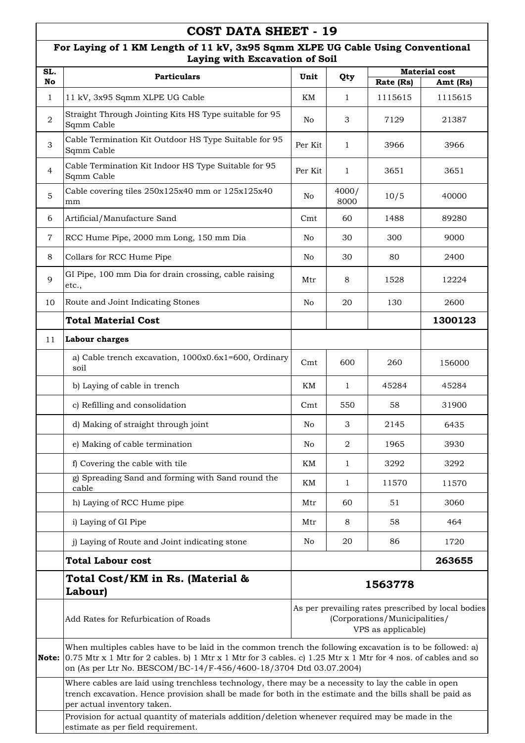### **For Laying of 1 KM Length of 11 kV, 3x95 Sqmm XLPE UG Cable Using Conventional Laying with Excavation of Soil**

| SL.            | Laying with Excavation of Son                                                                                                                                                                                                                                                                      |                                                                                                           |                |           | <b>Material cost</b> |
|----------------|----------------------------------------------------------------------------------------------------------------------------------------------------------------------------------------------------------------------------------------------------------------------------------------------------|-----------------------------------------------------------------------------------------------------------|----------------|-----------|----------------------|
| No             | <b>Particulars</b>                                                                                                                                                                                                                                                                                 | Unit                                                                                                      | Qty            | Rate (Rs) | Amt (Rs)             |
| $\mathbf{1}$   | 11 kV, 3x95 Sqmm XLPE UG Cable                                                                                                                                                                                                                                                                     | KΜ                                                                                                        | 1              | 1115615   | 1115615              |
| $\overline{2}$ | Straight Through Jointing Kits HS Type suitable for 95<br>Sqmm Cable                                                                                                                                                                                                                               | No                                                                                                        | 3              | 7129      | 21387                |
| 3              | Cable Termination Kit Outdoor HS Type Suitable for 95<br>Sqmm Cable                                                                                                                                                                                                                                | Per Kit                                                                                                   | 1              | 3966      | 3966                 |
| $\overline{4}$ | Cable Termination Kit Indoor HS Type Suitable for 95<br>Sqmm Cable                                                                                                                                                                                                                                 | Per Kit                                                                                                   | $\mathbf{1}$   | 3651      | 3651                 |
| 5              | Cable covering tiles 250x125x40 mm or 125x125x40<br>mm                                                                                                                                                                                                                                             | No                                                                                                        | 4000/<br>8000  | 10/5      | 40000                |
| 6              | Artificial/Manufacture Sand                                                                                                                                                                                                                                                                        | Cmt                                                                                                       | 60             | 1488      | 89280                |
| $\overline{7}$ | RCC Hume Pipe, 2000 mm Long, 150 mm Dia                                                                                                                                                                                                                                                            | No                                                                                                        | 30             | 300       | 9000                 |
| 8              | Collars for RCC Hume Pipe                                                                                                                                                                                                                                                                          | No                                                                                                        | 30             | 80        | 2400                 |
| 9              | GI Pipe, 100 mm Dia for drain crossing, cable raising<br>etc.,                                                                                                                                                                                                                                     | Mtr                                                                                                       | 8              | 1528      | 12224                |
| 10             | Route and Joint Indicating Stones                                                                                                                                                                                                                                                                  | No                                                                                                        | 20             | 130       | 2600                 |
|                | <b>Total Material Cost</b>                                                                                                                                                                                                                                                                         |                                                                                                           |                |           | 1300123              |
| 11             | <b>Labour charges</b>                                                                                                                                                                                                                                                                              |                                                                                                           |                |           |                      |
|                | a) Cable trench excavation, 1000x0.6x1=600, Ordinary<br>soil                                                                                                                                                                                                                                       | Cmt                                                                                                       | 600            | 260       | 156000               |
|                | b) Laying of cable in trench                                                                                                                                                                                                                                                                       | KM                                                                                                        | $\mathbf{1}$   | 45284     | 45284                |
|                | c) Refilling and consolidation                                                                                                                                                                                                                                                                     | Cmt                                                                                                       | 550            | 58        | 31900                |
|                | d) Making of straight through joint                                                                                                                                                                                                                                                                | No                                                                                                        | $\mathfrak{Z}$ | 2145      | 6435                 |
|                | e) Making of cable termination                                                                                                                                                                                                                                                                     | No                                                                                                        | $\overline{2}$ | 1965      | 3930                 |
|                | f) Covering the cable with tile                                                                                                                                                                                                                                                                    | KΜ                                                                                                        | $\mathbf 1$    | 3292      | 3292                 |
|                | g) Spreading Sand and forming with Sand round the<br>cable                                                                                                                                                                                                                                         | KM                                                                                                        | $\mathbf{1}$   | 11570     | 11570                |
|                | h) Laying of RCC Hume pipe                                                                                                                                                                                                                                                                         | Mtr                                                                                                       | 60             | 51        | 3060                 |
|                | i) Laying of GI Pipe                                                                                                                                                                                                                                                                               | Mtr                                                                                                       | 8              | 58        | 464                  |
|                | j) Laying of Route and Joint indicating stone                                                                                                                                                                                                                                                      | No                                                                                                        | 20             | 86        | 1720                 |
|                | <b>Total Labour cost</b>                                                                                                                                                                                                                                                                           |                                                                                                           |                |           | 263655               |
|                | Total Cost/KM in Rs. (Material &<br>Labour)                                                                                                                                                                                                                                                        |                                                                                                           |                | 1563778   |                      |
|                | Add Rates for Refurbication of Roads                                                                                                                                                                                                                                                               | As per prevailing rates prescribed by local bodies<br>(Corporations/Municipalities/<br>VPS as applicable) |                |           |                      |
| Note:          | When multiples cables have to be laid in the common trench the following excavation is to be followed: a)<br>$0.75$ Mtr x 1 Mtr for 2 cables. b) 1 Mtr x 1 Mtr for 3 cables. c) 1.25 Mtr x 1 Mtr for 4 nos. of cables and so<br>on (As per Ltr No. BESCOM/BC-14/F-456/4600-18/3704 Dtd 03.07.2004) |                                                                                                           |                |           |                      |
|                | Where cables are laid using trenchless technology, there may be a necessity to lay the cable in open<br>trench excavation. Hence provision shall be made for both in the estimate and the bills shall be paid as<br>per actual inventory taken.                                                    |                                                                                                           |                |           |                      |
|                | Provision for actual quantity of materials addition/deletion whenever required may be made in the<br>estimate as per field requirement.                                                                                                                                                            |                                                                                                           |                |           |                      |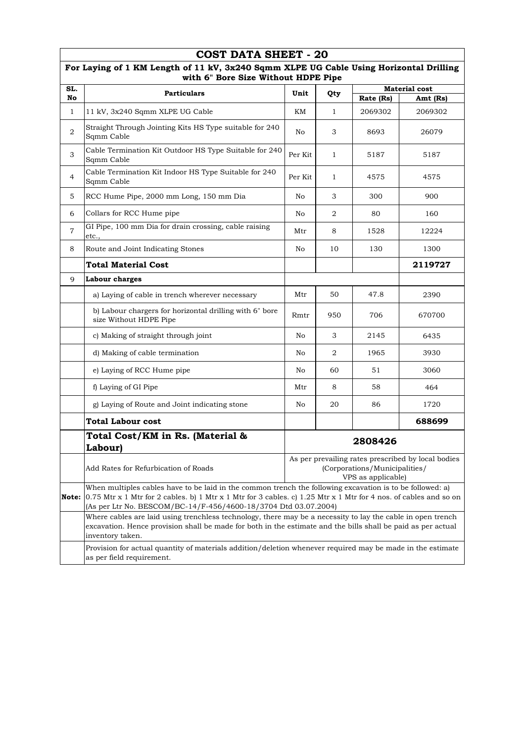|                    | <b>COST DATA SHEET - 20</b>                                                                                                                                                                                                                                                                      |         |              |                                                     |                                                    |  |
|--------------------|--------------------------------------------------------------------------------------------------------------------------------------------------------------------------------------------------------------------------------------------------------------------------------------------------|---------|--------------|-----------------------------------------------------|----------------------------------------------------|--|
|                    | For Laying of 1 KM Length of 11 kV, 3x240 Sqmm XLPE UG Cable Using Horizontal Drilling<br>with 6" Bore Size Without HDPE Pipe                                                                                                                                                                    |         |              |                                                     |                                                    |  |
| SL.                | <b>Particulars</b>                                                                                                                                                                                                                                                                               | Unit    | Qty          | <b>Material cost</b><br>Rate (Rs)<br>Amt (Rs)       |                                                    |  |
| No<br>$\mathbf{1}$ | 11 kV, 3x240 Sqmm XLPE UG Cable                                                                                                                                                                                                                                                                  | KМ      | 1            | 2069302                                             | 2069302                                            |  |
|                    |                                                                                                                                                                                                                                                                                                  |         |              |                                                     |                                                    |  |
| $\overline{2}$     | Straight Through Jointing Kits HS Type suitable for 240<br>Sqmm Cable                                                                                                                                                                                                                            | No      | 3            | 8693                                                | 26079                                              |  |
| 3                  | Cable Termination Kit Outdoor HS Type Suitable for 240<br>Sqmm Cable                                                                                                                                                                                                                             | Per Kit | $\mathbf{1}$ | 5187                                                | 5187                                               |  |
| 4                  | Cable Termination Kit Indoor HS Type Suitable for 240<br>Sqmm Cable                                                                                                                                                                                                                              | Per Kit | 1            | 4575                                                | 4575                                               |  |
| 5                  | RCC Hume Pipe, 2000 mm Long, 150 mm Dia                                                                                                                                                                                                                                                          | No      | З            | 300                                                 | 900                                                |  |
| 6                  | Collars for RCC Hume pipe                                                                                                                                                                                                                                                                        | No      | 2            | 80                                                  | 160                                                |  |
| $\overline{7}$     | GI Pipe, 100 mm Dia for drain crossing, cable raising<br>etc.,                                                                                                                                                                                                                                   | Mtr     | 8            | 1528                                                | 12224                                              |  |
| 8                  | Route and Joint Indicating Stones                                                                                                                                                                                                                                                                | No      | 10           | 130                                                 | 1300                                               |  |
|                    | <b>Total Material Cost</b>                                                                                                                                                                                                                                                                       |         |              |                                                     | 2119727                                            |  |
| 9                  | Labour charges                                                                                                                                                                                                                                                                                   |         |              |                                                     |                                                    |  |
|                    | a) Laying of cable in trench wherever necessary                                                                                                                                                                                                                                                  | Mtr     | 50           | 47.8                                                | 2390                                               |  |
|                    | b) Labour chargers for horizontal drilling with 6" bore<br>size Without HDPE Pipe                                                                                                                                                                                                                | Rmtr    | 950          | 706                                                 | 670700                                             |  |
|                    | c) Making of straight through joint                                                                                                                                                                                                                                                              | No      | 3            | 2145                                                | 6435                                               |  |
|                    | d) Making of cable termination                                                                                                                                                                                                                                                                   | No      | 2            | 1965                                                | 3930                                               |  |
|                    | e) Laying of RCC Hume pipe                                                                                                                                                                                                                                                                       | No      | 60           | 51                                                  | 3060                                               |  |
|                    | f) Laying of GI Pipe                                                                                                                                                                                                                                                                             | Mtr     | 8            | 58                                                  | 464                                                |  |
|                    | g) Laying of Route and Joint indicating stone                                                                                                                                                                                                                                                    | No      | 20           | 86                                                  | 1720                                               |  |
|                    | <b>Total Labour cost</b>                                                                                                                                                                                                                                                                         |         |              |                                                     | 688699                                             |  |
|                    | Total Cost/KM in Rs. (Material &<br>Labour)                                                                                                                                                                                                                                                      |         |              | 2808426                                             |                                                    |  |
|                    | Add Rates for Refurbication of Roads                                                                                                                                                                                                                                                             |         |              | (Corporations/Municipalities/<br>VPS as applicable) | As per prevailing rates prescribed by local bodies |  |
| Note:              | When multiples cables have to be laid in the common trench the following excavation is to be followed: a)<br>0.75 Mtr x 1 Mtr for 2 cables. b) 1 Mtr x 1 Mtr for 3 cables. c) 1.25 Mtr x 1 Mtr for 4 nos. of cables and so on<br>(As per Ltr No. BESCOM/BC-14/F-456/4600-18/3704 Dtd 03.07.2004) |         |              |                                                     |                                                    |  |
|                    | Where cables are laid using trenchless technology, there may be a necessity to lay the cable in open trench<br>excavation. Hence provision shall be made for both in the estimate and the bills shall be paid as per actual<br>inventory taken.                                                  |         |              |                                                     |                                                    |  |
|                    | Provision for actual quantity of materials addition/deletion whenever required may be made in the estimate<br>as per field requirement.                                                                                                                                                          |         |              |                                                     |                                                    |  |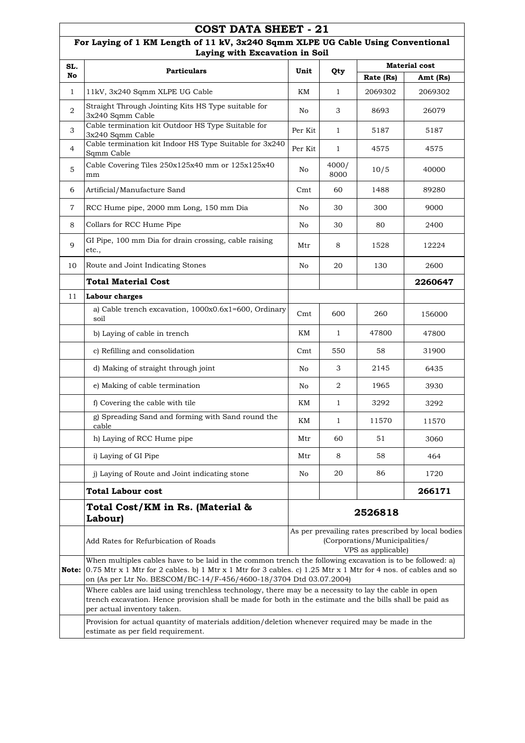|                | COST DATA SHEET - 21                                                                                                                                                                                                                                                                               |                                                                                                           |               |           |                      |
|----------------|----------------------------------------------------------------------------------------------------------------------------------------------------------------------------------------------------------------------------------------------------------------------------------------------------|-----------------------------------------------------------------------------------------------------------|---------------|-----------|----------------------|
|                | For Laying of 1 KM Length of 11 kV, 3x240 Sqmm XLPE UG Cable Using Conventional<br>Laying with Excavation in Soil                                                                                                                                                                                  |                                                                                                           |               |           |                      |
| SL.            | <b>Particulars</b>                                                                                                                                                                                                                                                                                 | Unit                                                                                                      | Qty           |           | <b>Material cost</b> |
| No             |                                                                                                                                                                                                                                                                                                    |                                                                                                           |               | Rate (Rs) | Amt (Rs)             |
| 1              | 11kV, 3x240 Sqmm XLPE UG Cable<br>Straight Through Jointing Kits HS Type suitable for                                                                                                                                                                                                              | KΜ                                                                                                        | $\mathbf{1}$  | 2069302   | 2069302              |
| $\overline{2}$ | 3x240 Sqmm Cable                                                                                                                                                                                                                                                                                   | No                                                                                                        | 3             | 8693      | 26079                |
| 3              | Cable termination kit Outdoor HS Type Suitable for<br>3x240 Sqmm Cable                                                                                                                                                                                                                             | Per Kit                                                                                                   | $\mathbf{1}$  | 5187      | 5187                 |
| 4              | Cable termination kit Indoor HS Type Suitable for 3x240<br>Sqmm Cable                                                                                                                                                                                                                              | Per Kit                                                                                                   | $\mathbf{1}$  | 4575      | 4575                 |
| 5              | Cable Covering Tiles $250x125x40$ mm or $125x125x40$<br>mm                                                                                                                                                                                                                                         | No                                                                                                        | 4000/<br>8000 | 10/5      | 40000                |
| 6              | Artificial/Manufacture Sand                                                                                                                                                                                                                                                                        | Cmt                                                                                                       | 60            | 1488      | 89280                |
| 7              | RCC Hume pipe, 2000 mm Long, 150 mm Dia                                                                                                                                                                                                                                                            | No                                                                                                        | 30            | 300       | 9000                 |
| 8              | Collars for RCC Hume Pipe                                                                                                                                                                                                                                                                          | No                                                                                                        | 30            | 80        | 2400                 |
| 9              | GI Pipe, 100 mm Dia for drain crossing, cable raising<br>etc.,                                                                                                                                                                                                                                     | Mtr                                                                                                       | 8             | 1528      | 12224                |
| 10             | Route and Joint Indicating Stones                                                                                                                                                                                                                                                                  | No                                                                                                        | 20            | 130       | 2600                 |
|                | <b>Total Material Cost</b>                                                                                                                                                                                                                                                                         |                                                                                                           |               |           | 2260647              |
| 11             | Labour charges                                                                                                                                                                                                                                                                                     |                                                                                                           |               |           |                      |
|                | a) Cable trench excavation, 1000x0.6x1=600, Ordinary<br>soil                                                                                                                                                                                                                                       | Cmt                                                                                                       | 600           | 260       | 156000               |
|                | b) Laying of cable in trench                                                                                                                                                                                                                                                                       | KМ                                                                                                        | $\mathbf{1}$  | 47800     | 47800                |
|                | c) Refilling and consolidation                                                                                                                                                                                                                                                                     | Cmt                                                                                                       | 550           | 58        | 31900                |
|                | d) Making of straight through joint                                                                                                                                                                                                                                                                | No                                                                                                        | 3             | 2145      | 6435                 |
|                | e) Making of cable termination                                                                                                                                                                                                                                                                     | No                                                                                                        | 2             | 1965      | 3930                 |
|                | f) Covering the cable with tile                                                                                                                                                                                                                                                                    | KM                                                                                                        | $\mathbf{1}$  | 3292      | 3292                 |
|                | g) Spreading Sand and forming with Sand round the<br>cable                                                                                                                                                                                                                                         | KM                                                                                                        | 1             | 11570     | 11570                |
|                | h) Laying of RCC Hume pipe                                                                                                                                                                                                                                                                         | Mtr                                                                                                       | 60            | 51        | 3060                 |
|                | i) Laying of GI Pipe                                                                                                                                                                                                                                                                               | Mtr                                                                                                       | 8             | 58        | 464                  |
|                | j) Laying of Route and Joint indicating stone                                                                                                                                                                                                                                                      | No                                                                                                        | 20            | 86        | 1720                 |
|                | <b>Total Labour cost</b>                                                                                                                                                                                                                                                                           |                                                                                                           |               |           | 266171               |
|                | Total Cost/KM in Rs. (Material &<br>Labour)                                                                                                                                                                                                                                                        |                                                                                                           |               | 2526818   |                      |
|                | Add Rates for Refurbication of Roads                                                                                                                                                                                                                                                               | As per prevailing rates prescribed by local bodies<br>(Corporations/Municipalities/<br>VPS as applicable) |               |           |                      |
| Note:          | When multiples cables have to be laid in the common trench the following excavation is to be followed: a)<br>$0.75$ Mtr x 1 Mtr for 2 cables. b) 1 Mtr x 1 Mtr for 3 cables. c) 1.25 Mtr x 1 Mtr for 4 nos. of cables and so<br>on (As per Ltr No. BESCOM/BC-14/F-456/4600-18/3704 Dtd 03.07.2004) |                                                                                                           |               |           |                      |
|                | Where cables are laid using trenchless technology, there may be a necessity to lay the cable in open<br>trench excavation. Hence provision shall be made for both in the estimate and the bills shall be paid as<br>per actual inventory taken.                                                    |                                                                                                           |               |           |                      |
|                | Provision for actual quantity of materials addition/deletion whenever required may be made in the<br>estimate as per field requirement.                                                                                                                                                            |                                                                                                           |               |           |                      |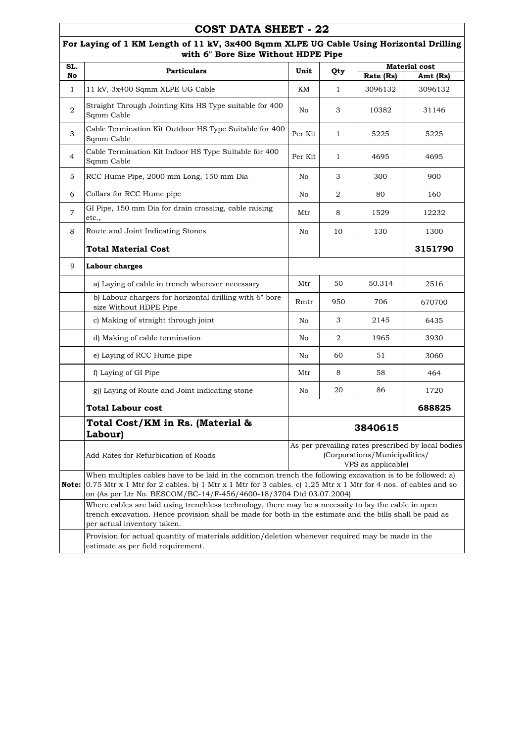|                    | <b>COST DATA SHEET - 22</b>                                                                                                                                                                                                                                                                      |         |                |                                                     |                                                    |  |
|--------------------|--------------------------------------------------------------------------------------------------------------------------------------------------------------------------------------------------------------------------------------------------------------------------------------------------|---------|----------------|-----------------------------------------------------|----------------------------------------------------|--|
|                    | For Laying of 1 KM Length of 11 kV, 3x400 Sqmm XLPE UG Cable Using Horizontal Drilling<br>with 6" Bore Size Without HDPE Pipe                                                                                                                                                                    |         |                |                                                     |                                                    |  |
| SL.                | <b>Particulars</b>                                                                                                                                                                                                                                                                               | Unit    | Qty            |                                                     | <b>Material</b> cost                               |  |
| No<br>$\mathbf{1}$ | 11 kV, 3x400 Sqmm XLPE UG Cable                                                                                                                                                                                                                                                                  | KМ      | $\mathbf{1}$   | Rate (Rs)<br>3096132                                | Amt (Rs)<br>3096132                                |  |
|                    |                                                                                                                                                                                                                                                                                                  |         |                |                                                     |                                                    |  |
| $\overline{2}$     | Straight Through Jointing Kits HS Type suitable for 400<br>Sqmm Cable                                                                                                                                                                                                                            | No      | 3              | 10382                                               | 31146                                              |  |
| 3                  | Cable Termination Kit Outdoor HS Type Suitable for 400<br>Sqmm Cable                                                                                                                                                                                                                             | Per Kit | $\mathbf{1}$   | 5225                                                | 5225                                               |  |
| $\overline{4}$     | Cable Termination Kit Indoor HS Type Suitable for 400<br>Sqmm Cable                                                                                                                                                                                                                              | Per Kit | $\mathbf{1}$   | 4695                                                | 4695                                               |  |
| 5.                 | RCC Hume Pipe, 2000 mm Long, 150 mm Dia                                                                                                                                                                                                                                                          | No      | 3              | 300                                                 | 900                                                |  |
| 6                  | Collars for RCC Hume pipe                                                                                                                                                                                                                                                                        | No      | $\overline{2}$ | 80                                                  | 160                                                |  |
| $\overline{7}$     | GI Pipe, 150 mm Dia for drain crossing, cable raising<br>etc.,                                                                                                                                                                                                                                   | Mtr     | 8              | 1529                                                | 12232                                              |  |
| 8                  | Route and Joint Indicating Stones                                                                                                                                                                                                                                                                | No      | 10             | 130                                                 | 1300                                               |  |
|                    | <b>Total Material Cost</b>                                                                                                                                                                                                                                                                       |         |                |                                                     | 3151790                                            |  |
| 9                  | Labour charges                                                                                                                                                                                                                                                                                   |         |                |                                                     |                                                    |  |
|                    | a) Laying of cable in trench wherever necessary                                                                                                                                                                                                                                                  | Mtr     | 50             | 50.314                                              | 2516                                               |  |
|                    | b) Labour chargers for horizontal drilling with 6" bore<br>size Without HDPE Pipe                                                                                                                                                                                                                | Rmtr    | 950            | 706                                                 | 670700                                             |  |
|                    | c) Making of straight through joint                                                                                                                                                                                                                                                              | No      | 3              | 2145                                                | 6435                                               |  |
|                    | d) Making of cable termination                                                                                                                                                                                                                                                                   | No      | $\overline{2}$ | 1965                                                | 3930                                               |  |
|                    | e) Laying of RCC Hume pipe                                                                                                                                                                                                                                                                       | No.     | 60             | 51                                                  | 3060                                               |  |
|                    | f) Laying of GI Pipe                                                                                                                                                                                                                                                                             | Mtr     | 8              | 58                                                  | 464                                                |  |
|                    | gj) Laying of Route and Joint indicating stone                                                                                                                                                                                                                                                   | No      | 20             | 86                                                  | 1720                                               |  |
|                    | Total Labour cost                                                                                                                                                                                                                                                                                |         |                |                                                     | 688825                                             |  |
|                    | Total Cost/KM in Rs. (Material &<br>Labour)                                                                                                                                                                                                                                                      |         |                | 3840615                                             |                                                    |  |
|                    | Add Rates for Refurbication of Roads                                                                                                                                                                                                                                                             |         |                | (Corporations/Municipalities/<br>VPS as applicable) | As per prevailing rates prescribed by local bodies |  |
| Note:              | When multiples cables have to be laid in the common trench the following excavation is to be followed: a)<br>0.75 Mtr x 1 Mtr for 2 cables. b) 1 Mtr x 1 Mtr for 3 cables. c) 1.25 Mtr x 1 Mtr for 4 nos. of cables and so<br>on (As per Ltr No. BESCOM/BC-14/F-456/4600-18/3704 Dtd 03.07.2004) |         |                |                                                     |                                                    |  |
|                    | Where cables are laid using trenchless technology, there may be a necessity to lay the cable in open<br>trench excavation. Hence provision shall be made for both in the estimate and the bills shall be paid as<br>per actual inventory taken.                                                  |         |                |                                                     |                                                    |  |
|                    | Provision for actual quantity of materials addition/deletion whenever required may be made in the<br>estimate as per field requirement.                                                                                                                                                          |         |                |                                                     |                                                    |  |

 $\Gamma$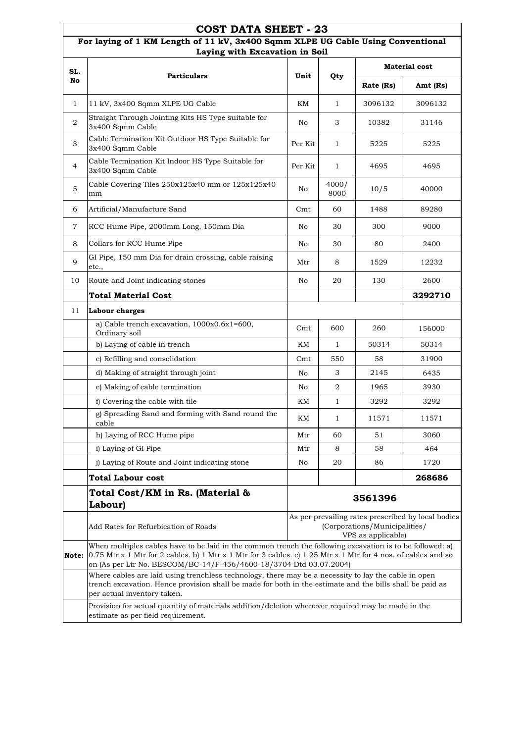|                | COST DATA SHEET - 23                                                                                                                                                                                                                                                                             |         |               |                                                     |                                                    |
|----------------|--------------------------------------------------------------------------------------------------------------------------------------------------------------------------------------------------------------------------------------------------------------------------------------------------|---------|---------------|-----------------------------------------------------|----------------------------------------------------|
|                | For laying of 1 KM Length of 11 kV, 3x400 Sqmm XLPE UG Cable Using Conventional<br>Laying with Excavation in Soil                                                                                                                                                                                |         |               |                                                     |                                                    |
| SL.            |                                                                                                                                                                                                                                                                                                  | Unit    |               |                                                     | <b>Material cost</b>                               |
| No             | <b>Particulars</b>                                                                                                                                                                                                                                                                               |         | Qty           | Rate (Rs)                                           | Amt (Rs)                                           |
| $\mathbf{1}$   | 11 kV, 3x400 Sqmm XLPE UG Cable                                                                                                                                                                                                                                                                  | KМ      | $\mathbf{1}$  | 3096132                                             | 3096132                                            |
| $\overline{2}$ | Straight Through Jointing Kits HS Type suitable for<br>3x400 Sqmm Cable                                                                                                                                                                                                                          | No      | 3             | 10382                                               | 31146                                              |
| 3              | Cable Termination Kit Outdoor HS Type Suitable for<br>3x400 Sqmm Cable                                                                                                                                                                                                                           | Per Kit | 1             | 5225                                                | 5225                                               |
| 4              | Cable Termination Kit Indoor HS Type Suitable for<br>3x400 Sqmm Cable                                                                                                                                                                                                                            | Per Kit | $\mathbf{1}$  | 4695                                                | 4695                                               |
| 5              | Cable Covering Tiles 250x125x40 mm or 125x125x40<br>mm                                                                                                                                                                                                                                           | No      | 4000/<br>8000 | 10/5                                                | 40000                                              |
| 6              | Artificial/Manufacture Sand                                                                                                                                                                                                                                                                      | Cmt     | 60            | 1488                                                | 89280                                              |
| 7              | RCC Hume Pipe, 2000mm Long, 150mm Dia                                                                                                                                                                                                                                                            | No.     | 30            | 300                                                 | 9000                                               |
| 8              | Collars for RCC Hume Pipe                                                                                                                                                                                                                                                                        | No      | 30            | 80                                                  | 2400                                               |
| 9              | GI Pipe, 150 mm Dia for drain crossing, cable raising<br>etc.,                                                                                                                                                                                                                                   | Mtr     | 8             | 1529                                                | 12232                                              |
| 10             | Route and Joint indicating stones                                                                                                                                                                                                                                                                | No      | 20            | 130                                                 | 2600                                               |
|                | Total Material Cost                                                                                                                                                                                                                                                                              |         |               |                                                     | 3292710                                            |
| 11             | Labour charges                                                                                                                                                                                                                                                                                   |         |               |                                                     |                                                    |
|                | a) Cable trench excavation, 1000x0.6x1=600,<br>Ordinary soil                                                                                                                                                                                                                                     | Cmt     | 600           | 260                                                 | 156000                                             |
|                | b) Laying of cable in trench                                                                                                                                                                                                                                                                     | KM      | 1             | 50314                                               | 50314                                              |
|                | c) Refilling and consolidation                                                                                                                                                                                                                                                                   | Cmt     | 550           | 58                                                  | 31900                                              |
|                | d) Making of straight through joint                                                                                                                                                                                                                                                              | No      | 3             | 2145                                                | 6435                                               |
|                | e) Making of cable termination                                                                                                                                                                                                                                                                   | No      | 2             | 1965                                                | 3930                                               |
|                | f) Covering the cable with tile                                                                                                                                                                                                                                                                  | KM      | $\mathbf{1}$  | 3292                                                | 3292                                               |
|                | g) Spreading Sand and forming with Sand round the<br>cable                                                                                                                                                                                                                                       | KM      | 1             | 11571                                               | 11571                                              |
|                | h) Laying of RCC Hume pipe                                                                                                                                                                                                                                                                       | Mtr     | 60            | 51                                                  | 3060                                               |
|                | i) Laying of GI Pipe                                                                                                                                                                                                                                                                             | Mtr     | 8             | 58                                                  | 464                                                |
|                | j) Laying of Route and Joint indicating stone                                                                                                                                                                                                                                                    | No      | 20            | 86                                                  | 1720                                               |
|                | <b>Total Labour cost</b>                                                                                                                                                                                                                                                                         |         |               |                                                     | 268686                                             |
|                | Total Cost/KM in Rs. (Material &<br>Labour)                                                                                                                                                                                                                                                      |         |               | 3561396                                             |                                                    |
|                | Add Rates for Refurbication of Roads                                                                                                                                                                                                                                                             |         |               | (Corporations/Municipalities/<br>VPS as applicable) | As per prevailing rates prescribed by local bodies |
| Note:          | When multiples cables have to be laid in the common trench the following excavation is to be followed: a)<br>0.75 Mtr x 1 Mtr for 2 cables. b) 1 Mtr x 1 Mtr for 3 cables. c) 1.25 Mtr x 1 Mtr for 4 nos. of cables and so<br>on (As per Ltr No. BESCOM/BC-14/F-456/4600-18/3704 Dtd 03.07.2004) |         |               |                                                     |                                                    |
|                | Where cables are laid using trenchless technology, there may be a necessity to lay the cable in open<br>trench excavation. Hence provision shall be made for both in the estimate and the bills shall be paid as<br>per actual inventory taken.                                                  |         |               |                                                     |                                                    |
|                | Provision for actual quantity of materials addition/deletion whenever required may be made in the<br>estimate as per field requirement.                                                                                                                                                          |         |               |                                                     |                                                    |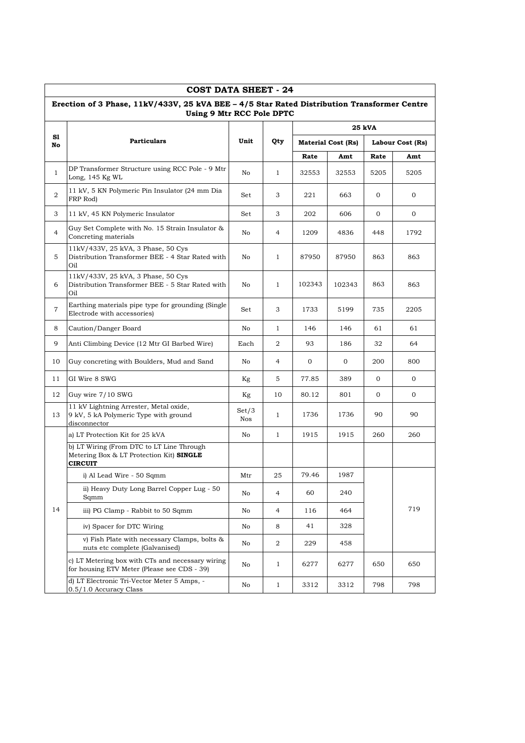|                | <b>COST DATA SHEET - 24</b>                                                                                              |              |                |        |                           |                |                  |  |  |
|----------------|--------------------------------------------------------------------------------------------------------------------------|--------------|----------------|--------|---------------------------|----------------|------------------|--|--|
|                | Erection of 3 Phase, 11kV/433V, 25 kVA BEE - 4/5 Star Rated Distribution Transformer Centre<br>Using 9 Mtr RCC Pole DPTC |              |                |        |                           |                |                  |  |  |
|                |                                                                                                                          |              |                |        |                           | 25 kVA         |                  |  |  |
| S1<br>No       | <b>Particulars</b>                                                                                                       | Unit         | Qty            |        | <b>Material Cost (Rs)</b> |                | Labour Cost (Rs) |  |  |
|                |                                                                                                                          |              |                | Rate   | Amt                       | Rate           | Amt              |  |  |
| $\mathbf{1}$   | DP Transformer Structure using RCC Pole - 9 Mtr<br>Long, 145 Kg WL                                                       | No.          | 1              | 32553  | 32553                     | 5205           | 5205             |  |  |
| 2              | 11 kV, 5 KN Polymeric Pin Insulator (24 mm Dia<br>FRP Rod)                                                               | Set          | 3              | 221    | 663                       | $\overline{0}$ | $\mathbf{0}$     |  |  |
| 3              | 11 kV, 45 KN Polymeric Insulator                                                                                         | Set          | 3              | 202    | 606                       | 0              | 0                |  |  |
| $\overline{4}$ | Guy Set Complete with No. 15 Strain Insulator &<br>Concreting materials                                                  | No           | 4              | 1209   | 4836                      | 448            | 1792             |  |  |
| 5              | 11kV/433V, 25 kVA, 3 Phase, 50 Cys<br>Distribution Transformer BEE - 4 Star Rated with<br>Oil                            | No           | 1              | 87950  | 87950                     | 863            | 863              |  |  |
| 6              | 11kV/433V, 25 kVA, 3 Phase, 50 Cys<br>Distribution Transformer BEE - 5 Star Rated with<br>Oil                            | No           | 1              | 102343 | 102343                    | 863            | 863              |  |  |
| 7              | Earthing materials pipe type for grounding (Single<br>Electrode with accessories)                                        | Set          | 3              | 1733   | 5199                      | 735            | 2205             |  |  |
| 8              | Caution/Danger Board                                                                                                     | No           | $\mathbf{1}$   | 146    | 146                       | 61             | 61               |  |  |
| 9              | Anti Climbing Device (12 Mtr GI Barbed Wire)                                                                             | Each         | 2              | 93     | 186                       | 32             | 64               |  |  |
| 10             | Guy concreting with Boulders, Mud and Sand                                                                               | No           | 4              | 0      | 0                         | 200            | 800              |  |  |
| 11             | GI Wire 8 SWG                                                                                                            | Kg           | 5              | 77.85  | 389                       | $\mathbf{0}$   | $\overline{0}$   |  |  |
| 12             | Guy wire 7/10 SWG                                                                                                        | Kg           | 10             | 80.12  | 801                       | 0              | 0                |  |  |
| 13             | 11 kV Lightning Arrester, Metal oxide,<br>9 kV, 5 kA Polymeric Type with ground<br>disconnector                          | Set/3<br>Nos | 1              | 1736   | 1736                      | 90             | 90               |  |  |
|                | a) LT Protection Kit for 25 kVA                                                                                          | No           | 1              | 1915   | 1915                      | 260            | 260              |  |  |
|                | b) LT Wiring (From DTC to LT Line Through<br>Metering Box & LT Protection Kit) SINGLE<br><b>CIRCUIT</b>                  |              |                |        |                           |                |                  |  |  |
|                | i) Al Lead Wire - 50 Sqmm                                                                                                | Mtr          | 25             | 79.46  | 1987                      |                |                  |  |  |
|                | ii) Heavy Duty Long Barrel Copper Lug - 50<br>Sqmm                                                                       | No           | 4              | 60     | 240                       |                |                  |  |  |
| 14             | iii) PG Clamp - Rabbit to 50 Sqmm                                                                                        | No           | $\overline{4}$ | 116    | 464                       |                | 719              |  |  |
|                | iv) Spacer for DTC Wiring                                                                                                | No           | 8              | 41     | 328                       |                |                  |  |  |
|                | v) Fish Plate with necessary Clamps, bolts &<br>nuts etc complete (Galvanised)                                           | No           | 2              | 229    | 458                       |                |                  |  |  |
|                | c) LT Metering box with CTs and necessary wiring<br>for housing ETV Meter (Please see CDS - 39)                          | No           | $\mathbf{1}$   | 6277   | 6277                      | 650            | 650              |  |  |
|                | d) LT Electronic Tri-Vector Meter 5 Amps, -<br>0.5/1.0 Accuracy Class                                                    | No           | $\mathbf{1}$   | 3312   | 3312                      | 798            | 798              |  |  |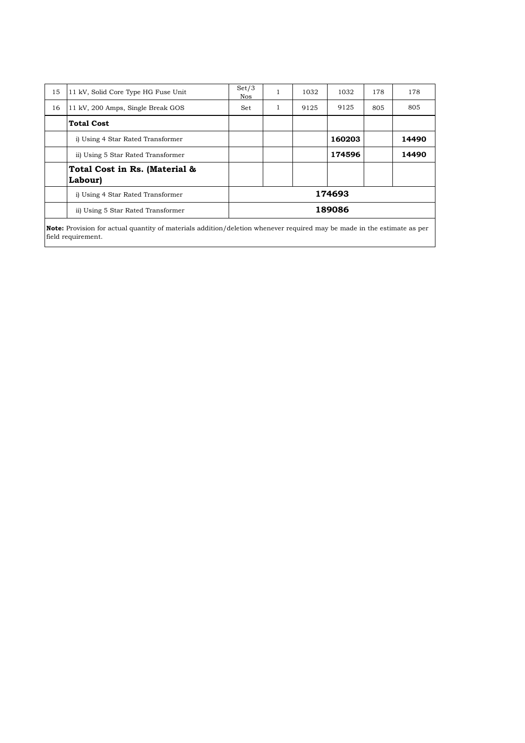| 15 | 11 kV, Solid Core Type HG Fuse Unit                                                                                            | Set/3<br>Nos. | 1 | 1032 | 1032   | 178 | 178   |  |  |  |
|----|--------------------------------------------------------------------------------------------------------------------------------|---------------|---|------|--------|-----|-------|--|--|--|
| 16 | 11 kV, 200 Amps, Single Break GOS                                                                                              | Set           | 1 | 9125 | 9125   | 805 | 805   |  |  |  |
|    | <b>Total Cost</b>                                                                                                              |               |   |      |        |     |       |  |  |  |
|    | i) Using 4 Star Rated Transformer                                                                                              |               |   |      | 160203 |     | 14490 |  |  |  |
|    | ii) Using 5 Star Rated Transformer                                                                                             |               |   |      | 174596 |     | 14490 |  |  |  |
|    | Total Cost in Rs. (Material &<br>Labour)                                                                                       |               |   |      |        |     |       |  |  |  |
|    | i) Using 4 Star Rated Transformer                                                                                              | 174693        |   |      |        |     |       |  |  |  |
|    | ii) Using 5 Star Rated Transformer                                                                                             | 189086        |   |      |        |     |       |  |  |  |
|    | <b>Note:</b> Provision for actual quantity of materials addition/deletion whenever required may be made in the estimate as per |               |   |      |        |     |       |  |  |  |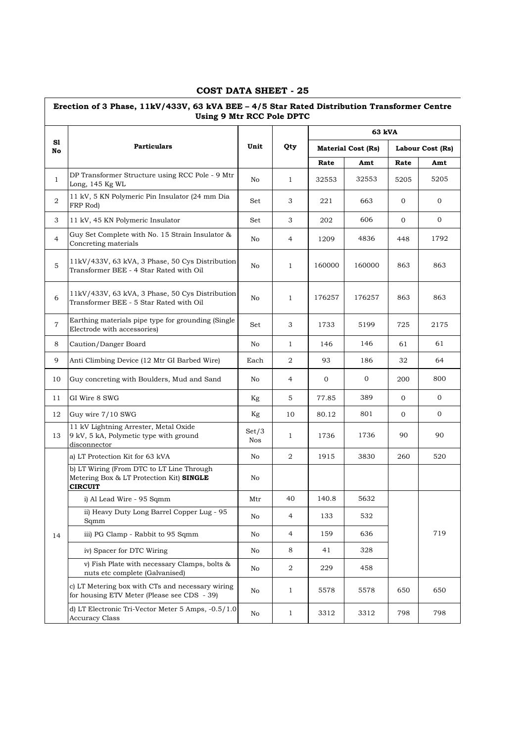#### **Rate Amt Rate Amt** 1 DP Transformer Structure using RCC Pole - 9 Mtr DP Transformer Structure using RCC Pole - 9 Mtr<br>Long, 145 Kg WL 5205 2 11 kV, 5 KN Polymeric Pin Insulator (24 mm Dia FRP Rod)  $\begin{bmatrix} 1 & 0 & 0 \\ 0 & 0 & 0 \\ 0 & 0 & 0 \end{bmatrix}$  Set  $\begin{bmatrix} 3 & 221 & 663 & 0 \\ 0 & 0 & 0 \\ 0 & 0 & 0 \end{bmatrix}$ 3 11 kV, 45 KN Polymeric Insulator Set 3 202 606 0 0 0 4 Guy Set Complete with No. 15 Strain Insulator & Guy Set Complete with No. 15 Strain insulator  $\alpha$  No  $\beta$  4 1209 4836 448 1792 5 11kV/433V, 63 kVA, 3 Phase, 50 Cys Distribution Transformer BEE - 4 Star Rated with Oil No <sup>1</sup> 160000 160000 863 863 6 11kV/433V, 63 kVA, 3 Phase, 50 Cys Distribution Transformer BEE - 5 Star Rated with Oil No <sup>1</sup> 176257 176257 863 863 7 Earthing materials pipe type for grounding (Single Electrode with accessories)<br>Electrode with accessories 8 Caution/Danger Board 1 No 1 146 146 61 61 9 Anti Climbing Device (12 Mtr GI Barbed Wire) Each 2 93 186 32 64 10 Guy concreting with Boulders, Mud and Sand No 4 0 0 200 800 11 GI Wire 8 SWG Kg | 5 | 77.85 | 389 | 0 | 0 12 Guy wire 7/10 SWG Kg 10 80.12 801 0 0 13 11 kV Lightning Arrester, Metal Oxide 9 kV, 5 kA, Polymetic type with ground disconnector Set/3  $\begin{array}{|c|c|c|c|c|c|c|c|c|} \hline \text{Nos} & 1 & 1736 & 1736 & 90 & 90 \ \hline \end{array}$ a) LT Protection Kit for 63 kVA No 2 1915 3830 260 520 b) LT Wiring (From DTC to LT Line Through Metering Box & LT Protection Kit) **SINGLE CIRCUIT** No i) Al Lead Wire - 95 Sqmm Mtr 40 140.8 5632 ii) Heavy Duty Long Barrel Copper Lug - 95 Mo diene die 133 (132 – 133 – 133 – 133 – 133 – 133 – 133 – 133 – 1<br>Sqmm 14 iii) PG Clamp - Rabbit to 95 Sqmm No 4 159 636 719 iv) Spacer for DTC Wiring No 8 41 328 v) Fish Plate with necessary Clamps, bolts & v Fish Plate with necessary Clamps, bolts  $\alpha$   $N_0$   $2$   $229$  458 nuts etc complete (Galvanised) c) LT Metering box with CTs and necessary wiring for housing ETV Meter (Please see CDS - 39) No <sup>1</sup> 5578 5578 650 650 d) LT Electronic Tri-Vector Meter 5 Amps, -0.5/1.0  $A_{\text{c} \text{curacy Class}}$  Class  $A_{\text{c} \text{curacy Class}}$  No  $A_{\text{c} \text{curacy Class}}$  1 3312 3312 798 798 **Erection of 3 Phase, 11kV/433V, 63 kVA BEE – 4/5 Star Rated Distribution Transformer Centre Using 9 Mtr RCC Pole DPTC Sl No Particulars Unit Qty 63 kVA Material Cost (Rs) Labour Cost (Rs)**

#### **COST DATA SHEET - 25**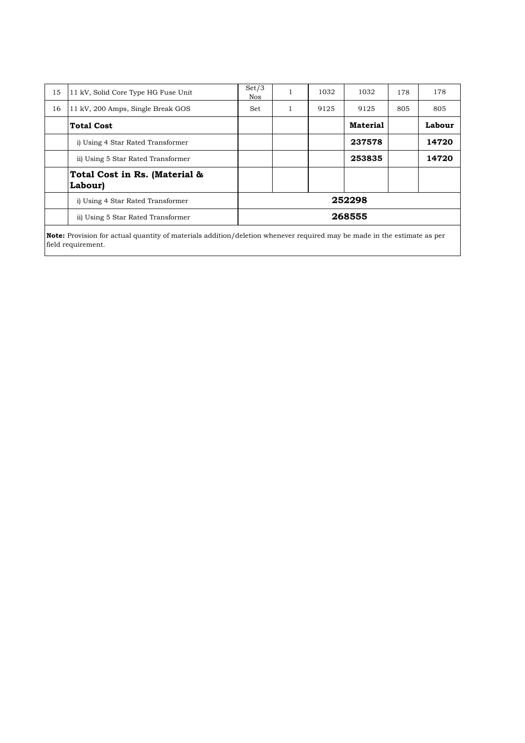| 15 | 11 kV, Solid Core Type HG Fuse Unit      | Set/3<br><b>Nos</b> | 1            | 1032 | 1032            | 178 | 178    |  |  |
|----|------------------------------------------|---------------------|--------------|------|-----------------|-----|--------|--|--|
| 16 | 11 kV, 200 Amps, Single Break GOS        | Set                 | $\mathbf{1}$ | 9125 | 9125            | 805 | 805    |  |  |
|    | <b>Total Cost</b>                        |                     |              |      | <b>Material</b> |     | Labour |  |  |
|    | i) Using 4 Star Rated Transformer        |                     |              |      | 237578          |     | 14720  |  |  |
|    | ii) Using 5 Star Rated Transformer       |                     |              |      | 253835          |     | 14720  |  |  |
|    | Total Cost in Rs. (Material &<br>Labour) |                     |              |      |                 |     |        |  |  |
|    | i) Using 4 Star Rated Transformer        | 252298              |              |      |                 |     |        |  |  |
|    | ii) Using 5 Star Rated Transformer       |                     |              |      | 268555          |     |        |  |  |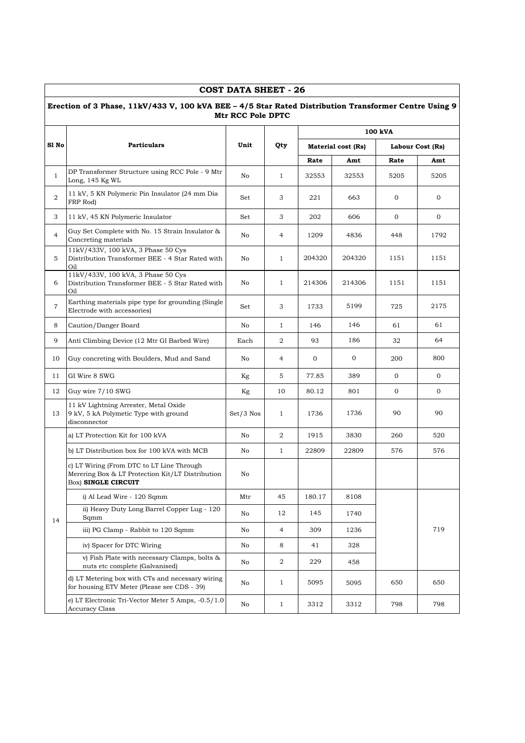|                | Erection of 3 Phase, 11kV/433 V, 100 kVA BEE - 4/5 Star Rated Distribution Transformer Centre Using 9                       | Mtr RCC Pole DPTC |                |         |                           |                |                  |  |  |
|----------------|-----------------------------------------------------------------------------------------------------------------------------|-------------------|----------------|---------|---------------------------|----------------|------------------|--|--|
|                |                                                                                                                             |                   |                | 100 kVA |                           |                |                  |  |  |
| Sl No          | <b>Particulars</b>                                                                                                          | Unit              | Qty            |         | <b>Material cost (Rs)</b> |                | Labour Cost (Rs) |  |  |
|                |                                                                                                                             |                   |                | Rate    | Amt                       | Rate           | Amt              |  |  |
| $\mathbf{1}$   | DP Transformer Structure using RCC Pole - 9 Mtr<br>Long, 145 Kg WL                                                          | No                | 1              | 32553   | 32553                     | 5205           | 5205             |  |  |
| 2              | 11 kV, 5 KN Polymeric Pin Insulator (24 mm Dia<br>FRP Rod)                                                                  | Set               | 3              | 221     | 663                       | 0              | 0                |  |  |
| 3              | 11 kV, 45 KN Polymeric Insulator                                                                                            | Set               | 3              | 202     | 606                       | $\mathbf 0$    | $\mathbf 0$      |  |  |
| 4              | Guy Set Complete with No. 15 Strain Insulator &<br>Concreting materials                                                     | No                | 4              | 1209    | 4836                      | 448            | 1792             |  |  |
| 5              | 11kV/433V, 100 kVA, 3 Phase 50 Cys<br>Distribution Transformer BEE - 4 Star Rated with<br>Oil                               | No                | $\mathbf{1}$   | 204320  | 204320                    | 1151           | 1151             |  |  |
| 6              | 11kV/433V, 100 kVA, 3 Phase 50 Cys<br>Distribution Transformer BEE - 5 Star Rated with<br>Oil                               | No                | $\mathbf{1}$   | 214306  | 214306                    | 1151           | 1151             |  |  |
| $\overline{7}$ | Earthing materials pipe type for grounding (Single<br>Electrode with accessories)                                           | Set               | 3              | 1733    | 5199                      | 725            | 2175             |  |  |
| 8              | Caution/Danger Board                                                                                                        | No                | $\mathbf{1}$   | 146     | 146                       | 61             | 61               |  |  |
| 9              | Anti Climbing Device (12 Mtr GI Barbed Wire)                                                                                | Each              | 2              | 93      | 186                       | 32             | 64               |  |  |
| 10             | Guy concreting with Boulders, Mud and Sand                                                                                  | No                | 4              | 0       | 0                         | 200            | 800              |  |  |
| 11             | GI Wire 8 SWG                                                                                                               | Kg                | 5              | 77.85   | 389                       | $\overline{0}$ | 0                |  |  |
| 12             | Guy wire 7/10 SWG                                                                                                           | Kg                | 10             | 80.12   | 801                       | $\mathbf{0}$   | $\mathbf{O}$     |  |  |
| 13             | 11 kV Lightning Arrester, Metal Oxide<br>9 kV, 5 kA Polymetic Type with ground<br>disconnector                              | $Set/3$ Nos       | $\mathbf{1}$   | 1736    | 1736                      | 90             | 90               |  |  |
|                | a) LT Protection Kit for 100 kVA                                                                                            | No                | 2              | 1915    | 3830                      | 260            | 520              |  |  |
|                | b) LT Distribution box for 100 kVA with MCB                                                                                 | No                | $\mathbf{1}$   | 22809   | 22809                     | 576            | 576              |  |  |
|                | c) LT Wiring (From DTC to LT Line Through<br>Merering Box & LT Protection Kit/LT Distribution<br>Box) <b>SINGLE CIRCUIT</b> | No                |                |         |                           |                |                  |  |  |
|                | i) Al Lead Wire - 120 Sqmm                                                                                                  | Mtr               | 45             | 180.17  | 8108                      |                |                  |  |  |
| 14             | ii) Heavy Duty Long Barrel Copper Lug - 120<br>Sqmm                                                                         | No                | 12             | 145     | 1740                      |                |                  |  |  |
|                | iii) PG Clamp - Rabbit to 120 Sqmm                                                                                          | No                | $\overline{4}$ | 309     | 1236                      |                | 719              |  |  |
|                | iv) Spacer for DTC Wiring                                                                                                   | No                | 8              | 41      | 328                       |                |                  |  |  |
|                | v) Fish Plate with necessary Clamps, bolts &<br>nuts etc complete (Galvanised)                                              | No                | 2              | 229     | 458                       |                |                  |  |  |
|                | d) LT Metering box with CTs and necessary wiring<br>for housing ETV Meter (Please see CDS - 39)                             | No                | 1              | 5095    | 5095                      | 650            | 650              |  |  |
|                | e) LT Electronic Tri-Vector Meter 5 Amps, -0.5/1.0<br>Accuracy Class                                                        | No                | $\mathbf{1}$   | 3312    | 3312                      | 798            | 798              |  |  |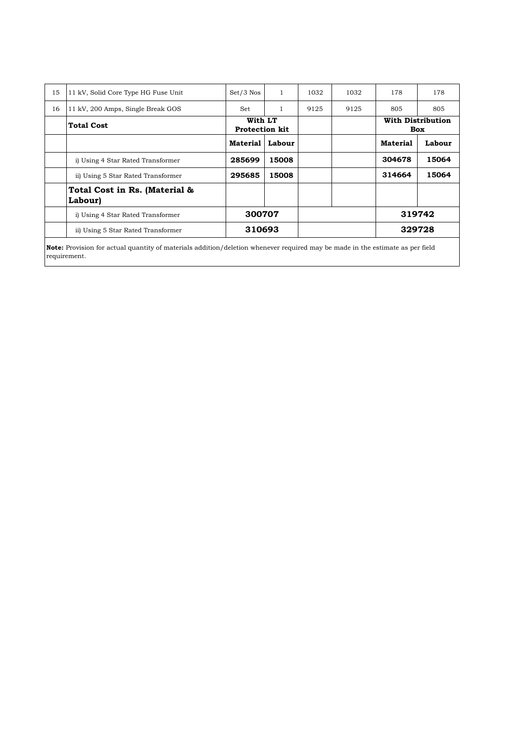| 15 | 11 kV, Solid Core Type HG Fuse Unit                                                                                                  | $Set/3$ Nos     | 1                                | 1032 | 1032 | 178             | 178    |                                 |  |
|----|--------------------------------------------------------------------------------------------------------------------------------------|-----------------|----------------------------------|------|------|-----------------|--------|---------------------------------|--|
| 16 | 11 kV, 200 Amps, Single Break GOS                                                                                                    | Set             |                                  | 9125 | 9125 | 805             | 805    |                                 |  |
|    | <b>Total Cost</b>                                                                                                                    |                 | With LT<br><b>Protection kit</b> |      |      |                 |        | <b>With Distribution</b><br>Box |  |
|    |                                                                                                                                      | <b>Material</b> | Labour                           |      |      | <b>Material</b> | Labour |                                 |  |
|    | i) Using 4 Star Rated Transformer                                                                                                    | 285699          | 15008                            |      |      | 304678          | 15064  |                                 |  |
|    | ii) Using 5 Star Rated Transformer                                                                                                   | 295685          | 15008                            |      |      | 314664          | 15064  |                                 |  |
|    | Total Cost in Rs. (Material &<br>Labour)                                                                                             |                 |                                  |      |      |                 |        |                                 |  |
|    | i) Using 4 Star Rated Transformer                                                                                                    | 300707          |                                  |      |      |                 | 319742 |                                 |  |
|    | ii) Using 5 Star Rated Transformer                                                                                                   | 310693          |                                  |      |      |                 | 329728 |                                 |  |
|    | <b>Note:</b> Provision for actual quantity of materials addition/deletion whenever required may be made in the estimate as per field |                 |                                  |      |      |                 |        |                                 |  |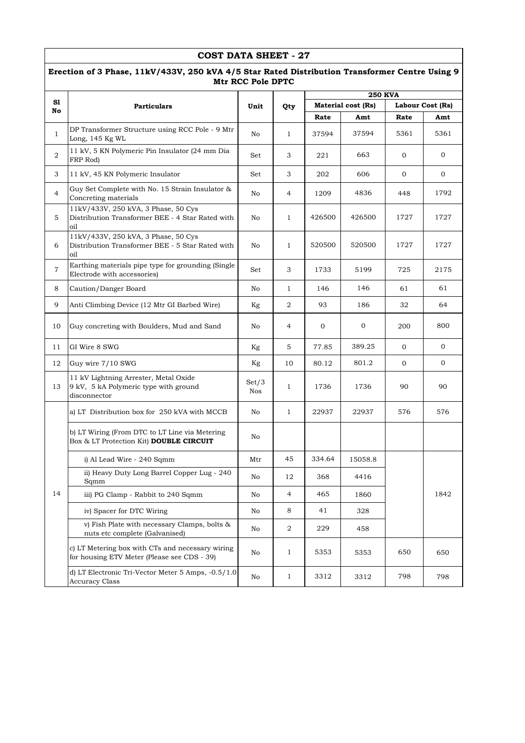|                | COST DATA SHEET - 27                                                                                                |              |                  |                                        |         |              |                |  |  |  |  |
|----------------|---------------------------------------------------------------------------------------------------------------------|--------------|------------------|----------------------------------------|---------|--------------|----------------|--|--|--|--|
|                | Erection of 3 Phase, 11kV/433V, 250 kVA 4/5 Star Rated Distribution Transformer Centre Using 9<br>Mtr RCC Pole DPTC |              |                  |                                        |         |              |                |  |  |  |  |
|                |                                                                                                                     |              |                  | <b>250 KVA</b>                         |         |              |                |  |  |  |  |
| S1<br>No       | <b>Particulars</b>                                                                                                  | Unit         | Qty              | Material cost (Rs)<br>Labour Cost (Rs) |         |              |                |  |  |  |  |
|                |                                                                                                                     |              |                  | Rate                                   | Amt     | Rate         | Amt            |  |  |  |  |
| $\mathbf{1}$   | DP Transformer Structure using RCC Pole - 9 Mtr<br>Long, 145 Kg WL                                                  | No           | $\mathbf{1}$     | 37594                                  | 37594   | 5361         | 5361           |  |  |  |  |
| $\overline{a}$ | 11 kV, 5 KN Polymeric Pin Insulator (24 mm Dia<br>FRP Rod)                                                          | Set          | 3                | 221                                    | 663     | $\mathbf{0}$ | 0              |  |  |  |  |
| 3              | 11 kV, 45 KN Polymeric Insulator                                                                                    | Set          | 3                | 202                                    | 606     | $\mathbf{0}$ | $\overline{0}$ |  |  |  |  |
| 4              | Guy Set Complete with No. 15 Strain Insulator &<br>Concreting materials                                             | No           | $\overline{4}$   | 1209                                   | 4836    | 448          | 1792           |  |  |  |  |
| 5              | 11kV/433V, 250 kVA, 3 Phase, 50 Cys<br>Distribution Transformer BEE - 4 Star Rated with<br>oil                      | No           | $\mathbf{1}$     | 426500                                 | 426500  | 1727         | 1727           |  |  |  |  |
| 6              | 11kV/433V, 250 kVA, 3 Phase, 50 Cys<br>Distribution Transformer BEE - 5 Star Rated with<br>oil                      | No           | $\mathbf{1}$     | 520500                                 | 520500  | 1727         | 1727           |  |  |  |  |
| $\overline{7}$ | Earthing materials pipe type for grounding (Single<br>Electrode with accessories)                                   | Set          | 3                | 1733                                   | 5199    | 725          | 2175           |  |  |  |  |
| 8              | Caution/Danger Board                                                                                                | No           | $\mathbf{1}$     | 146                                    | 146     | 61           | 61             |  |  |  |  |
| 9              | Anti Climbing Device (12 Mtr GI Barbed Wire)                                                                        | Kg           | 2                | 93                                     | 186     | 32           | 64             |  |  |  |  |
| 10             | Guy concreting with Boulders, Mud and Sand                                                                          | No           | 4                | 0                                      | 0       | 200          | 800            |  |  |  |  |
| 11             | GI Wire 8 SWG                                                                                                       | Kg           | 5                | 77.85                                  | 389.25  | $\mathbf{0}$ | 0              |  |  |  |  |
| 12             | Guy wire 7/10 SWG                                                                                                   | Kg           | 10               | 80.12                                  | 801.2   | 0            | 0              |  |  |  |  |
| 13             | 11 kV Lightning Arrester, Metal Oxide<br>9 kV, 5 kA Polymeric type with ground<br>disconnector                      | Set/3<br>Nos | $\mathbf{1}$     | 1736                                   | 1736    | 90           | 90             |  |  |  |  |
|                | a) LT Distribution box for 250 kVA with MCCB                                                                        | No           | $\mathbf{1}$     | 22937                                  | 22937   | 576          | 576            |  |  |  |  |
|                | b) LT Wiring (From DTC to LT Line via Metering<br>Box & LT Protection Kit) DOUBLE CIRCUIT                           | No           |                  |                                        |         |              |                |  |  |  |  |
|                | i) Al Lead Wire - 240 Sqmm                                                                                          | Mtr          | 45               | 334.64                                 | 15058.8 |              |                |  |  |  |  |
|                | ii) Heavy Duty Long Barrel Copper Lug - 240<br>Sqmm                                                                 | No           | 12               | 368                                    | 4416    |              |                |  |  |  |  |
| 14             | iii) PG Clamp - Rabbit to 240 Sqmm                                                                                  | No           | $\overline{4}$   | 465                                    | 1860    |              | 1842           |  |  |  |  |
|                | iv) Spacer for DTC Wiring                                                                                           | No           | 8                | 41                                     | 328     |              |                |  |  |  |  |
|                | v) Fish Plate with necessary Clamps, bolts &<br>nuts etc complete (Galvanised)                                      | No           | $\boldsymbol{2}$ | 229                                    | 458     |              |                |  |  |  |  |
|                | c) LT Metering box with CTs and necessary wiring<br>for housing ETV Meter (Please see CDS - 39)                     | No           | $\mathbf{1}$     | 5353                                   | 5353    | 650          | 650            |  |  |  |  |
|                | d) LT Electronic Tri-Vector Meter 5 Amps, -0.5/1.0<br><b>Accuracy Class</b>                                         | No           | $\mathbf{1}$     | 3312                                   | 3312    | 798          | 798            |  |  |  |  |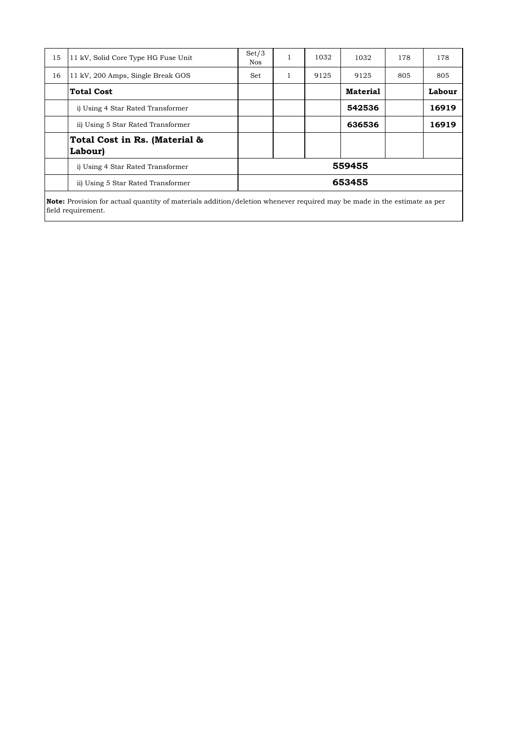| 15 | 11 kV, Solid Core Type HG Fuse Unit      | Set/3<br><b>Nos</b> |   | 1032 | 1032            | 178 | 178    |  |  |
|----|------------------------------------------|---------------------|---|------|-----------------|-----|--------|--|--|
| 16 | 11 kV, 200 Amps, Single Break GOS        | Set                 | 1 | 9125 | 9125            | 805 | 805    |  |  |
|    | <b>Total Cost</b>                        |                     |   |      | <b>Material</b> |     | Labour |  |  |
|    | i) Using 4 Star Rated Transformer        |                     |   |      | 542536          |     | 16919  |  |  |
|    | ii) Using 5 Star Rated Transformer       |                     |   |      | 636536          |     | 16919  |  |  |
|    | Total Cost in Rs. (Material &<br>Labour) |                     |   |      |                 |     |        |  |  |
|    | i) Using 4 Star Rated Transformer        | 559455              |   |      |                 |     |        |  |  |
|    | ii) Using 5 Star Rated Transformer       |                     |   |      | 653455          |     |        |  |  |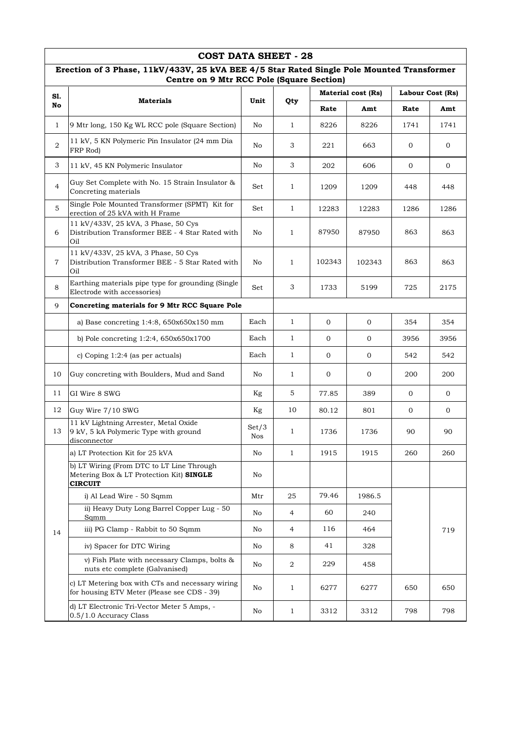|                | <b>COST DATA SHEET - 28</b>                                                                                                            |              |                  |        |                           |                  |              |  |  |  |  |
|----------------|----------------------------------------------------------------------------------------------------------------------------------------|--------------|------------------|--------|---------------------------|------------------|--------------|--|--|--|--|
|                | Erection of 3 Phase, 11kV/433V, 25 kVA BEE 4/5 Star Rated Single Pole Mounted Transformer<br>Centre on 9 Mtr RCC Pole (Square Section) |              |                  |        |                           |                  |              |  |  |  |  |
| SI.            |                                                                                                                                        |              |                  |        | <b>Material cost (Rs)</b> | Labour Cost (Rs) |              |  |  |  |  |
| No             | <b>Materials</b>                                                                                                                       | Unit         | Qty              | Rate   | Amt                       | Rate             | Amt          |  |  |  |  |
| 1              | 9 Mtr long, 150 Kg WL RCC pole (Square Section)                                                                                        | No           | $\mathbf{1}$     | 8226   | 8226                      | 1741             | 1741         |  |  |  |  |
| 2              | 11 kV, 5 KN Polymeric Pin Insulator (24 mm Dia<br>FRP Rod)                                                                             | No           | 3                | 221    | 663                       | $\overline{0}$   | $\mathbf 0$  |  |  |  |  |
| 3              | 11 kV, 45 KN Polymeric Insulator                                                                                                       | No           | 3                | 202    | 606                       | 0                | $\mathbf{0}$ |  |  |  |  |
| $\overline{4}$ | Guy Set Complete with No. 15 Strain Insulator &<br>Concreting materials                                                                | Set          | $\mathbf{1}$     | 1209   | 1209                      | 448              | 448          |  |  |  |  |
| 5              | Single Pole Mounted Transformer (SPMT) Kit for<br>erection of 25 kVA with H Frame                                                      | Set          | $\mathbf{1}$     | 12283  | 12283                     | 1286             | 1286         |  |  |  |  |
| 6              | 11 kV/433V, 25 kVA, 3 Phase, 50 Cys<br>Distribution Transformer BEE - 4 Star Rated with<br>Oil                                         | No           | $\mathbf{1}$     | 87950  | 87950                     | 863              | 863          |  |  |  |  |
| $\overline{7}$ | 11 kV/433V, 25 kVA, 3 Phase, 50 Cys<br>Distribution Transformer BEE - 5 Star Rated with<br>Oil                                         | No           | $\mathbf{1}$     | 102343 | 102343                    | 863              | 863          |  |  |  |  |
| 8              | Earthing materials pipe type for grounding (Single<br>Electrode with accessories)                                                      | Set          | 3                | 1733   | 5199                      | 725              | 2175         |  |  |  |  |
| 9              | Concreting materials for 9 Mtr RCC Square Pole                                                                                         |              |                  |        |                           |                  |              |  |  |  |  |
|                | a) Base concreting $1:4:8$ , $650x650x150$ mm                                                                                          | Each         | $\mathbf{1}$     | 0      | 0                         | 354              | 354          |  |  |  |  |
|                | b) Pole concreting $1:2:4$ , $650x650x1700$                                                                                            | Each         | $\mathbf{1}$     | 0      | $\mathbf 0$               | 3956             | 3956         |  |  |  |  |
|                | c) Coping $1:2:4$ (as per actuals)                                                                                                     | Each         | $\mathbf{1}$     | 0      | $\mathbf 0$               | 542              | 542          |  |  |  |  |
| 10             | Guy concreting with Boulders, Mud and Sand                                                                                             | No           | $\mathbf{1}$     | 0      | 0                         | 200              | 200          |  |  |  |  |
| 11             | GI Wire 8 SWG                                                                                                                          | Kg           | 5                | 77.85  | 389                       | $\overline{0}$   | $\mathbf{O}$ |  |  |  |  |
| 12             | Guy Wire 7/10 SWG                                                                                                                      | Kg           | 10               | 80.12  | 801                       | 0                | $\mathbf 0$  |  |  |  |  |
| 13             | 11 kV Lightning Arrester, Metal Oxide<br>9 kV, 5 kA Polymeric Type with ground<br>disconnector                                         | Set/3<br>Nos | 1                | 1736   | 1736                      | 90               | 90           |  |  |  |  |
|                | a) LT Protection Kit for 25 kVA                                                                                                        | No           | $\mathbf{1}$     | 1915   | 1915                      | 260              | 260          |  |  |  |  |
|                | b) LT Wiring (From DTC to LT Line Through<br>Metering Box & LT Protection Kit) SINGLE<br><b>CIRCUIT</b>                                | No           |                  |        |                           |                  |              |  |  |  |  |
|                | i) Al Lead Wire - 50 Sqmm                                                                                                              | Mtr          | 25               | 79.46  | 1986.5                    |                  |              |  |  |  |  |
|                | ii) Heavy Duty Long Barrel Copper Lug - 50<br>Sqmm                                                                                     | No           | 4                | 60     | 240                       |                  |              |  |  |  |  |
| 14             | iii) PG Clamp - Rabbit to 50 Sqmm                                                                                                      | No           | 4                | 116    | 464                       |                  | 719          |  |  |  |  |
|                | iv) Spacer for DTC Wiring                                                                                                              | No           | 8                | 41     | 328                       |                  |              |  |  |  |  |
|                | v) Fish Plate with necessary Clamps, bolts &<br>nuts etc complete (Galvanised)                                                         | No           | $\boldsymbol{2}$ | 229    | 458                       |                  |              |  |  |  |  |
|                | c) LT Metering box with CTs and necessary wiring<br>for housing ETV Meter (Please see CDS - 39)                                        | No           | 1                | 6277   | 6277                      | 650              | 650          |  |  |  |  |
|                | d) LT Electronic Tri-Vector Meter 5 Amps, -<br>0.5/1.0 Accuracy Class                                                                  | No           | $\mathbf{1}$     | 3312   | 3312                      | 798              | 798          |  |  |  |  |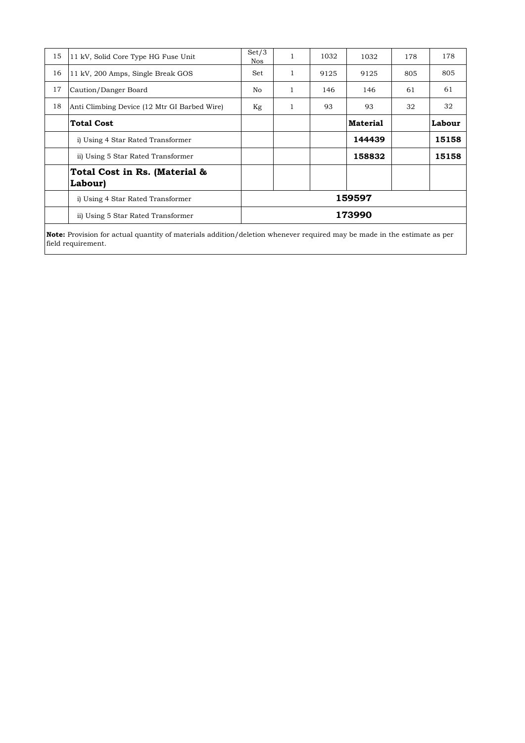| 15 | 11 kV, Solid Core Type HG Fuse Unit          | Set/3<br>Nos |   | 1032 | 1032            | 178 | 178    |  |
|----|----------------------------------------------|--------------|---|------|-----------------|-----|--------|--|
| 16 | 11 kV, 200 Amps, Single Break GOS            | <b>Set</b>   |   | 9125 | 9125            | 805 | 805    |  |
| 17 | Caution/Danger Board                         | No           | 1 | 146  | 146             | 61  | 61     |  |
| 18 | Anti Climbing Device (12 Mtr GI Barbed Wire) | Kg           |   | 93   | 93              | 32  | 32     |  |
|    | <b>Total Cost</b>                            |              |   |      | <b>Material</b> |     | Labour |  |
|    | i) Using 4 Star Rated Transformer            |              |   |      | 144439          |     | 15158  |  |
|    | ii) Using 5 Star Rated Transformer           |              |   |      | 158832          |     | 15158  |  |
|    | Total Cost in Rs. (Material &<br>Labour)     |              |   |      |                 |     |        |  |
|    | i) Using 4 Star Rated Transformer            | 159597       |   |      |                 |     |        |  |
|    | ii) Using 5 Star Rated Transformer           | 173990       |   |      |                 |     |        |  |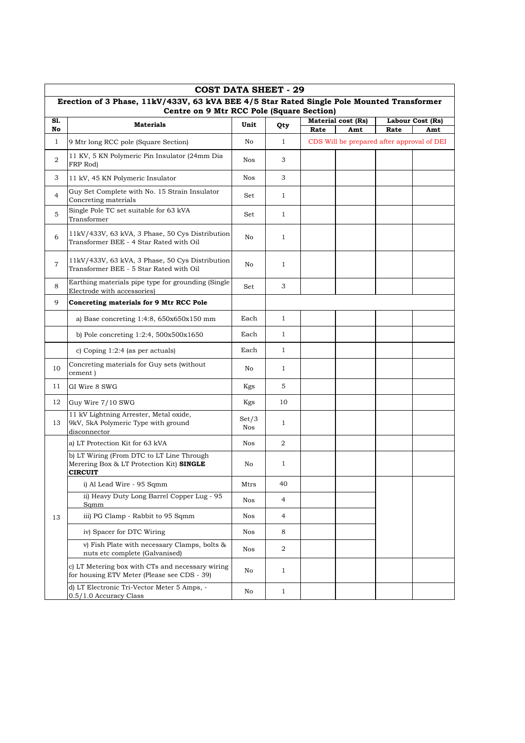|              | <b>COST DATA SHEET - 29</b>                                                                                                            |                     |                |      |                                            |      |                         |  |  |  |  |
|--------------|----------------------------------------------------------------------------------------------------------------------------------------|---------------------|----------------|------|--------------------------------------------|------|-------------------------|--|--|--|--|
|              | Erection of 3 Phase, 11kV/433V, 63 kVA BEE 4/5 Star Rated Single Pole Mounted Transformer<br>Centre on 9 Mtr RCC Pole (Square Section) |                     |                |      |                                            |      |                         |  |  |  |  |
|              |                                                                                                                                        |                     |                |      |                                            |      |                         |  |  |  |  |
| S1.<br>No    | <b>Materials</b>                                                                                                                       | Unit                | Qty            | Rate | <b>Material cost (Rs)</b><br>Amt           | Rate | Labour Cost (Rs)<br>Amt |  |  |  |  |
| $\mathbf{1}$ | 9 Mtr long RCC pole (Square Section)                                                                                                   | No                  | $\mathbf{1}$   |      | CDS Will be prepared after approval of DEI |      |                         |  |  |  |  |
| 2            | 11 KV, 5 KN Polymeric Pin Insulator (24mm Dia<br>FRP Rod)                                                                              | <b>Nos</b>          | 3              |      |                                            |      |                         |  |  |  |  |
| 3            | 11 kV, 45 KN Polymeric Insulator                                                                                                       | Nos                 | 3              |      |                                            |      |                         |  |  |  |  |
| 4            | Guy Set Complete with No. 15 Strain Insulator<br>Concreting materials                                                                  | Set                 | $\mathbf{1}$   |      |                                            |      |                         |  |  |  |  |
| 5            | Single Pole TC set suitable for 63 kVA<br>Transformer                                                                                  | Set                 | $\mathbf{1}$   |      |                                            |      |                         |  |  |  |  |
| 6            | 11kV/433V, 63 kVA, 3 Phase, 50 Cys Distribution<br>Transformer BEE - 4 Star Rated with Oil                                             | No                  | $\mathbf{1}$   |      |                                            |      |                         |  |  |  |  |
| 7            | 11kV/433V, 63 kVA, 3 Phase, 50 Cys Distribution<br>Transformer BEE - 5 Star Rated with Oil                                             | No                  | $\mathbf{1}$   |      |                                            |      |                         |  |  |  |  |
| 8            | Earthing materials pipe type for grounding (Single<br>Electrode with accessories)                                                      | Set                 | 3              |      |                                            |      |                         |  |  |  |  |
| 9            | Concreting materials for 9 Mtr RCC Pole                                                                                                |                     |                |      |                                            |      |                         |  |  |  |  |
|              | a) Base concreting $1:4:8$ , $650x650x150$ mm                                                                                          | Each                | $\mathbf{1}$   |      |                                            |      |                         |  |  |  |  |
|              | b) Pole concreting 1:2:4, 500x500x1650                                                                                                 | Each                | $\mathbf{1}$   |      |                                            |      |                         |  |  |  |  |
|              | c) Coping $1:2:4$ (as per actuals)                                                                                                     | Each                | $\mathbf{1}$   |      |                                            |      |                         |  |  |  |  |
| 10           | Concreting materials for Guy sets (without<br>cement)                                                                                  | No                  | $\mathbf{1}$   |      |                                            |      |                         |  |  |  |  |
| 11           | GI Wire 8 SWG                                                                                                                          | Kgs                 | 5              |      |                                            |      |                         |  |  |  |  |
| 12           | Guy Wire 7/10 SWG                                                                                                                      | Kgs                 | 10             |      |                                            |      |                         |  |  |  |  |
| 13           | 11 kV Lightning Arrester, Metal oxide,<br>9kV, 5kA Polymeric Type with ground<br>disconnector                                          | Set/3<br><b>Nos</b> | $\mathbf{1}$   |      |                                            |      |                         |  |  |  |  |
|              | a) LT Protection Kit for 63 kVA                                                                                                        | Nos                 | $\overline{a}$ |      |                                            |      |                         |  |  |  |  |
|              | b) LT Wiring (From DTC to LT Line Through<br>Merering Box & LT Protection Kit) SINGLE<br><b>CIRCUIT</b>                                | No                  | $\mathbf{1}$   |      |                                            |      |                         |  |  |  |  |
|              | i) Al Lead Wire - 95 Sqmm                                                                                                              | Mtrs                | 40             |      |                                            |      |                         |  |  |  |  |
|              | ii) Heavy Duty Long Barrel Copper Lug - 95<br>Sqmm                                                                                     | Nos                 | 4              |      |                                            |      |                         |  |  |  |  |
| 13           | iii) PG Clamp - Rabbit to 95 Sqmm                                                                                                      | Nos                 | 4              |      |                                            |      |                         |  |  |  |  |
|              | iv) Spacer for DTC Wiring                                                                                                              | Nos                 | 8              |      |                                            |      |                         |  |  |  |  |
|              | v) Fish Plate with necessary Clamps, bolts &<br>nuts etc complete (Galvanised)                                                         | Nos                 | 2              |      |                                            |      |                         |  |  |  |  |
|              | c) LT Metering box with CTs and necessary wiring<br>for housing ETV Meter (Please see CDS - 39)                                        | No                  | $\mathbf{1}$   |      |                                            |      |                         |  |  |  |  |
|              | d) LT Electronic Tri-Vector Meter 5 Amps, -<br>0.5/1.0 Accuracy Class                                                                  | No                  | $\mathbf{1}$   |      |                                            |      |                         |  |  |  |  |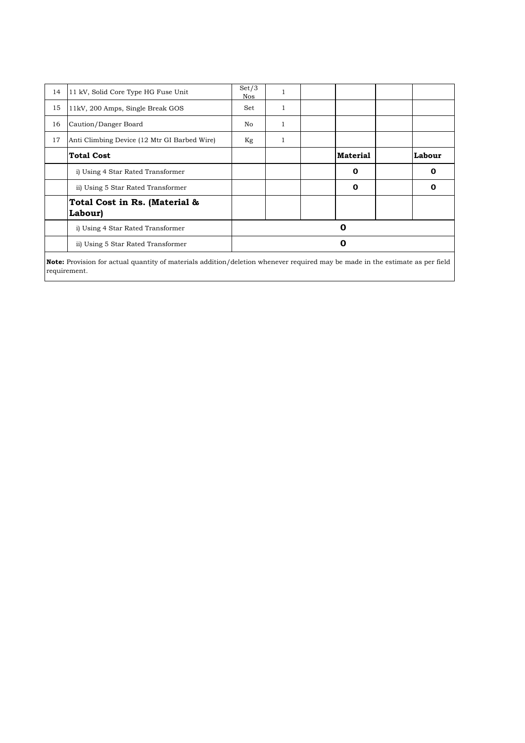| 11 kV, Solid Core Type HG Fuse Unit          | Set/3<br>Nos | 1            |             |             |  |  |  |  |
|----------------------------------------------|--------------|--------------|-------------|-------------|--|--|--|--|
| 11kV, 200 Amps, Single Break GOS             | Set          | 1            |             |             |  |  |  |  |
| Caution/Danger Board                         | No.          | 1            |             |             |  |  |  |  |
| Anti Climbing Device (12 Mtr GI Barbed Wire) | Kg           | $\mathbf{1}$ |             |             |  |  |  |  |
| <b>Total Cost</b>                            |              |              | Material    | Labour      |  |  |  |  |
| i) Using 4 Star Rated Transformer            |              |              | 0           | $\mathbf 0$ |  |  |  |  |
| ii) Using 5 Star Rated Transformer           |              |              | $\mathbf 0$ | 0           |  |  |  |  |
| Total Cost in Rs. (Material &<br>Labour)     |              |              |             |             |  |  |  |  |
| i) Using 4 Star Rated Transformer            | 0            |              |             |             |  |  |  |  |
| ii) Using 5 Star Rated Transformer           | 0            |              |             |             |  |  |  |  |
|                                              |              |              |             |             |  |  |  |  |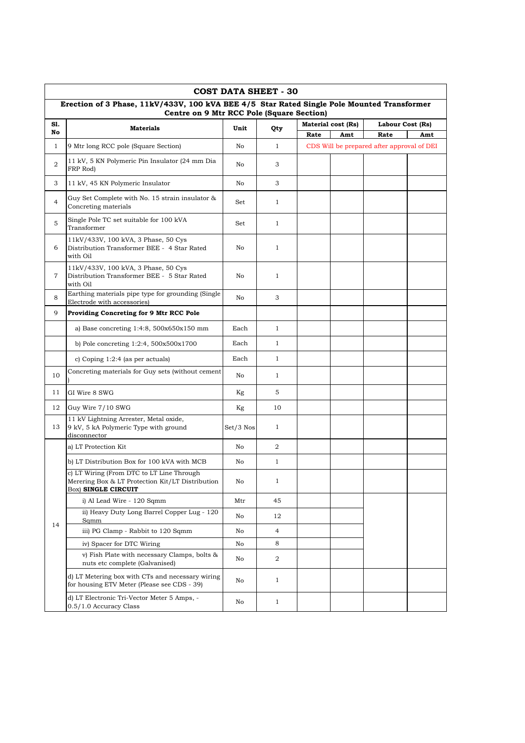| <b>COST DATA SHEET - 30</b> |                                                                                                                                         |             |                  |      |                    |                                            |     |  |  |  |  |
|-----------------------------|-----------------------------------------------------------------------------------------------------------------------------------------|-------------|------------------|------|--------------------|--------------------------------------------|-----|--|--|--|--|
|                             | Erection of 3 Phase, 11kV/433V, 100 kVA BEE 4/5 Star Rated Single Pole Mounted Transformer<br>Centre on 9 Mtr RCC Pole (Square Section) |             |                  |      |                    |                                            |     |  |  |  |  |
| S1.                         | <b>Materials</b>                                                                                                                        | Unit        |                  |      | Material cost (Rs) | Labour Cost (Rs)                           |     |  |  |  |  |
| No                          |                                                                                                                                         |             | Qty              | Rate | Amt                | Rate                                       | Amt |  |  |  |  |
| $\mathbf{1}$                | 9 Mtr long RCC pole (Square Section)                                                                                                    | No          | $\mathbf{1}$     |      |                    | CDS Will be prepared after approval of DEI |     |  |  |  |  |
| $\overline{2}$              | 11 kV, 5 KN Polymeric Pin Insulator (24 mm Dia<br>FRP Rod)                                                                              | No          | 3                |      |                    |                                            |     |  |  |  |  |
| 3                           | 11 kV, 45 KN Polymeric Insulator                                                                                                        | No          | 3                |      |                    |                                            |     |  |  |  |  |
| $\overline{4}$              | Guy Set Complete with No. 15 strain insulator &<br>Concreting materials                                                                 | Set         | $\mathbf{1}$     |      |                    |                                            |     |  |  |  |  |
| 5                           | Single Pole TC set suitable for 100 kVA<br>Transformer                                                                                  | Set         | $\mathbf{1}$     |      |                    |                                            |     |  |  |  |  |
| 6                           | 11kV/433V, 100 kVA, 3 Phase, 50 Cys<br>Distribution Transformer BEE - 4 Star Rated<br>with Oil                                          | No          | $\mathbf{1}$     |      |                    |                                            |     |  |  |  |  |
| 7                           | 11kV/433V, 100 kVA, 3 Phase, 50 Cys<br>Distribution Transformer BEE - 5 Star Rated<br>with Oil                                          | No          | $\mathbf{1}$     |      |                    |                                            |     |  |  |  |  |
| 8                           | Earthing materials pipe type for grounding (Single<br>Electrode with accessories)                                                       | No          | 3                |      |                    |                                            |     |  |  |  |  |
| 9                           | Providing Concreting for 9 Mtr RCC Pole                                                                                                 |             |                  |      |                    |                                            |     |  |  |  |  |
|                             | a) Base concreting $1:4:8$ , $500x650x150$ mm                                                                                           | Each        | $\mathbf{1}$     |      |                    |                                            |     |  |  |  |  |
|                             | b) Pole concreting $1:2:4$ , $500x500x1700$                                                                                             | Each        | $\mathbf{1}$     |      |                    |                                            |     |  |  |  |  |
|                             | c) Coping $1:2:4$ (as per actuals)                                                                                                      | Each        | $\mathbf{1}$     |      |                    |                                            |     |  |  |  |  |
| 10                          | Concreting materials for Guy sets (without cement                                                                                       | No          | $\mathbf{1}$     |      |                    |                                            |     |  |  |  |  |
| 11                          | GI Wire 8 SWG                                                                                                                           | Kg          | 5                |      |                    |                                            |     |  |  |  |  |
| 12                          | Guy Wire 7/10 SWG                                                                                                                       | Kg          | 10               |      |                    |                                            |     |  |  |  |  |
| 13                          | 11 kV Lightning Arrester, Metal oxide,<br>9 kV, 5 kA Polymeric Type with ground<br>disconnector                                         | $Set/3$ Nos | $\mathbf{1}$     |      |                    |                                            |     |  |  |  |  |
|                             | a) LT Protection Kit                                                                                                                    | No          | 2                |      |                    |                                            |     |  |  |  |  |
|                             | b) LT Distribution Box for 100 kVA with MCB                                                                                             | No          | $\mathbf{1}$     |      |                    |                                            |     |  |  |  |  |
|                             | c) LT Wiring (From DTC to LT Line Through<br>Merering Box & LT Protection Kit/LT Distribution<br>Box) SINGLE CIRCUIT                    | No          | 1                |      |                    |                                            |     |  |  |  |  |
|                             | i) Al Lead Wire - 120 Sqmm                                                                                                              | Mtr         | 45               |      |                    |                                            |     |  |  |  |  |
|                             | ii) Heavy Duty Long Barrel Copper Lug - 120<br>Sqmm                                                                                     | No          | 12               |      |                    |                                            |     |  |  |  |  |
| 14                          | iii) PG Clamp - Rabbit to 120 Sqmm                                                                                                      | No          | $\overline{4}$   |      |                    |                                            |     |  |  |  |  |
|                             | iv) Spacer for DTC Wiring                                                                                                               | No          | 8                |      |                    |                                            |     |  |  |  |  |
|                             | v) Fish Plate with necessary Clamps, bolts &<br>nuts etc complete (Galvanised)                                                          | No          | $\boldsymbol{2}$ |      |                    |                                            |     |  |  |  |  |
|                             | d) LT Metering box with CTs and necessary wiring<br>for housing ETV Meter (Please see CDS - 39)                                         | No          | $\mathbf{1}$     |      |                    |                                            |     |  |  |  |  |
|                             | d) LT Electronic Tri-Vector Meter 5 Amps, -<br>0.5/1.0 Accuracy Class                                                                   | No          | $\mathbf{1}$     |      |                    |                                            |     |  |  |  |  |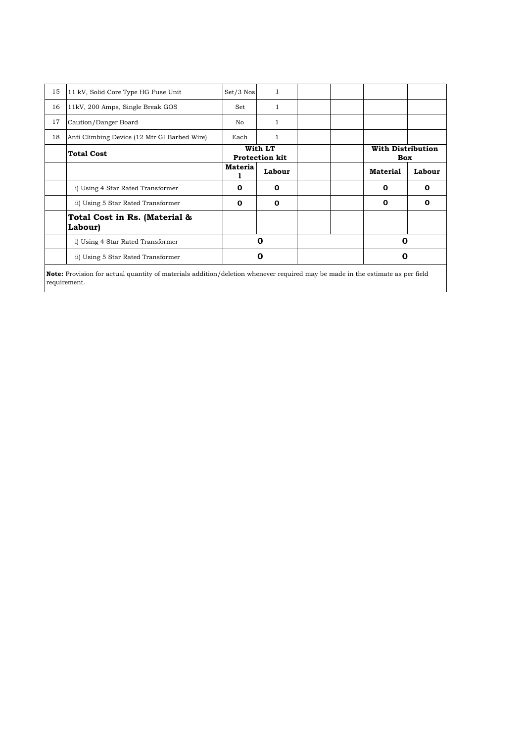| 15<br>16<br>17 | 11 kV, Solid Core Type HG Fuse Unit<br>11kV, 200 Amps, Single Break GOS<br>Caution/Danger Board | $Set/3$ Nos<br>Set<br>No. | $\mathbf{1}$<br>1<br>1           |                                        |        |
|----------------|-------------------------------------------------------------------------------------------------|---------------------------|----------------------------------|----------------------------------------|--------|
| 18             | Anti Climbing Device (12 Mtr GI Barbed Wire)                                                    | Each                      | 1                                |                                        |        |
|                | <b>Total Cost</b>                                                                               |                           | With LT<br><b>Protection kit</b> | <b>With Distribution</b><br><b>Box</b> |        |
|                |                                                                                                 | Materia                   | Labour                           | <b>Material</b>                        | Labour |
|                | i) Using 4 Star Rated Transformer                                                               | $\mathbf 0$               | $\Omega$                         | $\Omega$                               | 0      |
|                | ii) Using 5 Star Rated Transformer                                                              | $\mathbf 0$               | $\Omega$                         | 0                                      | О      |
|                | Total Cost in Rs. (Material &<br><b>Labour)</b>                                                 |                           |                                  |                                        |        |
|                | i) Using 4 Star Rated Transformer                                                               |                           | 0                                | 0                                      |        |
|                | ii) Using 5 Star Rated Transformer                                                              |                           | 0                                | 0                                      |        |

**Note:** Provision for actual quantity of materials addition/deletion whenever required may be made in the estimate as per field requirement.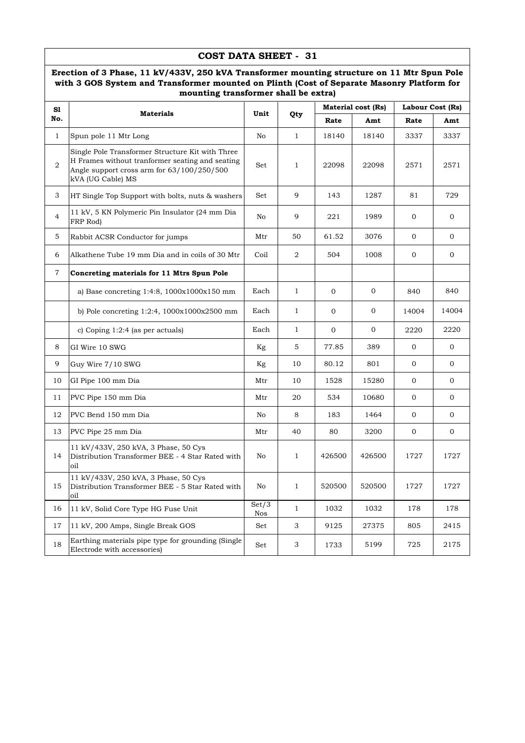### **COST DATA SHEET - 31**

#### **Erection of 3 Phase, 11 kV/433V, 250 kVA Transformer mounting structure on 11 Mtr Spun Pole with 3 GOS System and Transformer mounted on Plinth (Cost of Separate Masonry Platform for mounting transformer shall be extra)**

| S1             |                                                                                                                                                                        |                     |              |              | <b>Material cost (Rs)</b> | Labour Cost (Rs) |                |
|----------------|------------------------------------------------------------------------------------------------------------------------------------------------------------------------|---------------------|--------------|--------------|---------------------------|------------------|----------------|
| No.            | <b>Materials</b>                                                                                                                                                       | Unit                | Qty          | Rate         | Amt                       | Rate             | Amt            |
| $\mathbf{1}$   | Spun pole 11 Mtr Long                                                                                                                                                  | No                  | $\mathbf{1}$ | 18140        | 18140                     | 3337             | 3337           |
| $\overline{2}$ | Single Pole Transformer Structure Kit with Three<br>H Frames without tranformer seating and seating<br>Angle support cross arm for 63/100/250/500<br>kVA (UG Cable) MS | Set                 | $\mathbf{1}$ | 22098        | 22098                     | 2571             | 2571           |
| 3              | HT Single Top Support with bolts, nuts & washers                                                                                                                       | Set                 | 9            | 143          | 1287                      | 81               | 729            |
| $\overline{4}$ | 11 kV, 5 KN Polymeric Pin Insulator (24 mm Dia<br>FRP Rod)                                                                                                             | No                  | 9            | 221          | 1989                      | $\mathbf{0}$     | $\overline{0}$ |
| 5              | Rabbit ACSR Conductor for jumps                                                                                                                                        | Mtr                 | 50           | 61.52        | 3076                      | $\mathbf{0}$     | $\mathbf{0}$   |
| 6              | Alkathene Tube 19 mm Dia and in coils of 30 Mtr                                                                                                                        | Coil                | 2            | 504          | 1008                      | $\mathbf{O}$     | $\overline{0}$ |
| 7              | Concreting materials for 11 Mtrs Spun Pole                                                                                                                             |                     |              |              |                           |                  |                |
|                | a) Base concreting 1:4:8, 1000x1000x150 mm                                                                                                                             | Each                | $\mathbf{1}$ | $\mathbf 0$  | $\mathbf{0}$              | 840              | 840            |
|                | b) Pole concreting $1:2:4$ , $1000x1000x2500$ mm                                                                                                                       | Each                | $\mathbf{1}$ | $\mathbf{0}$ | $\mathbf{0}$              | 14004            | 14004          |
|                | c) Coping $1:2:4$ (as per actuals)                                                                                                                                     | Each                | $\mathbf{1}$ | $\mathbf 0$  | $\mathbf 0$               | 2220             | 2220           |
| 8              | GI Wire 10 SWG                                                                                                                                                         | Kg                  | 5            | 77.85        | 389                       | $\mathbf{0}$     | $\overline{0}$ |
| 9              | Guy Wire 7/10 SWG                                                                                                                                                      | Kg                  | 10           | 80.12        | 801                       | $\mathbf 0$      | $\overline{0}$ |
| 10             | GI Pipe 100 mm Dia                                                                                                                                                     | Mtr                 | 10           | 1528         | 15280                     | $\mathbf{0}$     | $\overline{0}$ |
| 11             | PVC Pipe 150 mm Dia                                                                                                                                                    | Mtr                 | 20           | 534          | 10680                     | $\mathbf{0}$     | $\overline{0}$ |
| 12             | PVC Bend 150 mm Dia                                                                                                                                                    | No                  | 8            | 183          | 1464                      | $\overline{0}$   | $\overline{0}$ |
| 13             | PVC Pipe 25 mm Dia                                                                                                                                                     | Mtr                 | 40           | 80           | 3200                      | $\mathbf{0}$     | $\mathbf{0}$   |
| 14             | 11 kV/433V, 250 kVA, 3 Phase, 50 Cys<br>Distribution Transformer BEE - 4 Star Rated with<br>oil                                                                        | No                  | $\mathbf{1}$ | 426500       | 426500                    | 1727             | 1727           |
| 15             | 11 kV/433V, 250 kVA, 3 Phase, 50 Cys<br>Distribution Transformer BEE - 5 Star Rated with<br>oil                                                                        | No                  | $\mathbf{1}$ | 520500       | 520500                    | 1727             | 1727           |
| 16             | 11 kV, Solid Core Type HG Fuse Unit                                                                                                                                    | Set/3<br><b>Nos</b> | $\mathbf{1}$ | 1032         | 1032                      | 178              | 178            |
| 17             | 11 kV, 200 Amps, Single Break GOS                                                                                                                                      | Set                 | 3            | 9125         | 27375                     | 805              | 2415           |
| 18             | Earthing materials pipe type for grounding (Single<br>Electrode with accessories)                                                                                      | Set                 | 3            | 1733         | 5199                      | 725              | 2175           |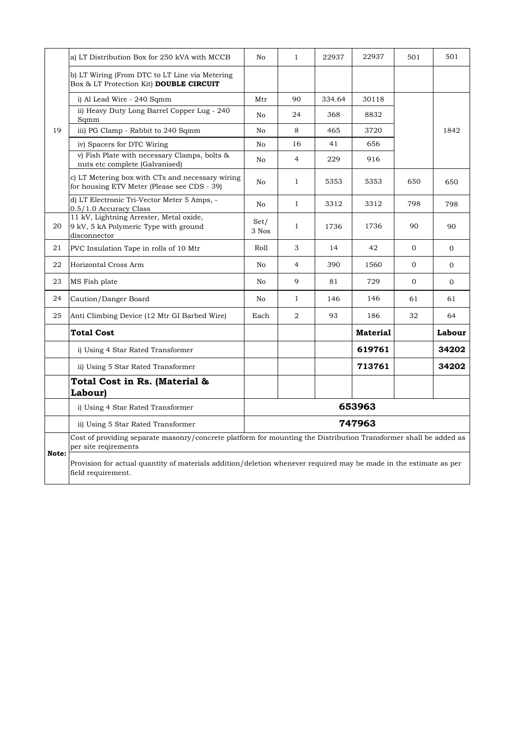|       | a) LT Distribution Box for 250 kVA with MCCB                                                                                             | N <sub>0</sub> | $\mathbf{1}$   | 22937  | 22937           | 501          | 501      |
|-------|------------------------------------------------------------------------------------------------------------------------------------------|----------------|----------------|--------|-----------------|--------------|----------|
|       | b) LT Wiring (From DTC to LT Line via Metering<br>Box & LT Protection Kit) DOUBLE CIRCUIT                                                |                |                |        |                 |              |          |
|       | i) Al Lead Wire - 240 Sqmm                                                                                                               | Mtr            | 90             | 334.64 | 30118           |              |          |
|       | ii) Heavy Duty Long Barrel Copper Lug - 240<br>Sqmm                                                                                      | No             | 24             | 368    | 8832            |              |          |
| 19    | iii) PG Clamp - Rabbit to 240 Sqmm                                                                                                       | No             | 8              | 465    | 3720            |              | 1842     |
|       | iv) Spacers for DTC Wiring                                                                                                               | No             | 16             | 41     | 656             |              |          |
|       | v) Fish Plate with necessary Clamps, bolts &<br>nuts etc complete (Galvanised)                                                           | No             | $\overline{4}$ | 229    | 916             |              |          |
|       | c) LT Metering box with CTs and necessary wiring<br>for housing ETV Meter (Please see CDS - 39)                                          | No             | 1              | 5353   | 5353            | 650          | 650      |
|       | d) LT Electronic Tri-Vector Meter 5 Amps, -<br>0.5/1.0 Accuracy Class                                                                    | No             | $\mathbf{1}$   | 3312   | 3312            | 798          | 798      |
| 20    | 11 kV, Lightning Arrester, Metal oxide,<br>9 kV, 5 kA Polymeric Type with ground<br>disconnector                                         | Set/<br>3 Nos  | $\mathbf{1}$   | 1736   | 1736            | 90           | 90       |
| 21    | PVC Insulation Tape in rolls of 10 Mtr                                                                                                   | Roll           | 3              | 14     | 42              | $\mathbf{0}$ | $\Omega$ |
| 22    | Horizontal Cross Arm                                                                                                                     | No             | 4              | 390    | 1560            | $\Omega$     | $\Omega$ |
| 23    | MS Fish plate                                                                                                                            | No             | 9              | 81     | 729             | $\mathbf{0}$ | $\Omega$ |
| 24    | Caution/Danger Board                                                                                                                     | No             | 1              | 146    | 146             | 61           | 61       |
| 25    | Anti Climbing Device (12 Mtr GI Barbed Wire)                                                                                             | Each           | $\overline{2}$ | 93     | 186             | 32           | 64       |
|       | <b>Total Cost</b>                                                                                                                        |                |                |        | <b>Material</b> |              | Labour   |
|       | i) Using 4 Star Rated Transformer                                                                                                        |                |                |        | 619761          |              | 34202    |
|       | ii) Using 5 Star Rated Transformer                                                                                                       |                |                |        | 713761          |              | 34202    |
|       | Total Cost in Rs. (Material &<br>Labour)                                                                                                 |                |                |        |                 |              |          |
|       | i) Using 4 Star Rated Transformer                                                                                                        |                |                |        | 653963          |              |          |
|       | ii) Using 5 Star Rated Transformer                                                                                                       |                |                |        | 747963          |              |          |
|       | Cost of providing separate masonry/concrete platform for mounting the Distribution Transformer shall be added as<br>per site regirements |                |                |        |                 |              |          |
| Note: | Provision for actual quantity of materials addition/deletion whenever required may be made in the estimate as per<br>field requirement.  |                |                |        |                 |              |          |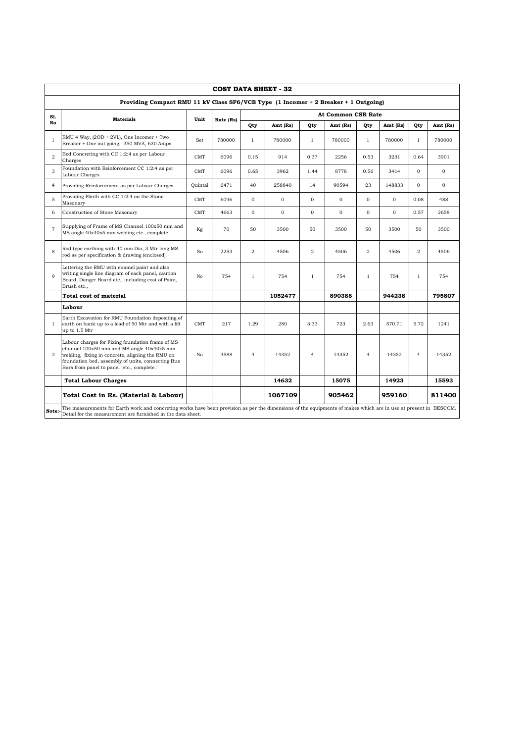|                | <b>COST DATA SHEET - 32</b>                                                                                                                                                                                                                        |            |           |                |              |                |                           |                |              |                |              |
|----------------|----------------------------------------------------------------------------------------------------------------------------------------------------------------------------------------------------------------------------------------------------|------------|-----------|----------------|--------------|----------------|---------------------------|----------------|--------------|----------------|--------------|
|                | Providing Compact RMU 11 kV Class SF6/VCB Type (1 Incomer + 2 Breaker + 1 Outgoing)                                                                                                                                                                |            |           |                |              |                |                           |                |              |                |              |
| S1.            | <b>Materials</b>                                                                                                                                                                                                                                   | Unit       | Rate (Rs) |                |              |                | <b>At Common CSR Rate</b> |                |              |                |              |
| No             |                                                                                                                                                                                                                                                    |            |           | Qty            | Amt (Rs)     | Qty            | Amt (Rs)                  | Qty            | Amt (Rs)     | Qty            | Amt (Rs)     |
| $\mathbf{1}$   | RMU 4 Way, (2OD + 2VL), One Incomer + Two<br>Breaker + One out going, 350 MVA, 630 Amps                                                                                                                                                            | Set        | 780000    | $\mathbf{1}$   | 780000       | $\mathbf{1}$   | 780000                    | $\mathbf{1}$   | 780000       | $\mathbf{1}$   | 780000       |
| $\overline{2}$ | Bed Concreting with CC 1:2:4 as per Labour<br>Charges                                                                                                                                                                                              | <b>CMT</b> | 6096      | 0.15           | 914          | 0.37           | 2256                      | 0.53           | 3231         | 0.64           | 3901         |
| 3              | Foundation with Reinforcement CC 1:2:4 as per<br>Labour Charges                                                                                                                                                                                    | CMT        | 6096      | 0.65           | 3962         | 1.44           | 8778                      | 0.56           | 3414         | $\Omega$       | $\mathbf{0}$ |
| $\overline{4}$ | Providing Reinforcement as per Labour Charges                                                                                                                                                                                                      | Ouintal    | 6471      | 40             | 258840       | 14             | 90594                     | 23             | 148833       | $\Omega$       | $\mathbf{O}$ |
| 5              | Providing Plinth with CC 1:2:4 on the Stone<br>Masonary                                                                                                                                                                                            | <b>CMT</b> | 6096      | $\mathbf{0}$   | $\mathbf{O}$ | $\mathbf{0}$   | $\mathbf{0}$              | $\mathbf{0}$   | $\mathbf{O}$ | 0.08           | 488          |
| 6              | Construction of Stone Masonary                                                                                                                                                                                                                     | CMT        | 4663      | $\mathbf 0$    | $\mathbf{O}$ | $\mathbf{0}$   | $\mathbf{O}$              | $\mathbf{O}$   | $\mathbf{O}$ | 0.57           | 2658         |
| $\overline{7}$ | Supplying of Frame of MS Channel 100x50 mm and<br>MS angle 40x40x5 mm welding etc., complete.                                                                                                                                                      | Kg         | 70        | 50             | 3500         | 50             | 3500                      | 50             | 3500         | 50             | 3500         |
| 8              | Rod type earthing with 40 mm Dia, 3 Mtr long MS<br>rod as per specification & drawing (enclosed)                                                                                                                                                   | No         | 2253      | $\overline{2}$ | 4506         | $\overline{2}$ | 4506                      | $\overline{2}$ | 4506         | $\overline{2}$ | 4506         |
| $\mathbf{Q}$   | Lettering the RMU with enamel paint and also<br>writing single line diagram of each panel, caution<br>Board, Danger Board etc., including cost of Paint,<br>Brush etc.,                                                                            | No         | 754       | $\mathbf{1}$   | 754          | $\mathbf{1}$   | 754                       | $\mathbf{1}$   | 754          | $\mathbf{1}$   | 754          |
|                | Total cost of material                                                                                                                                                                                                                             |            |           |                | 1052477      |                | 890388                    |                | 944238       |                | 795807       |
|                | Labour                                                                                                                                                                                                                                             |            |           |                |              |                |                           |                |              |                |              |
| 1              | Earth Excavation for RMU Foundation depositing of<br>earth on bank up to a lead of 50 Mtr and with a lift<br>up to 1.5 Mtr                                                                                                                         | <b>CMT</b> | 217       | 1.29           | 280          | 3.33           | 723                       | 2.63           | 570.71       | 5.72           | 1241         |
| $\overline{2}$ | Labour charges for Fixing foundation frame of MS<br>channel 100x50 mm and MS angle 40x40x5 mm<br>welding, fixing in concrete, aligning the RMU on<br>foundation bed, assembly of units, connecting Bus<br>Bars from panel to panel etc., complete. | No         | 3588      | $\overline{4}$ | 14352        | $\overline{4}$ | 14352                     | $\overline{4}$ | 14352        | $\overline{4}$ | 14352        |
|                | <b>Total Labour Charges</b>                                                                                                                                                                                                                        |            |           |                | 14632        |                | 15075                     |                | 14923        |                | 15593        |
|                | Total Cost in Rs. (Material & Labour)                                                                                                                                                                                                              |            |           |                | 1067109      |                | 905462                    |                | 959160       |                | 811400       |
| Note:          | The measurements for Earth work and concreting works have been provision as per the dimensions of the equipments of makes which are in use at present in BESCOM.<br>Detail for the measurement are furnished in the data sheet.                    |            |           |                |              |                |                           |                |              |                |              |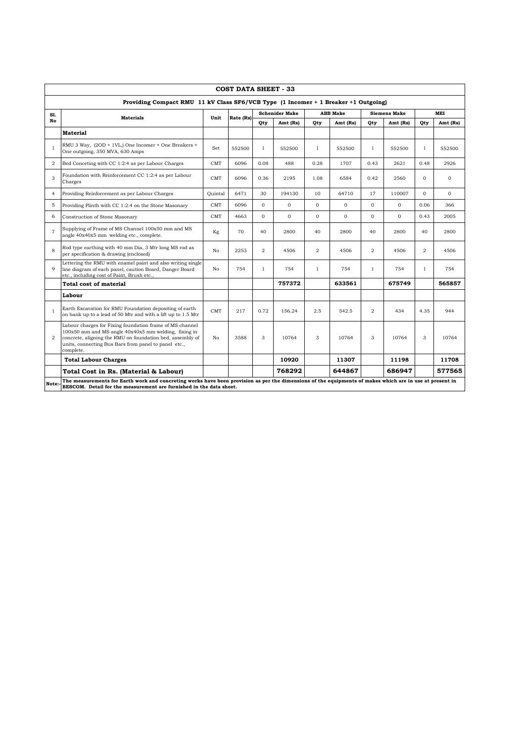|                | <b>COST DATA SHEET - 33</b>                                                                                                                                                                                                                        |            |           |                |                       |                |                 |                |                     |                |              |
|----------------|----------------------------------------------------------------------------------------------------------------------------------------------------------------------------------------------------------------------------------------------------|------------|-----------|----------------|-----------------------|----------------|-----------------|----------------|---------------------|----------------|--------------|
|                | Providing Compact RMU 11 kV Class SF6/VCB Type (1 Incomer + 1 Breaker +1 Outgoing)                                                                                                                                                                 |            |           |                |                       |                |                 |                |                     |                |              |
| Sl.            | <b>Materials</b>                                                                                                                                                                                                                                   | Unit       | Rate (Rs) |                | <b>Schenider Make</b> |                | <b>ABB</b> Make |                | <b>Siemens Make</b> |                | MEI          |
| No             |                                                                                                                                                                                                                                                    |            |           | Qty            | Amt (Rs)              | Qty            | Amt (Rs)        | Qty            | Amt (Rs)            | Oty            | Amt (Rs)     |
|                | <b>Material</b>                                                                                                                                                                                                                                    |            |           |                |                       |                |                 |                |                     |                |              |
| $\mathbf{1}$   | RMU 3 Way, (2OD + 1VL,) One Incomer + One Breakers +<br>One outgoing, 350 MVA, 630 Amps                                                                                                                                                            | Set        | 552500    | $\mathbf{1}$   | 552500                | $\mathbf{1}$   | 552500          | $\mathbf{1}$   | 552500              | $\mathbf{1}$   | 552500       |
| 2              | Bed Conceting with CC 1:2:4 as per Labour Charges                                                                                                                                                                                                  | <b>CMT</b> | 6096      | 0.08           | 488                   | 0.28           | 1707            | 0.43           | 2621                | 0.48           | 2926         |
| 3              | Foundation with Reinforcement CC 1:2:4 as per Labour<br>Charges                                                                                                                                                                                    | CMT        | 6096      | 0.36           | 2195                  | 1.08           | 6584            | 0.42           | 2560                | $\Omega$       | $\Omega$     |
| $\overline{4}$ | Providing Reinforcement as per Labour Charges                                                                                                                                                                                                      | Ouintal    | 6471      | 30             | 194130                | 10             | 64710           | 17             | 110007              | $\Omega$       | $\mathbf{0}$ |
| 5              | Providing Plinth with CC 1:2:4 on the Stone Masonary                                                                                                                                                                                               | <b>CMT</b> | 6096      | $\Omega$       | $\mathbf{O}$          | $\mathbf{O}$   | $\Omega$        | $\Omega$       | $\Omega$            | 0.06           | 366          |
| 6              | Construction of Stone Masonary                                                                                                                                                                                                                     | <b>CMT</b> | 4663      | $\Omega$       | $\Omega$              | $\Omega$       | $\Omega$        | $\Omega$       | $\Omega$            | 0.43           | 2005         |
| $\overline{7}$ | Supplying of Frame of MS Channel 100x50 mm and MS<br>angle 40x40x5 mm welding etc., complete.                                                                                                                                                      | Kg         | 70        | 40             | 2800                  | 40             | 2800            | 40             | 2800                | 40             | 2800         |
| 8              | Rod type earthing with 40 mm Dia, 3 Mtr long MS rod as<br>per specification & drawing (enclosed)                                                                                                                                                   | No         | 2253      | $\overline{a}$ | 4506                  | $\overline{2}$ | 4506            | $\overline{2}$ | 4506                | $\mathfrak{D}$ | 4506         |
| 9              | Lettering the RMU with enamel paint and also writing single<br>line diagram of each panel, caution Board, Danger Board<br>etc., including cost of Paint, Brush etc.                                                                                | No         | 754       | $\mathbf{1}$   | 754                   | $\mathbf{1}$   | 754             | $\mathbf{1}$   | 754                 | $\mathbf{1}$   | 754          |
|                | Total cost of material                                                                                                                                                                                                                             |            |           |                | 757372                |                | 633561          |                | 675749              |                | 565857       |
|                | Labour                                                                                                                                                                                                                                             |            |           |                |                       |                |                 |                |                     |                |              |
| $\mathbf{1}$   | Earth Excavation for RMU Foundation depositing of earth<br>on bank up to a lead of 50 Mtr and with a lift up to 1.5 Mtr                                                                                                                            | CMT        | 217       | 0.72           | 156.24                | 2.5            | 542.5           | 2              | 434                 | 4.35           | 944          |
| 2              | Labour charges for Fixing foundation frame of MS channel<br>100x50 mm and MS angle 40x40x5 mm welding, fixing in<br>concrete, aligning the RMU on foundation bed, assembly of<br>units, connecting Bus Bars from panel to panel etc.,<br>complete. | No         | 3588      | 3              | 10764                 | 3              | 10764           | 3              | 10764               | 3              | 10764        |
|                | <b>Total Labour Charges</b>                                                                                                                                                                                                                        |            |           |                | 10920                 |                | 11307           |                | 11198               |                | 11708        |
|                | Total Cost in Rs. (Material & Labour)                                                                                                                                                                                                              |            |           |                | 768292                |                | 644867          |                | 686947              |                | 577565       |
| Note:          | The measurements for Earth work and concreting works have been provision as per the dimensions of the equipments of makes which are in use at present in<br>BESCOM. Detail for the measurement are furnished in the data sheet.                    |            |           |                |                       |                |                 |                |                     |                |              |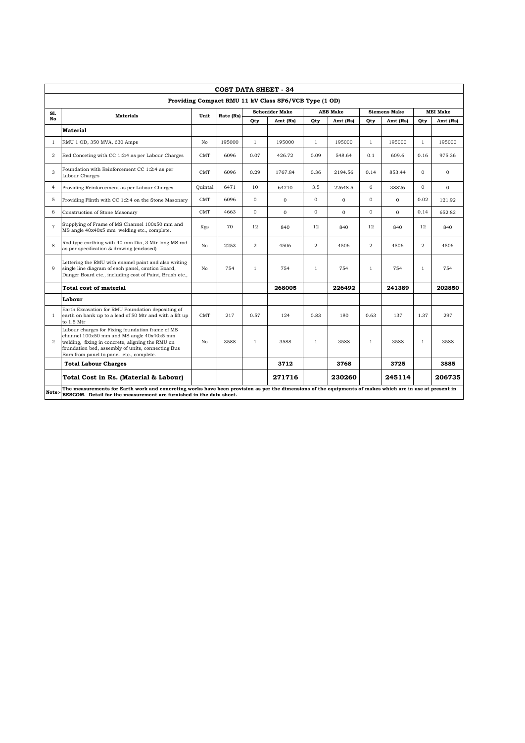|                | <b>COST DATA SHEET - 34</b>                                                                                                                                                                                                                        |            |           |                |                       |                |                 |                |                     |                |                 |
|----------------|----------------------------------------------------------------------------------------------------------------------------------------------------------------------------------------------------------------------------------------------------|------------|-----------|----------------|-----------------------|----------------|-----------------|----------------|---------------------|----------------|-----------------|
|                | Providing Compact RMU 11 kV Class SF6/VCB Type (1 OD)                                                                                                                                                                                              |            |           |                |                       |                |                 |                |                     |                |                 |
| Sl.            |                                                                                                                                                                                                                                                    |            |           |                | <b>Schenider Make</b> |                | <b>ABB</b> Make |                | <b>Siemens Make</b> |                | <b>MEI Make</b> |
| No             | <b>Materials</b>                                                                                                                                                                                                                                   | Unit       | Rate (Rs) | Qty            | Amt (Rs)              | Qty            | Amt (Rs)        | Qty            | Amt (Rs)            | Qty            | Amt (Rs)        |
|                | <b>Material</b>                                                                                                                                                                                                                                    |            |           |                |                       |                |                 |                |                     |                |                 |
| $\mathbf{1}$   | RMU 1 OD, 350 MVA, 630 Amps                                                                                                                                                                                                                        | No         | 195000    | $\mathbf{1}$   | 195000                | $\mathbf{1}$   | 195000          | $\mathbf{1}$   | 195000              | $\mathbf{1}$   | 195000          |
| 2              | Bed Conceting with CC 1:2:4 as per Labour Charges                                                                                                                                                                                                  | <b>CMT</b> | 6096      | 0.07           | 426.72                | 0.09           | 548.64          | 0.1            | 609.6               | 0.16           | 975.36          |
| 3              | Foundation with Reinforcement CC 1:2:4 as per<br>Labour Charges                                                                                                                                                                                    | <b>CMT</b> | 6096      | 0.29           | 1767.84               | 0.36           | 2194.56         | 0.14           | 853.44              | $\Omega$       | $\mathbf{0}$    |
| 4              | Providing Reinforcement as per Labour Charges                                                                                                                                                                                                      | Ouintal    | 6471      | 10             | 64710                 | 3.5            | 22648.5         | 6              | 38826               | $\Omega$       | $\Omega$        |
| 5              | Providing Plinth with CC 1:2:4 on the Stone Masonary                                                                                                                                                                                               | <b>CMT</b> | 6096      | $\Omega$       | $\mathbf{0}$          | $\Omega$       | $\mathbf{0}$    | $\Omega$       | $\mathbf{0}$        | 0.02           | 121.92          |
| 6              | Construction of Stone Masonary                                                                                                                                                                                                                     | <b>CMT</b> | 4663      | $\Omega$       | $\mathbf{O}$          | $\mathbf{O}$   | $\Omega$        | $\mathbf 0$    | $\Omega$            | 0.14           | 652.82          |
| $\overline{7}$ | Supplying of Frame of MS Channel 100x50 mm and<br>MS angle 40x40x5 mm welding etc., complete.                                                                                                                                                      | Kgs        | 70        | 12             | 840                   | 12             | 840             | 12             | 840                 | 12             | 840             |
| 8              | Rod type earthing with 40 mm Dia, 3 Mtr long MS rod<br>as per specification & drawing (enclosed)                                                                                                                                                   | No         | 2253      | $\overline{2}$ | 4506                  | $\overline{2}$ | 4506            | $\overline{2}$ | 4506                | $\overline{2}$ | 4506            |
| $\overline{Q}$ | Lettering the RMU with enamel paint and also writing<br>single line diagram of each panel, caution Board,<br>Danger Board etc., including cost of Paint, Brush etc.,                                                                               | No         | 754       | $\mathbf{1}$   | 754                   | $\mathbf{1}$   | 754             | $\mathbf{1}$   | 754                 | $\mathbf{1}$   | 754             |
|                | <b>Total cost of material</b>                                                                                                                                                                                                                      |            |           |                | 268005                |                | 226492          |                | 241389              |                | 202850          |
|                | Labour                                                                                                                                                                                                                                             |            |           |                |                       |                |                 |                |                     |                |                 |
| $\mathbf{1}$   | Earth Excavation for RMU Foundation depositing of<br>earth on bank up to a lead of 50 Mtr and with a lift up<br>to 1.5 Mtr                                                                                                                         | <b>CMT</b> | 217       | 0.57           | 124                   | 0.83           | 180             | 0.63           | 137                 | 1.37           | 297             |
| 2              | Labour charges for Fixing foundation frame of MS<br>channel 100x50 mm and MS angle 40x40x5 mm<br>welding, fixing in concrete, aligning the RMU on<br>foundation bed, assembly of units, connecting Bus<br>Bars from panel to panel etc., complete. | No         | 3588      | $\mathbf{1}$   | 3588                  | $\mathbf{1}$   | 3588            | $\mathbf{1}$   | 3588                | $\mathbf{1}$   | 3588            |
|                | <b>Total Labour Charges</b>                                                                                                                                                                                                                        |            |           |                | 3712                  |                | 3768            |                | 3725                |                | 3885            |
|                | Total Cost in Rs. (Material & Labour)                                                                                                                                                                                                              |            |           |                | 271716                |                | 230260          |                | 245114              |                | 206735          |
| Note:          | The measurements for Earth work and concreting works have been provision as per the dimensions of the equipments of makes which are in use at present in<br>BESCOM. Detail for the measurement are furnished in the data sheet.                    |            |           |                |                       |                |                 |                |                     |                |                 |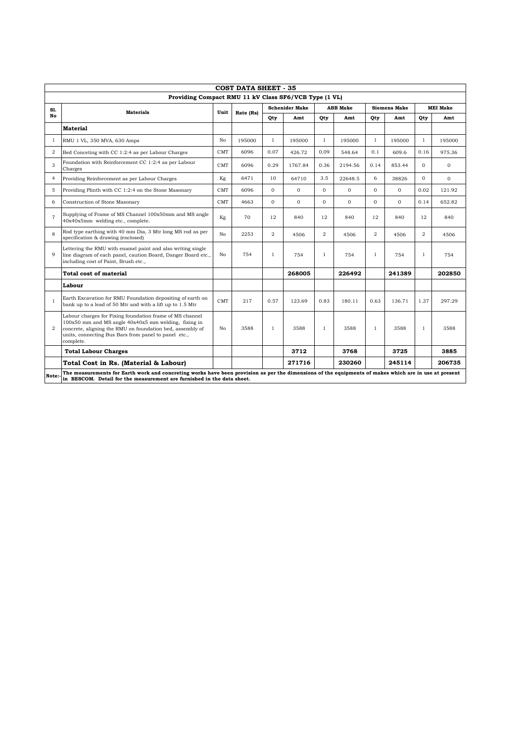|                | <b>COST DATA SHEET - 35</b>                                                                                                                                                                                                                        |            |           |                |                       |                |                 |                |                     |                                                                                                                                                                                                                                 |                 |  |  |  |  |  |  |  |
|----------------|----------------------------------------------------------------------------------------------------------------------------------------------------------------------------------------------------------------------------------------------------|------------|-----------|----------------|-----------------------|----------------|-----------------|----------------|---------------------|---------------------------------------------------------------------------------------------------------------------------------------------------------------------------------------------------------------------------------|-----------------|--|--|--|--|--|--|--|
|                | Providing Compact RMU 11 kV Class SF6/VCB Type (1 VL)                                                                                                                                                                                              |            |           |                |                       |                |                 |                |                     |                                                                                                                                                                                                                                 |                 |  |  |  |  |  |  |  |
| S1.            | <b>Materials</b>                                                                                                                                                                                                                                   | Unit       | Rate (Rs) |                | <b>Schenider Make</b> |                | <b>ABB</b> Make |                | <b>Siemens Make</b> |                                                                                                                                                                                                                                 | <b>MEI Make</b> |  |  |  |  |  |  |  |
| No             |                                                                                                                                                                                                                                                    |            |           | Qty            | Amt                   | Qty            | Amt             | Qty            | Amt                 | Qty                                                                                                                                                                                                                             | Amt             |  |  |  |  |  |  |  |
|                | <b>Material</b>                                                                                                                                                                                                                                    |            |           |                |                       |                |                 |                |                     |                                                                                                                                                                                                                                 |                 |  |  |  |  |  |  |  |
| 1              | RMU 1 VL, 350 MVA, 630 Amps                                                                                                                                                                                                                        | No         | 195000    | $\mathbf{1}$   | 195000                | $\mathbf{1}$   | 195000          | $\mathbf{1}$   | 195000              | $\mathbf{1}$                                                                                                                                                                                                                    | 195000          |  |  |  |  |  |  |  |
| $\overline{2}$ | Bed Conceting with CC 1:2:4 as per Labour Charges                                                                                                                                                                                                  | CMT        | 6096      | 0.07           | 426.72                | 0.09           | 548.64          | 0.1            | 609.6               | 0.16                                                                                                                                                                                                                            | 975.36          |  |  |  |  |  |  |  |
| 3              | Foundation with Reinforcement CC 1:2:4 as per Labour<br>Charges                                                                                                                                                                                    | CMT        | 6096      | 0.29           | 1767.84               | 0.36           | 2194.56         | 0.14           | 853.44              | $\Omega$                                                                                                                                                                                                                        | $\mathbf{O}$    |  |  |  |  |  |  |  |
| $\overline{4}$ | Providing Reinforcement as per Labour Charges                                                                                                                                                                                                      | Kg         | 6471      | 10             | 64710                 | 3.5            | 22648.5         | 6              | 38826               | $\Omega$                                                                                                                                                                                                                        | $\mathbf{O}$    |  |  |  |  |  |  |  |
| 5              | Providing Plinth with CC 1:2:4 on the Stone Masonary                                                                                                                                                                                               | CMT        | 6096      | $\mathbf{0}$   | $\Omega$              | $\Omega$       | $\mathbf{O}$    | $\Omega$       | $\Omega$            | 0.02                                                                                                                                                                                                                            | 121.92          |  |  |  |  |  |  |  |
| 6              | Construction of Stone Masonary                                                                                                                                                                                                                     | <b>CMT</b> | 4663      | $\mathbf{0}$   | $\mathbf{O}$          | $\mathbf{0}$   | $\mathbf{O}$    | $\overline{0}$ | $\Omega$            | 0.14                                                                                                                                                                                                                            | 652.82          |  |  |  |  |  |  |  |
| $\overline{7}$ | Supplying of Frame of MS Channel 100x50mm and MS angle<br>40x40x5mm welding etc., complete.                                                                                                                                                        | Kg         | 70        | 12             | 840                   | 12             | 840             | 12             | 840                 | 12                                                                                                                                                                                                                              | 840             |  |  |  |  |  |  |  |
| 8              | Rod type earthing with 40 mm Dia, 3 Mtr long MS rod as per<br>specification & drawing (enclosed)                                                                                                                                                   | No         | 2253      | $\overline{2}$ | 4506                  | $\overline{2}$ | 4506            | $\overline{2}$ | 4506                | $\overline{2}$                                                                                                                                                                                                                  | 4506            |  |  |  |  |  |  |  |
| $\mathbf Q$    | Lettering the RMU with enamel paint and also writing single<br>line diagram of each panel, caution Board, Danger Board etc.,<br>including cost of Paint, Brush etc.,                                                                               | No         | 754       | $\mathbf{1}$   | 754                   | $\mathbf{1}$   | 754             | $\mathbf{1}$   | 754                 | $\mathbf{1}$                                                                                                                                                                                                                    | 754             |  |  |  |  |  |  |  |
|                | Total cost of material                                                                                                                                                                                                                             |            |           |                | 268005                |                | 226492          |                | 241389              |                                                                                                                                                                                                                                 | 202850          |  |  |  |  |  |  |  |
|                | Labour                                                                                                                                                                                                                                             |            |           |                |                       |                |                 |                |                     |                                                                                                                                                                                                                                 |                 |  |  |  |  |  |  |  |
| $\mathbf{1}$   | Earth Excavation for RMU Foundation depositing of earth on<br>bank up to a lead of 50 Mtr and with a lift up to 1.5 Mtr                                                                                                                            | <b>CMT</b> | 217       | 0.57           | 123.69                | 0.83           | 180.11          | 0.63           | 136.71              | 1.37                                                                                                                                                                                                                            | 297.29          |  |  |  |  |  |  |  |
| $\overline{2}$ | Labour charges for Fixing foundation frame of MS channel<br>100x50 mm and MS angle 40x40x5 mm welding, fixing in<br>concrete, aligning the RMU on foundation bed, assembly of<br>units, connecting Bus Bars from panel to panel etc.,<br>complete. | No         | 3588      | 1              | 3588                  | $\mathbf{1}$   | 3588            | $\mathbf{1}$   | 3588                | $\mathbf{1}$                                                                                                                                                                                                                    | 3588            |  |  |  |  |  |  |  |
|                | <b>Total Labour Charges</b>                                                                                                                                                                                                                        |            |           |                | 3712                  |                | 3768            |                | 3725                |                                                                                                                                                                                                                                 | 3885            |  |  |  |  |  |  |  |
|                | Total Cost in Rs. (Material & Labour)                                                                                                                                                                                                              |            |           |                | 271716                |                | 230260          |                | 245114              |                                                                                                                                                                                                                                 | 206735          |  |  |  |  |  |  |  |
| Note:          |                                                                                                                                                                                                                                                    |            |           |                |                       |                |                 |                |                     | The measurements for Earth work and concreting works have been provision as per the dimensions of the equipments of makes which are in use at present<br>in BESCOM. Detail for the measurement are furnished in the data sheet. |                 |  |  |  |  |  |  |  |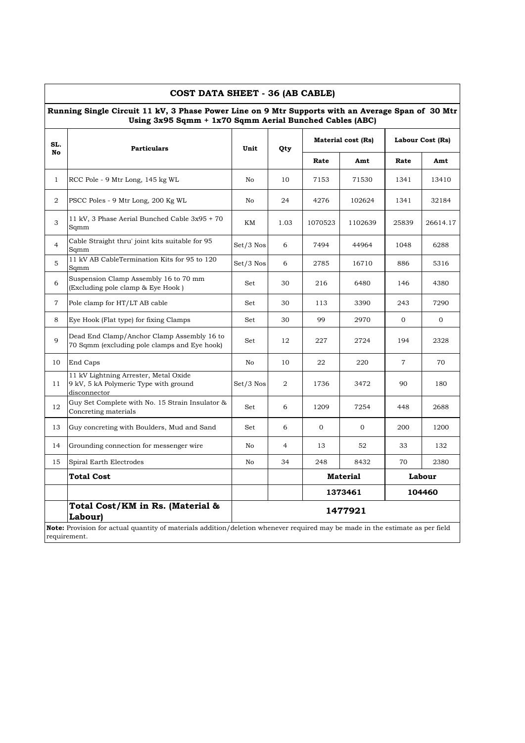|                | COST DATA SHEET - 36 (AB CABLE)<br>Running Single Circuit 11 kV, 3 Phase Power Line on 9 Mtr Supports with an Average Span of 30 Mtr          |             |      |              |                    |                |                  |
|----------------|-----------------------------------------------------------------------------------------------------------------------------------------------|-------------|------|--------------|--------------------|----------------|------------------|
| SL.            | Using 3x95 Sqmm + 1x70 Sqmm Aerial Bunched Cables (ABC)<br><b>Particulars</b>                                                                 | Unit        | Qty  |              | Material cost (Rs) |                | Labour Cost (Rs) |
| No             |                                                                                                                                               |             |      | Rate         | Amt                | Rate           | Amt              |
| 1              | RCC Pole - 9 Mtr Long, 145 kg WL                                                                                                              | No          | 10   | 7153         | 71530              | 1341           | 13410            |
| 2              | PSCC Poles - 9 Mtr Long, 200 Kg WL                                                                                                            | No          | 24   | 4276         | 102624             | 1341           | 32184            |
| 3              | 11 kV, 3 Phase Aerial Bunched Cable 3x95 + 70<br>Sqmm                                                                                         | KΜ          | 1.03 | 1070523      | 1102639            | 25839          | 26614.17         |
| $\overline{4}$ | Cable Straight thru' joint kits suitable for 95<br>Sqmm                                                                                       | $Set/3$ Nos | 6    | 7494         | 44964              | 1048           | 6288             |
| 5              | 11 kV AB CableTermination Kits for 95 to 120<br>Sqmm                                                                                          | $Set/3$ Nos | 6    | 2785         | 16710              | 886            | 5316             |
| 6              | Suspension Clamp Assembly 16 to 70 mm<br>(Excluding pole clamp & Eye Hook)                                                                    | Set         | 30   | 216          | 6480               | 146            | 4380             |
| $\overline{7}$ | Pole clamp for HT/LT AB cable                                                                                                                 | Set         | 30   | 113          | 3390               | 243            | 7290             |
| 8              | Eye Hook (Flat type) for fixing Clamps                                                                                                        | Set         | 30   | 99           | 2970               | 0              | $\mathbf{0}$     |
| 9              | Dead End Clamp/Anchor Clamp Assembly 16 to<br>70 Sqmm (excluding pole clamps and Eye hook)                                                    | Set         | 12   | 227          | 2724               | 194            | 2328             |
| 10             | End Caps                                                                                                                                      | No          | 10   | 22           | 220                | $\overline{7}$ | 70               |
| 11             | 11 kV Lightning Arrester, Metal Oxide<br>9 kV, 5 kA Polymeric Type with ground<br>disconnector                                                | $Set/3$ Nos | 2    | 1736         | 3472               | 90             | 180              |
| 12             | Guy Set Complete with No. 15 Strain Insulator &<br>Concreting materials                                                                       | Set         | 6    | 1209         | 7254               | 448            | 2688             |
| 13             | Guy concreting with Boulders, Mud and Sand                                                                                                    | Set         | 6    | $\mathbf{0}$ | $\mathbf{0}$       | 200            | 1200             |
| 14             | Grounding connection for messenger wire                                                                                                       | No          | 4    | 13           | 52                 | 33             | 132              |
| 15             | Spiral Earth Electrodes                                                                                                                       | No          | 34   | 248          | 8432               | 70             | 2380             |
|                | <b>Total Cost</b>                                                                                                                             |             |      |              | <b>Material</b>    |                | Labour           |
|                |                                                                                                                                               |             |      |              | 1373461            |                | 104460           |
|                | Total Cost/KM in Rs. (Material &<br>Labour)                                                                                                   |             |      |              | 1477921            |                |                  |
|                | Note: Provision for actual quantity of materials addition/deletion whenever required may be made in the estimate as per field<br>requirement. |             |      |              |                    |                |                  |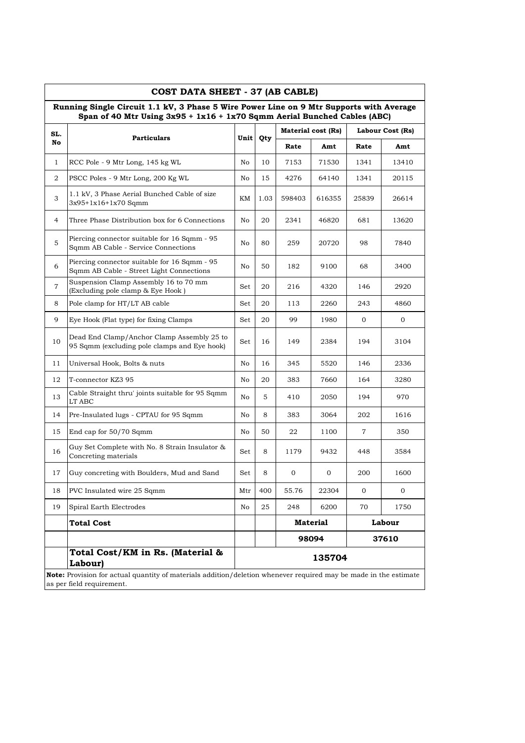|                | COST DATA SHEET - 37 (AB CABLE)<br>Running Single Circuit 1.1 kV, 3 Phase 5 Wire Power Line on 9 Mtr Supports with Average |     |          |          |                    |                  |                |
|----------------|----------------------------------------------------------------------------------------------------------------------------|-----|----------|----------|--------------------|------------------|----------------|
|                | Span of 40 Mtr Using $3x95 + 1x16 + 1x70$ Sqmm Aerial Bunched Cables (ABC)                                                 |     |          |          |                    |                  |                |
| SL.            | <b>Particulars</b>                                                                                                         |     | Unit Qty |          | Material cost (Rs) | Labour Cost (Rs) |                |
| No             |                                                                                                                            |     |          | Rate     | Amt                | Rate             | Amt            |
| $\mathbf{1}$   | RCC Pole - 9 Mtr Long, 145 kg WL                                                                                           | No  | 10       | 7153     | 71530              | 1341             | 13410          |
| 2              | PSCC Poles - 9 Mtr Long, 200 Kg WL                                                                                         | No  | 15       | 4276     | 64140              | 1341             | 20115          |
| 3              | 1.1 kV, 3 Phase Aerial Bunched Cable of size<br>3x95+1x16+1x70 Sqmm                                                        | KM  | 1.03     | 598403   | 616355             | 25839            | 26614          |
| 4              | Three Phase Distribution box for 6 Connections                                                                             | No  | 20       | 2341     | 46820              | 681              | 13620          |
| 5              | Piercing connector suitable for 16 Sqmm - 95<br>Sqmm AB Cable - Service Connections                                        | No  | 80       | 259      | 20720              | 98               | 7840           |
| 6              | Piercing connector suitable for 16 Sqmm - 95<br>Sqmm AB Cable - Street Light Connections                                   | No  | 50       | 182      | 9100               | 68               | 3400           |
| $\overline{7}$ | Suspension Clamp Assembly 16 to 70 mm<br>(Excluding pole clamp & Eye Hook)                                                 | Set | 20       | 216      | 4320               | 146              | 2920           |
| 8              | Pole clamp for HT/LT AB cable                                                                                              | Set | 20       | 113      | 2260               | 243              | 4860           |
| 9              | Eye Hook (Flat type) for fixing Clamps                                                                                     | Set | 20       | 99       | 1980               | $\overline{0}$   | $\overline{0}$ |
| 10             | Dead End Clamp/Anchor Clamp Assembly 25 to<br>95 Sqmm (excluding pole clamps and Eye hook)                                 | Set | 16       | 149      | 2384               | 194              | 3104           |
| 11             | Universal Hook, Bolts & nuts                                                                                               | No  | 16       | 345      | 5520               | 146              | 2336           |
| 12             | T-connector KZ3 95                                                                                                         | No  | 20       | 383      | 7660               | 164              | 3280           |
| 13             | Cable Straight thru' joints suitable for 95 Sqmm<br>LT ABC                                                                 | No  | 5        | 410      | 2050               | 194              | 970            |
| 14             | Pre-Insulated lugs - CPTAU for 95 Sqmm                                                                                     | No  | 8        | 383      | 3064               | 202              | 1616           |
| 15             | End cap for 50/70 Sqmm                                                                                                     | No  | 50       | 22       | 1100               | 7                | 350            |
| 16             | Guy Set Complete with No. 8 Strain Insulator &<br>Concreting materials                                                     | Set | 8        | 1179     | 9432               | 448              | 3584           |
| 17             | Guy concreting with Boulders, Mud and Sand                                                                                 | Set | 8        | $\sigma$ | $\mathbf{0}$       | 200              | 1600           |
| 18             | PVC Insulated wire 25 Sqmm                                                                                                 | Mtr | 400      | 55.76    | 22304              | $\mathbf{0}$     |                |
| 19             | Spiral Earth Electrodes                                                                                                    | No  | 25       | 248      | 6200               | 70               | 1750           |
|                | <b>Total Cost</b>                                                                                                          |     |          |          | <b>Material</b>    |                  | Labour         |
|                |                                                                                                                            |     |          |          | 98094              |                  | 37610          |
|                | Total Cost/KM in Rs. (Material &<br>Labour)                                                                                |     |          |          | 135704             |                  |                |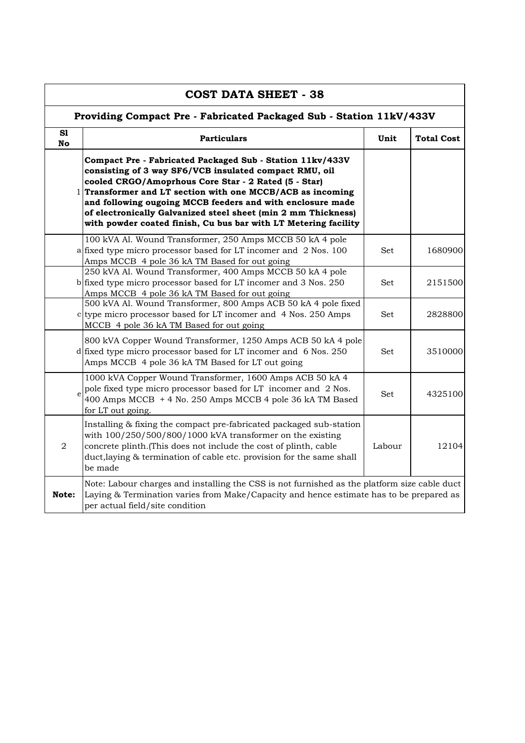|                 | <b>COST DATA SHEET - 38</b>                                                                                                                                                                                                                                                                                                                                                                                                                 |            |                   |  |  |  |  |  |  |  |  |
|-----------------|---------------------------------------------------------------------------------------------------------------------------------------------------------------------------------------------------------------------------------------------------------------------------------------------------------------------------------------------------------------------------------------------------------------------------------------------|------------|-------------------|--|--|--|--|--|--|--|--|
|                 | Providing Compact Pre - Fabricated Packaged Sub - Station 11kV/433V                                                                                                                                                                                                                                                                                                                                                                         |            |                   |  |  |  |  |  |  |  |  |
| S1<br><b>No</b> | <b>Particulars</b>                                                                                                                                                                                                                                                                                                                                                                                                                          | Unit       | <b>Total Cost</b> |  |  |  |  |  |  |  |  |
|                 | Compact Pre - Fabricated Packaged Sub - Station 11kv/433V<br>consisting of 3 way SF6/VCB insulated compact RMU, oil<br>cooled CRGO/Amoprhous Core Star - 2 Rated (5 - Star)<br>1 Transformer and LT section with one MCCB/ACB as incoming<br>and following ougoing MCCB feeders and with enclosure made<br>of electronically Galvanized steel sheet (min 2 mm Thickness)<br>with powder coated finish, Cu bus bar with LT Metering facility |            |                   |  |  |  |  |  |  |  |  |
|                 | 100 kVA Al. Wound Transformer, 250 Amps MCCB 50 kA 4 pole<br>a fixed type micro processor based for LT incomer and 2 Nos. 100<br>Amps MCCB 4 pole 36 kA TM Based for out going                                                                                                                                                                                                                                                              | <b>Set</b> | 1680900           |  |  |  |  |  |  |  |  |
|                 | 250 kVA Al. Wound Transformer, 400 Amps MCCB 50 kA 4 pole<br>b fixed type micro processor based for LT incomer and 3 Nos. 250<br>Amps MCCB 4 pole 36 kA TM Based for out going                                                                                                                                                                                                                                                              | <b>Set</b> | 2151500           |  |  |  |  |  |  |  |  |
|                 | 500 kVA Al. Wound Transformer, 800 Amps ACB 50 kA 4 pole fixed<br>c type micro processor based for LT incomer and 4 Nos. 250 Amps<br>MCCB 4 pole 36 kA TM Based for out going                                                                                                                                                                                                                                                               | Set.       | 2828800           |  |  |  |  |  |  |  |  |
|                 | 800 kVA Copper Wound Transformer, 1250 Amps ACB 50 kA 4 pole<br>$d$ fixed type micro processor based for LT incomer and 6 Nos. 250<br>Amps MCCB 4 pole 36 kA TM Based for LT out going                                                                                                                                                                                                                                                      | Set        | 3510000           |  |  |  |  |  |  |  |  |
|                 | 1000 kVA Copper Wound Transformer, 1600 Amps ACB 50 kA 4<br>pole fixed type micro processor based for LT incomer and 2 Nos.<br>400 Amps MCCB + 4 No. 250 Amps MCCB 4 pole 36 kA TM Based<br>for LT out going.                                                                                                                                                                                                                               | Set        | 4325100           |  |  |  |  |  |  |  |  |
| $\overline{2}$  | Installing & fixing the compact pre-fabricated packaged sub-station<br>with $100/250/500/800/1000$ kVA transformer on the existing<br>concrete plinth.(This does not include the cost of plinth, cable<br>duct, laying & termination of cable etc. provision for the same shall<br>be made                                                                                                                                                  | Labour     | 12104             |  |  |  |  |  |  |  |  |
| Note:           | Note: Labour charges and installing the CSS is not furnished as the platform size cable duct<br>Laying & Termination varies from Make/Capacity and hence estimate has to be prepared as<br>per actual field/site condition                                                                                                                                                                                                                  |            |                   |  |  |  |  |  |  |  |  |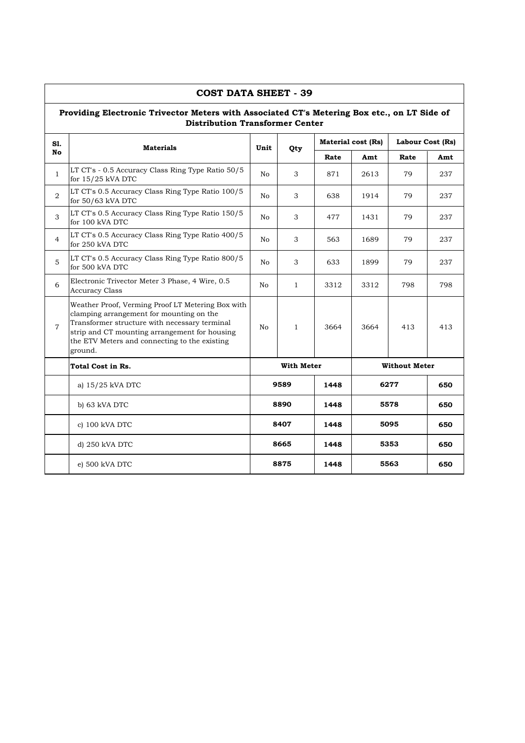|                | <b>COST DATA SHEET - 39</b>                                                                                                                                                                                                                                 |      |                   |      |                           |                      |     |  |  |  |
|----------------|-------------------------------------------------------------------------------------------------------------------------------------------------------------------------------------------------------------------------------------------------------------|------|-------------------|------|---------------------------|----------------------|-----|--|--|--|
|                | Providing Electronic Trivector Meters with Associated CT's Metering Box etc., on LT Side of<br><b>Distribution Transformer Center</b>                                                                                                                       |      |                   |      |                           |                      |     |  |  |  |
| S1.            | <b>Materials</b>                                                                                                                                                                                                                                            | Unit | Qty               |      | <b>Material cost (Rs)</b> | Labour Cost (Rs)     |     |  |  |  |
| No             |                                                                                                                                                                                                                                                             |      |                   | Rate | Amt                       | Rate                 | Amt |  |  |  |
| $\mathbf{1}$   | LT CT's - 0.5 Accuracy Class Ring Type Ratio 50/5<br>for $15/25$ kVA DTC                                                                                                                                                                                    | No   | 3                 | 871  | 2613                      | 79                   | 237 |  |  |  |
| $\overline{2}$ | LT CT's 0.5 Accuracy Class Ring Type Ratio 100/5<br>for 50/63 kVA DTC                                                                                                                                                                                       | No   | 3                 | 638  | 1914                      | 79                   | 237 |  |  |  |
| 3              | LT CT's 0.5 Accuracy Class Ring Type Ratio 150/5<br>for 100 kVA DTC                                                                                                                                                                                         | No   | 3                 | 477  | 1431                      | 79                   | 237 |  |  |  |
| $\overline{4}$ | LT CT's 0.5 Accuracy Class Ring Type Ratio 400/5<br>for 250 kVA DTC                                                                                                                                                                                         | No   | 3                 | 563  | 1689                      | 79                   | 237 |  |  |  |
| 5              | LT CT's 0.5 Accuracy Class Ring Type Ratio 800/5<br>for 500 kVA DTC                                                                                                                                                                                         | No   | 3                 | 633  | 1899                      | 79                   | 237 |  |  |  |
| 6              | Electronic Trivector Meter 3 Phase, 4 Wire, 0.5<br><b>Accuracy Class</b>                                                                                                                                                                                    | No   | $\mathbf{1}$      | 3312 | 3312                      | 798                  | 798 |  |  |  |
| $\overline{7}$ | Weather Proof, Verming Proof LT Metering Box with<br>clamping arrangement for mounting on the<br>Transformer structure with necessary terminal<br>strip and CT mounting arrangement for housing<br>the ETV Meters and connecting to the existing<br>ground. | No   | $\mathbf{1}$      | 3664 | 3664                      | 413                  | 413 |  |  |  |
|                | Total Cost in Rs.                                                                                                                                                                                                                                           |      | <b>With Meter</b> |      |                           | <b>Without Meter</b> |     |  |  |  |
|                | a) 15/25 kVA DTC                                                                                                                                                                                                                                            |      | 9589              | 1448 |                           | 6277                 | 650 |  |  |  |
|                | b) 63 kVA DTC                                                                                                                                                                                                                                               |      | 8890              | 1448 |                           | 5578                 | 650 |  |  |  |
|                | c) 100 kVA DTC                                                                                                                                                                                                                                              | 8407 |                   | 1448 |                           | 5095                 | 650 |  |  |  |
|                | d) 250 kVA DTC                                                                                                                                                                                                                                              | 8665 |                   | 1448 |                           | 5353                 | 650 |  |  |  |
|                | e) 500 kVA DTC                                                                                                                                                                                                                                              |      | 8875              |      |                           | 5563                 | 650 |  |  |  |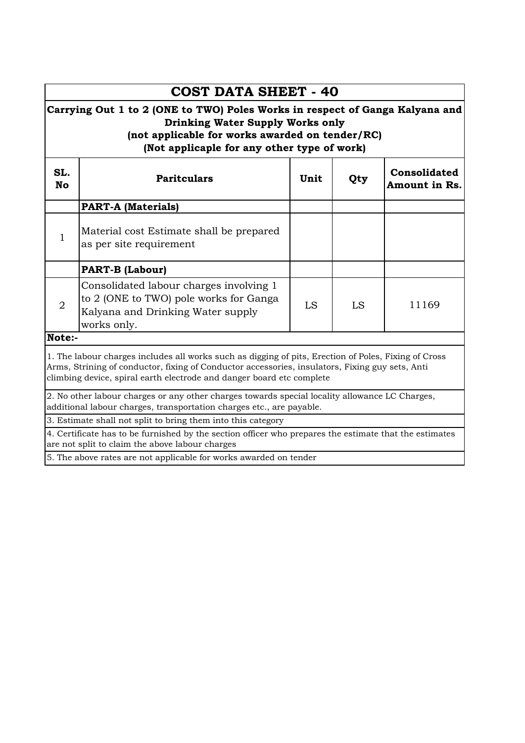|                                                                                                                                                           | <b>COST DATA SHEET - 40</b>                                                                                                                                                                                                                                                      |      |     |                               |  |  |  |  |  |  |  |
|-----------------------------------------------------------------------------------------------------------------------------------------------------------|----------------------------------------------------------------------------------------------------------------------------------------------------------------------------------------------------------------------------------------------------------------------------------|------|-----|-------------------------------|--|--|--|--|--|--|--|
|                                                                                                                                                           | Carrying Out 1 to 2 (ONE to TWO) Poles Works in respect of Ganga Kalyana and<br><b>Drinking Water Supply Works only</b><br>(not applicable for works awarded on tender/RC)<br>(Not applicaple for any other type of work)                                                        |      |     |                               |  |  |  |  |  |  |  |
| SL.<br><b>No</b>                                                                                                                                          | <b>Paritculars</b>                                                                                                                                                                                                                                                               | Unit | Qty | Consolidated<br>Amount in Rs. |  |  |  |  |  |  |  |
|                                                                                                                                                           | <b>PART-A (Materials)</b>                                                                                                                                                                                                                                                        |      |     |                               |  |  |  |  |  |  |  |
| $\mathbf{1}$                                                                                                                                              | Material cost Estimate shall be prepared<br>as per site requirement                                                                                                                                                                                                              |      |     |                               |  |  |  |  |  |  |  |
|                                                                                                                                                           | <b>PART-B (Labour)</b>                                                                                                                                                                                                                                                           |      |     |                               |  |  |  |  |  |  |  |
| $\overline{2}$                                                                                                                                            | Consolidated labour charges involving 1<br>to 2 (ONE to TWO) pole works for Ganga<br>Kalyana and Drinking Water supply<br>works only.                                                                                                                                            | LS   | LS  | 11169                         |  |  |  |  |  |  |  |
| Note:-                                                                                                                                                    |                                                                                                                                                                                                                                                                                  |      |     |                               |  |  |  |  |  |  |  |
|                                                                                                                                                           | 1. The labour charges includes all works such as digging of pits, Erection of Poles, Fixing of Cross<br>Arms, Strining of conductor, fixing of Conductor accessories, insulators, Fixing guy sets, Anti<br>climbing device, spiral earth electrode and danger board etc complete |      |     |                               |  |  |  |  |  |  |  |
|                                                                                                                                                           | 2. No other labour charges or any other charges towards special locality allowance LC Charges,<br>additional labour charges, transportation charges etc., are payable.                                                                                                           |      |     |                               |  |  |  |  |  |  |  |
|                                                                                                                                                           | 3. Estimate shall not split to bring them into this category                                                                                                                                                                                                                     |      |     |                               |  |  |  |  |  |  |  |
| 4. Certificate has to be furnished by the section officer who prepares the estimate that the estimates<br>are not split to claim the above labour charges |                                                                                                                                                                                                                                                                                  |      |     |                               |  |  |  |  |  |  |  |
|                                                                                                                                                           | 5. The above rates are not applicable for works awarded on tender                                                                                                                                                                                                                |      |     |                               |  |  |  |  |  |  |  |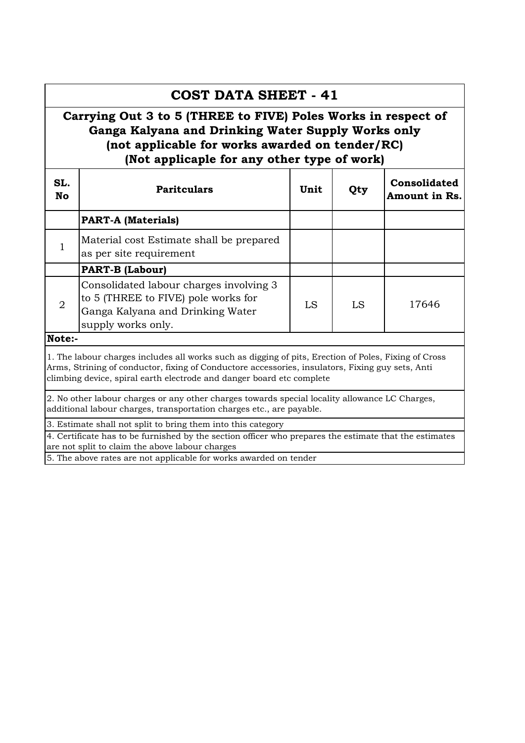# **PART-A (Materials)** Material cost Estimate shall be prepared **COST DATA SHEET - 41 Carrying Out 3 to 5 (THREE to FIVE) Poles Works in respect of Ganga Kalyana and Drinking Water Supply Works only (not applicable for works awarded on tender/RC) (Not applicaple for any other type of work) SL. No Paritculars Unit Qty Consolidated Amount in Rs.**

|                | nadoridi oost mstiinate siidii se propared<br>as per site requirement                                                                                                                                                                                                             |    |    |       |
|----------------|-----------------------------------------------------------------------------------------------------------------------------------------------------------------------------------------------------------------------------------------------------------------------------------|----|----|-------|
|                | <b>PART-B (Labour)</b>                                                                                                                                                                                                                                                            |    |    |       |
| $\overline{2}$ | Consolidated labour charges involving 3<br>to 5 (THREE to FIVE) pole works for<br>Ganga Kalyana and Drinking Water<br>supply works only.                                                                                                                                          | LS | LS | 17646 |
| Note:-         |                                                                                                                                                                                                                                                                                   |    |    |       |
|                | 1. The labour charges includes all works such as digging of pits, Erection of Poles, Fixing of Cross<br>Arms, Strining of conductor, fixing of Conductore accessories, insulators, Fixing guy sets, Anti<br>climbing device, spiral earth electrode and danger board etc complete |    |    |       |

2. No other labour charges or any other charges towards special locality allowance LC Charges, additional labour charges, transportation charges etc., are payable.

3. Estimate shall not split to bring them into this category

4. Certificate has to be furnished by the section officer who prepares the estimate that the estimates are not split to claim the above labour charges

5. The above rates are not applicable for works awarded on tender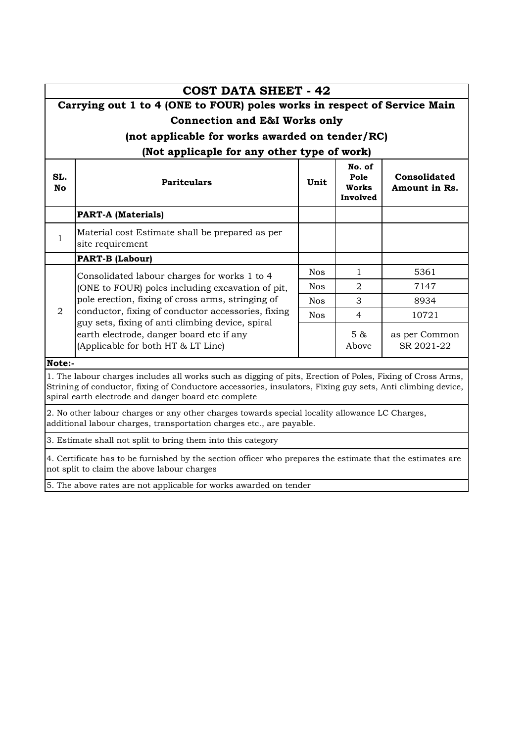|                  | <b>COST DATA SHEET - 42</b>                                                                                                                                                                                                                                                       |            |                                     |                               |
|------------------|-----------------------------------------------------------------------------------------------------------------------------------------------------------------------------------------------------------------------------------------------------------------------------------|------------|-------------------------------------|-------------------------------|
|                  | Carrying out 1 to 4 (ONE to FOUR) poles works in respect of Service Main                                                                                                                                                                                                          |            |                                     |                               |
|                  | <b>Connection and E&amp;I Works only</b>                                                                                                                                                                                                                                          |            |                                     |                               |
|                  | (not applicable for works awarded on tender/RC)                                                                                                                                                                                                                                   |            |                                     |                               |
|                  | (Not applicaple for any other type of work)                                                                                                                                                                                                                                       |            |                                     |                               |
| SL.<br><b>No</b> | <b>Paritculars</b>                                                                                                                                                                                                                                                                | Unit       | No. of<br>Pole<br>Works<br>Involved | Consolidated<br>Amount in Rs. |
|                  | <b>PART-A (Materials)</b>                                                                                                                                                                                                                                                         |            |                                     |                               |
| $\mathbf{1}$     | Material cost Estimate shall be prepared as per<br>site requirement                                                                                                                                                                                                               |            |                                     |                               |
|                  | <b>PART-B (Labour)</b>                                                                                                                                                                                                                                                            |            |                                     |                               |
|                  | Consolidated labour charges for works 1 to 4<br>(ONE to FOUR) poles including excavation of pit,                                                                                                                                                                                  | <b>Nos</b> | $\mathbf{1}$                        | 5361                          |
|                  |                                                                                                                                                                                                                                                                                   | <b>Nos</b> | $\mathfrak{D}$                      | 7147                          |
|                  | pole erection, fixing of cross arms, stringing of                                                                                                                                                                                                                                 | <b>Nos</b> | 3                                   | 8934                          |
| 2                | conductor, fixing of conductor accessories, fixing<br>guy sets, fixing of anti climbing device, spiral                                                                                                                                                                            | <b>Nos</b> | $\overline{4}$                      | 10721                         |
|                  | earth electrode, danger board etc if any<br>(Applicable for both HT & LT Line)                                                                                                                                                                                                    |            | 5 &<br>Above                        | as per Common<br>SR 2021-22   |
| Note:-           |                                                                                                                                                                                                                                                                                   |            |                                     |                               |
|                  | 1. The labour charges includes all works such as digging of pits, Erection of Poles, Fixing of Cross Arms,<br>Strining of conductor, fixing of Conductore accessories, insulators, Fixing guy sets, Anti climbing device,<br>spiral earth electrode and danger board etc complete |            |                                     |                               |
|                  | 2. No other labour charges or any other charges towards special locality allowance LC Charges,<br>additional labour charges, transportation charges etc., are payable.                                                                                                            |            |                                     |                               |
|                  | 3. Estimate shall not split to bring them into this category                                                                                                                                                                                                                      |            |                                     |                               |

4. Certificate has to be furnished by the section officer who prepares the estimate that the estimates are not split to claim the above labour charges

5. The above rates are not applicable for works awarded on tender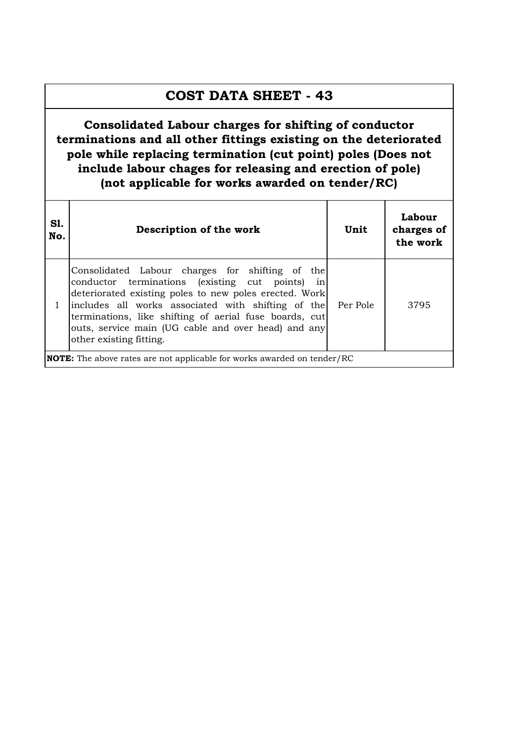## **COST DATA SHEET - 43**

**Consolidated Labour charges for shifting of conductor terminations and all other fittings existing on the deteriorated pole while replacing termination (cut point) poles (Does not include labour chages for releasing and erection of pole) (not applicable for works awarded on tender/RC)**

| <b>S1.</b><br>No. | Description of the work                                                                                                                                                                                                                                                                                                                                        | Unit     | Labour<br>charges of<br>the work |
|-------------------|----------------------------------------------------------------------------------------------------------------------------------------------------------------------------------------------------------------------------------------------------------------------------------------------------------------------------------------------------------------|----------|----------------------------------|
|                   | Consolidated Labour charges for shifting of the<br>conductor terminations (existing cut points) in<br>deteriorated existing poles to new poles erected. Work<br>includes all works associated with shifting of the<br>terminations, like shifting of aerial fuse boards, cut<br>outs, service main (UG cable and over head) and any<br>other existing fitting. | Per Pole | 3795                             |
|                   | <b>NOTE:</b> The above rates are not applicable for works awarded on tender/RC                                                                                                                                                                                                                                                                                 |          |                                  |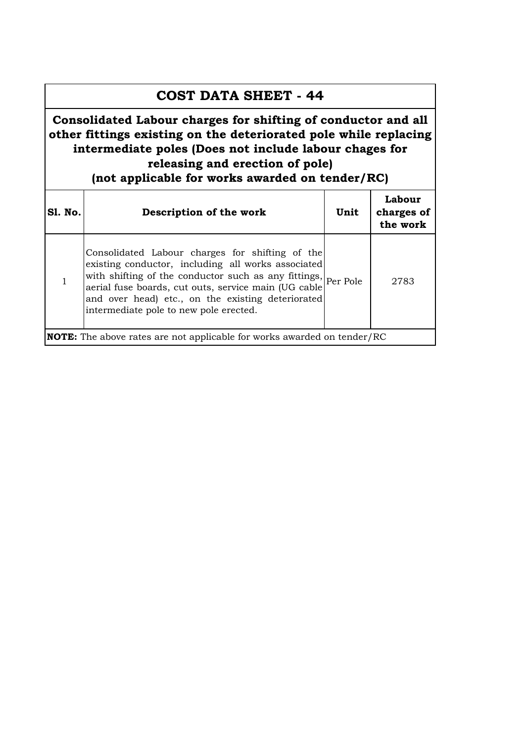### **COST DATA SHEET - 44**

**Consolidated Labour charges for shifting of conductor and all other fittings existing on the deteriorated pole while replacing intermediate poles (Does not include labour chages for releasing and erection of pole) (not applicable for works awarded on tender/RC)**

| <b>S1. No.</b> | Description of the work                                                                                                                                                                                                                                                                                                       | Unit | Labour<br>charges of<br>the work |
|----------------|-------------------------------------------------------------------------------------------------------------------------------------------------------------------------------------------------------------------------------------------------------------------------------------------------------------------------------|------|----------------------------------|
|                | Consolidated Labour charges for shifting of the<br>existing conductor, including all works associated<br>with shifting of the conductor such as any fittings, Per Pole<br>aerial fuse boards, cut outs, service main (UG cable<br>and over head) etc., on the existing deteriorated<br>intermediate pole to new pole erected. |      | 2783                             |
|                | <b>NOTE:</b> The above rates are not applicable for works awarded on tender/RC                                                                                                                                                                                                                                                |      |                                  |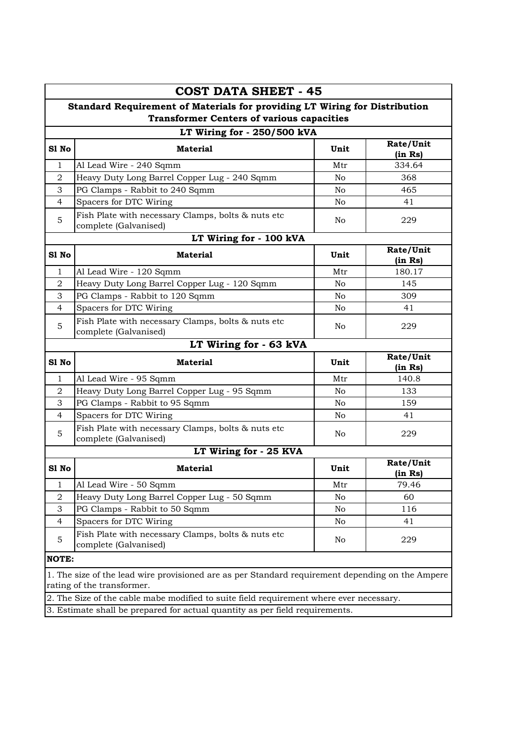|                | <b>COST DATA SHEET - 45</b>                                                                                                                                             |                |                      |  |  |  |  |
|----------------|-------------------------------------------------------------------------------------------------------------------------------------------------------------------------|----------------|----------------------|--|--|--|--|
|                | Standard Requirement of Materials for providing LT Wiring for Distribution<br><b>Transformer Centers of various capacities</b>                                          |                |                      |  |  |  |  |
|                | LT Wiring for - 250/500 kVA                                                                                                                                             |                |                      |  |  |  |  |
| S1 No          | <b>Material</b>                                                                                                                                                         | Unit           | Rate/Unit<br>(in Rs) |  |  |  |  |
| $\mathbf{1}$   | Al Lead Wire - 240 Sqmm                                                                                                                                                 | Mtr            | 334.64               |  |  |  |  |
| $\overline{a}$ | Heavy Duty Long Barrel Copper Lug - 240 Sqmm                                                                                                                            | N <sub>o</sub> | 368                  |  |  |  |  |
| 3              | PG Clamps - Rabbit to 240 Sqmm                                                                                                                                          | N <sub>o</sub> | 465                  |  |  |  |  |
| 4              | Spacers for DTC Wiring                                                                                                                                                  | No.            | 41                   |  |  |  |  |
| 5              | Fish Plate with necessary Clamps, bolts & nuts etc<br>complete (Galvanised)                                                                                             | No.            | 229                  |  |  |  |  |
|                | LT Wiring for - 100 kVA                                                                                                                                                 |                |                      |  |  |  |  |
| S1 No          | <b>Material</b>                                                                                                                                                         | Unit           | Rate/Unit<br>(in Rs) |  |  |  |  |
| 1              | Al Lead Wire - 120 Sqmm                                                                                                                                                 | Mtr            | 180.17               |  |  |  |  |
| $\overline{a}$ | Heavy Duty Long Barrel Copper Lug - 120 Sqmm                                                                                                                            | N <sub>o</sub> | 145                  |  |  |  |  |
| 3              | PG Clamps - Rabbit to 120 Sqmm                                                                                                                                          | N <sub>o</sub> | 309                  |  |  |  |  |
| 4              | Spacers for DTC Wiring                                                                                                                                                  | No             | 41                   |  |  |  |  |
| 5              | Fish Plate with necessary Clamps, bolts & nuts etc<br>complete (Galvanised)                                                                                             | No.            | 229                  |  |  |  |  |
|                | LT Wiring for - 63 kVA                                                                                                                                                  |                |                      |  |  |  |  |
| S1 No          | <b>Material</b>                                                                                                                                                         | Unit           | Rate/Unit<br>(in Rs) |  |  |  |  |
|                |                                                                                                                                                                         |                |                      |  |  |  |  |
| $\mathbf{1}$   | Al Lead Wire - 95 Sqmm                                                                                                                                                  | Mtr            | 140.8                |  |  |  |  |
| 2              | Heavy Duty Long Barrel Copper Lug - 95 Sqmm                                                                                                                             | N <sub>o</sub> | 133                  |  |  |  |  |
| 3              | PG Clamps - Rabbit to 95 Sqmm                                                                                                                                           | N <sub>o</sub> | 159                  |  |  |  |  |
| $\overline{4}$ | Spacers for DTC Wiring                                                                                                                                                  | No             | 41                   |  |  |  |  |
| 5              | Fish Plate with necessary Clamps, bolts & nuts etc<br>complete (Galvanised)                                                                                             | No.            | 229                  |  |  |  |  |
|                | LT Wiring for - 25 KVA                                                                                                                                                  |                |                      |  |  |  |  |
| S1 No          | <b>Material</b>                                                                                                                                                         | Unit           | Rate/Unit<br>(in Rs) |  |  |  |  |
| 1              | Al Lead Wire - 50 Sqmm                                                                                                                                                  | Mtr            | 79.46                |  |  |  |  |
| 2              | Heavy Duty Long Barrel Copper Lug - 50 Sqmm                                                                                                                             | No             | 60                   |  |  |  |  |
| 3              | PG Clamps - Rabbit to 50 Sqmm                                                                                                                                           | No             | 116                  |  |  |  |  |
| $\overline{4}$ | Spacers for DTC Wiring                                                                                                                                                  | No             | 41                   |  |  |  |  |
| 5              | Fish Plate with necessary Clamps, bolts & nuts etc<br>complete (Galvanised)                                                                                             | No             | 229                  |  |  |  |  |
| <b>NOTE:</b>   |                                                                                                                                                                         |                |                      |  |  |  |  |
|                | 1. The size of the lead wire provisioned are as per Standard requirement depending on the Ampere<br>rating of the transformer.                                          |                |                      |  |  |  |  |
|                | 2. The Size of the cable mabe modified to suite field requirement where ever necessary.<br>3. Estimate shall be prepared for actual quantity as per field requirements. |                |                      |  |  |  |  |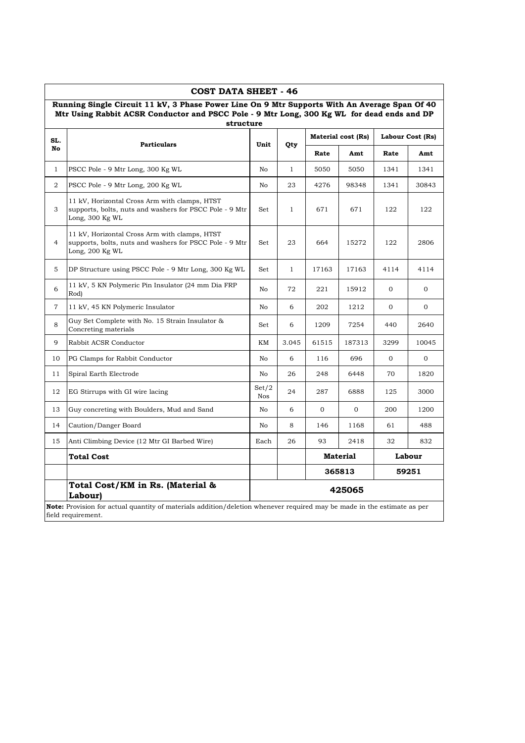|                | Mtr Using Rabbit ACSR Conductor and PSCC Pole - 9 Mtr Long, 300 Kg WL for dead ends and DP<br>structure                     |              |              |       |                    |      | Running Single Circuit 11 kV, 3 Phase Power Line On 9 Mtr Supports With An Average Span Of 40 |
|----------------|-----------------------------------------------------------------------------------------------------------------------------|--------------|--------------|-------|--------------------|------|-----------------------------------------------------------------------------------------------|
| SL.            |                                                                                                                             |              |              |       | Material cost (Rs) |      | Labour Cost (Rs)                                                                              |
| No             | <b>Particulars</b>                                                                                                          | Unit         | Qty          | Rate  | Amt                | Rate | Amt                                                                                           |
| $\mathbf{1}$   | PSCC Pole - 9 Mtr Long, 300 Kg WL                                                                                           | No           | $\mathbf{1}$ | 5050  | 5050               | 1341 | 1341                                                                                          |
| 2              | PSCC Pole - 9 Mtr Long, 200 Kg WL                                                                                           | No           | 23           | 4276  | 98348              | 1341 | 30843                                                                                         |
| 3              | 11 kV, Horizontal Cross Arm with clamps, HTST<br>supports, bolts, nuts and washers for PSCC Pole - 9 Mtr<br>Long, 300 Kg WL | Set          | $\mathbf{1}$ | 671   | 671                | 122  | 122                                                                                           |
| $\overline{4}$ | 11 kV, Horizontal Cross Arm with clamps, HTST<br>supports, bolts, nuts and washers for PSCC Pole - 9 Mtr<br>Long, 200 Kg WL | Set          | 23           | 664   | 15272              | 122  | 2806                                                                                          |
| 5              | DP Structure using PSCC Pole - 9 Mtr Long, 300 Kg WL                                                                        | Set          | $\mathbf{1}$ | 17163 | 17163              | 4114 | 4114                                                                                          |
| 6              | 11 kV, 5 KN Polymeric Pin Insulator (24 mm Dia FRP<br>Rod)                                                                  | No           | 72           | 221   | 15912              | 0    | $\overline{0}$                                                                                |
| $\tau$         | 11 kV, 45 KN Polymeric Insulator                                                                                            | No           | 6            | 202   | 1212               | 0    | $\mathbf 0$                                                                                   |
| 8              | Guy Set Complete with No. 15 Strain Insulator &<br>Concreting materials                                                     | Set          | 6            | 1209  | 7254               | 440  | 2640                                                                                          |
| 9              | Rabbit ACSR Conductor                                                                                                       | KM           | 3.045        | 61515 | 187313             | 3299 | 10045                                                                                         |
| 10             | PG Clamps for Rabbit Conductor                                                                                              | No           | 6            | 116   | 696                | 0    | $\mathbf{O}$                                                                                  |
| 11             | Spiral Earth Electrode                                                                                                      | No           | 26           | 248   | 6448               | 70   | 1820                                                                                          |
| 12             | EG Stirrups with GI wire lacing                                                                                             | Set/2<br>Nos | 24           | 287   | 6888               | 125  | 3000                                                                                          |
| 13             | Guy concreting with Boulders, Mud and Sand                                                                                  | No           | 6            | 0     | 0                  | 200  | 1200                                                                                          |
| 14             | Caution/Danger Board                                                                                                        | No           | 8            | 146   | 1168               | 61   | 488                                                                                           |
| 15             | Anti Climbing Device (12 Mtr GI Barbed Wire)                                                                                | Each         | 26           | 93    | 2418               | 32   | 832                                                                                           |
|                | Total Cost                                                                                                                  |              |              |       | <b>Material</b>    |      | Labour                                                                                        |
|                |                                                                                                                             |              |              |       | 365813             |      | 59251                                                                                         |
|                | Total Cost/KM in Rs. (Material &<br>Labour)                                                                                 |              |              |       | 425065             |      |                                                                                               |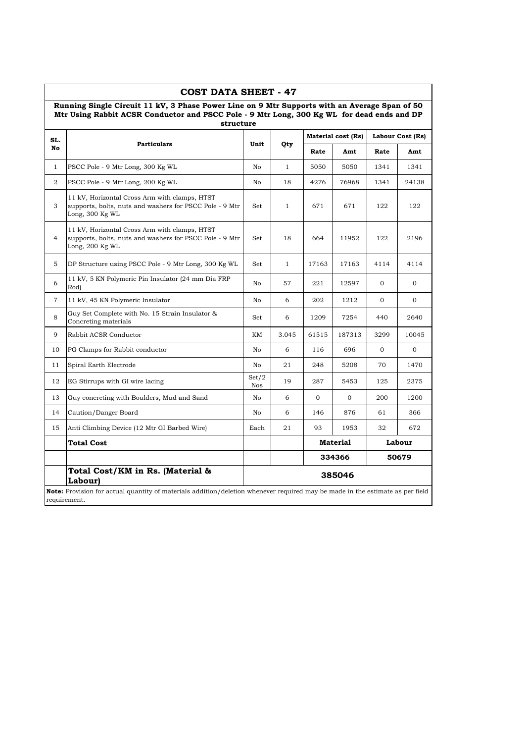|                | <b>COST DATA SHEET - 47</b><br>Running Single Circuit 11 kV, 3 Phase Power Line on 9 Mtr Supports with an Average Span of 50<br>Mtr Using Rabbit ACSR Conductor and PSCC Pole - 9 Mtr Long, 300 Kg WL for dead ends and DP |                     |              |              |                           |              |                  |
|----------------|----------------------------------------------------------------------------------------------------------------------------------------------------------------------------------------------------------------------------|---------------------|--------------|--------------|---------------------------|--------------|------------------|
| SL.            | structure                                                                                                                                                                                                                  |                     |              |              | <b>Material cost (Rs)</b> |              | Labour Cost (Rs) |
| No             | <b>Particulars</b>                                                                                                                                                                                                         | Unit                | Qty          | Rate         | Amt                       | Rate         | Amt              |
| $\mathbf{1}$   | PSCC Pole - 9 Mtr Long, 300 Kg WL                                                                                                                                                                                          | No                  | $\mathbf{1}$ | 5050         | 5050                      | 1341         | 1341             |
| $\overline{2}$ | PSCC Pole - 9 Mtr Long, 200 Kg WL                                                                                                                                                                                          | No.                 | 18           | 4276         | 76968                     | 1341         | 24138            |
| 3              | 11 kV, Horizontal Cross Arm with clamps, HTST<br>supports, bolts, nuts and washers for PSCC Pole - 9 Mtr<br>Long, 300 Kg WL                                                                                                | Set                 | $\mathbf{1}$ | 671          | 671                       | 122          | 122              |
| 4              | 11 kV, Horizontal Cross Arm with clamps, HTST<br>supports, bolts, nuts and washers for PSCC Pole - 9 Mtr<br>Long, 200 Kg WL                                                                                                | Set                 | 18           | 664          | 11952                     | 122          | 2196             |
| 5              | DP Structure using PSCC Pole - 9 Mtr Long, 300 Kg WL                                                                                                                                                                       | Set                 | $\mathbf{1}$ | 17163        | 17163                     | 4114         | 4114             |
| 6              | 11 kV, 5 KN Polymeric Pin Insulator (24 mm Dia FRP<br>Rod)                                                                                                                                                                 | No                  | 57           | 221          | 12597                     | $\mathbf 0$  | 0                |
| $\overline{7}$ | 11 kV, 45 KN Polymeric Insulator                                                                                                                                                                                           | No                  | 6            | 202          | 1212                      | $\mathbf{0}$ | $\overline{0}$   |
| 8              | Guy Set Complete with No. 15 Strain Insulator &<br>Concreting materials                                                                                                                                                    | Set                 | 6            | 1209         | 7254                      | 440          | 2640             |
| 9              | Rabbit ACSR Conductor                                                                                                                                                                                                      | KМ                  | 3.045        | 61515        | 187313                    | 3299         | 10045            |
| 10             | PG Clamps for Rabbit conductor                                                                                                                                                                                             | No.                 | 6            | 116          | 696                       | $\mathbf{0}$ | $\overline{0}$   |
| 11             | Spiral Earth Electrode                                                                                                                                                                                                     | No                  | 21           | 248          | 5208                      | 70           | 1470             |
| 12             | EG Stirrups with GI wire lacing                                                                                                                                                                                            | Set/2<br><b>Nos</b> | 19           | 287          | 5453                      | 125          | 2375             |
| 13             | Guy concreting with Boulders, Mud and Sand                                                                                                                                                                                 | No                  | 6            | $\mathbf{0}$ | $\mathbf 0$               | 200          | 1200             |
| 14             | Caution/Danger Board                                                                                                                                                                                                       | No                  | 6            | 146          | 876                       | 61           | 366              |
| 15             | Anti Climbing Device (12 Mtr GI Barbed Wire)                                                                                                                                                                               | Each                | 21           | 93           | 1953                      | 32           | 672              |
|                | Total Cost                                                                                                                                                                                                                 |                     |              |              | Material                  |              | Labour           |
|                |                                                                                                                                                                                                                            |                     |              |              | 334366                    |              | 50679            |
|                | Total Cost/KM in Rs. (Material &<br>Labour)                                                                                                                                                                                |                     |              |              | 385046                    |              |                  |
|                | <b>Note:</b> Provision for actual quantity of materials addition/deletion whenever required may be made in the estimate as per field<br>requirement.                                                                       |                     |              |              |                           |              |                  |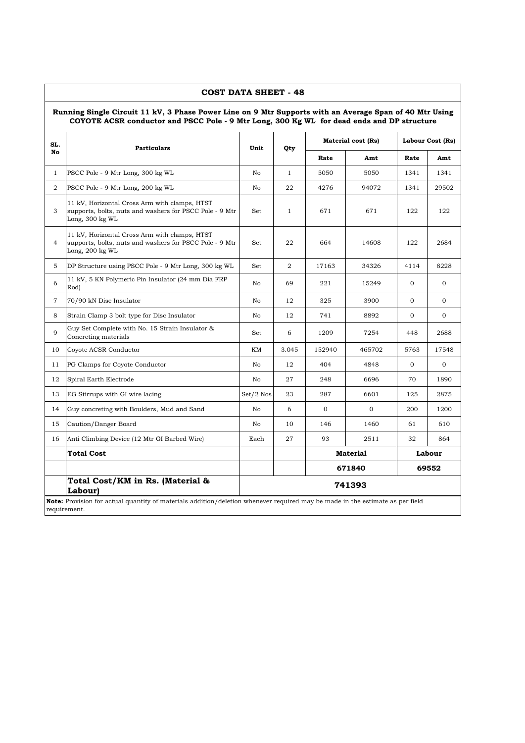|                | COST DATA SHEET - 48<br>Running Single Circuit 11 kV, 3 Phase Power Line on 9 Mtr Supports with an Average Span of 40 Mtr Using<br>COYOTE ACSR conductor and PSCC Pole - 9 Mtr Long, 300 Kg WL for dead ends and DP structure |             |              |          |                    |              |                  |
|----------------|-------------------------------------------------------------------------------------------------------------------------------------------------------------------------------------------------------------------------------|-------------|--------------|----------|--------------------|--------------|------------------|
| SL.            |                                                                                                                                                                                                                               | Unit        |              |          | Material cost (Rs) |              | Labour Cost (Rs) |
| No             | <b>Particulars</b>                                                                                                                                                                                                            |             | Qty          | Rate     | Amt                | Rate         | Amt              |
| $\mathbf{1}$   | PSCC Pole - 9 Mtr Long, 300 kg WL                                                                                                                                                                                             | No          | $\mathbf{1}$ | 5050     | 5050               | 1341         | 1341             |
| 2              | PSCC Pole - 9 Mtr Long, 200 kg WL                                                                                                                                                                                             | No          | 22           | 4276     | 94072              | 1341         | 29502            |
| 3              | 11 kV, Horizontal Cross Arm with clamps, HTST<br>supports, bolts, nuts and washers for PSCC Pole - 9 Mtr<br>Long, 300 kg WL                                                                                                   | Set         | $\mathbf{1}$ | 671      | 671                | 122          | 122              |
| $\overline{4}$ | 11 kV, Horizontal Cross Arm with clamps, HTST<br>supports, bolts, nuts and washers for PSCC Pole - 9 Mtr<br>Long, 200 kg WL                                                                                                   | Set         | 22           | 664      | 14608              | 122          | 2684             |
| 5              | DP Structure using PSCC Pole - 9 Mtr Long, 300 kg WL                                                                                                                                                                          | Set         | 2            | 17163    | 34326              | 4114         | 8228             |
| 6              | 11 kV, 5 KN Polymeric Pin Insulator (24 mm Dia FRP)<br>Rod)                                                                                                                                                                   | No          | 69           | 221      | 15249              | $\Omega$     | $\Omega$         |
| 7              | 70/90 kN Disc Insulator                                                                                                                                                                                                       | No          | 12           | 325      | 3900               | $\mathbf{0}$ | $\Omega$         |
| 8              | Strain Clamp 3 bolt type for Disc Insulator                                                                                                                                                                                   | No          | 12           | 741      | 8892               | $\mathbf{0}$ | $\Omega$         |
| 9              | Guy Set Complete with No. 15 Strain Insulator &<br>Concreting materials                                                                                                                                                       | Set         | 6            | 1209     | 7254               | 448          | 2688             |
| 10             | Coyote ACSR Conductor                                                                                                                                                                                                         | KM          | 3.045        | 152940   | 465702             | 5763         | 17548            |
| 11             | PG Clamps for Coyote Conductor                                                                                                                                                                                                | No          | 12           | 404      | 4848               | $\mathbf{0}$ | $\mathbf{O}$     |
| 12             | Spiral Earth Electrode                                                                                                                                                                                                        | No          | 27           | 248      | 6696               | 70           | 1890             |
| 13             | EG Stirrups with GI wire lacing                                                                                                                                                                                               | $Set/2$ Nos | 23           | 287      | 6601               | 125          | 2875             |
| 14             | Guy concreting with Boulders, Mud and Sand                                                                                                                                                                                    | No          | 6            | $\Omega$ | $\Omega$           | 200          | 1200             |
| 15             | Caution/Danger Board                                                                                                                                                                                                          | No          | 10           | 146      | 1460               | 61           | 610              |
| 16             | Anti Climbing Device (12 Mtr GI Barbed Wire)                                                                                                                                                                                  | Each        | 27           | 93       | 2511               | 32           | 864              |
|                | <b>Total Cost</b>                                                                                                                                                                                                             |             |              |          | <b>Material</b>    |              | Labour           |
|                |                                                                                                                                                                                                                               |             |              |          | 671840             |              | 69552            |
|                | Total Cost/KM in Rs. (Material &<br><b>Labour</b>                                                                                                                                                                             |             |              |          | 741393             |              |                  |
|                | Note: Provision for actual quantity of materials addition/deletion whenever required may be made in the estimate as per field<br>requirement.                                                                                 |             |              |          |                    |              |                  |

<u> 1980 - Johann Barn, mars ann an t-Amhain Aonaich an t-Aonaich an t-Aonaich ann an t-Aonaich ann an t-Aonaich</u>

┑

 $\overline{1}$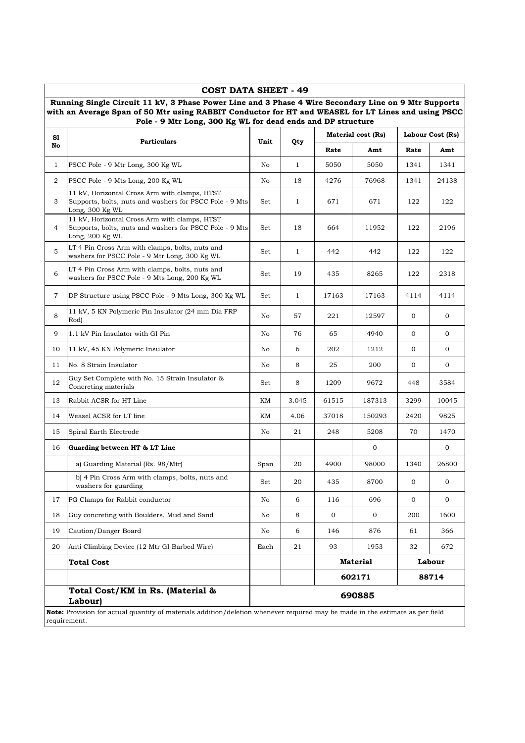|              | Pole - 9 Mtr Long, 300 Kg WL for dead ends and DP structure                                                                 |      |              |                           |                           |                  |                |
|--------------|-----------------------------------------------------------------------------------------------------------------------------|------|--------------|---------------------------|---------------------------|------------------|----------------|
| S1           | <b>Particulars</b>                                                                                                          | Unit | Qty          | <b>Material cost (Rs)</b> |                           | Labour Cost (Rs) |                |
| No           |                                                                                                                             |      |              | Rate                      | Amt                       | Rate             | Amt            |
| $\mathbf{1}$ | PSCC Pole - 9 Mtr Long, 300 Kg WL                                                                                           | No   | $\mathbf{1}$ | 5050                      | 5050                      | 1341             | 1341           |
| 2            | PSCC Pole - 9 Mts Long, 200 Kg WL                                                                                           | No   | 18           | 4276                      | 76968                     | 1341             | 24138          |
| 3            | 11 kV, Horizontal Cross Arm with clamps, HTST<br>Supports, bolts, nuts and washers for PSCC Pole - 9 Mts<br>Long, 300 Kg WL | Set  | $\mathbf{1}$ | 671                       | 671                       | 122              | 122            |
| 4            | 11 kV, Horizontal Cross Arm with clamps, HTST<br>Supports, bolts, nuts and washers for PSCC Pole - 9 Mts<br>Long, 200 Kg WL | Set  | 18           | 664                       | 11952                     | 122              | 2196           |
| 5            | LT 4 Pin Cross Arm with clamps, bolts, nuts and<br>washers for PSCC Pole - 9 Mtr Long, 300 Kg WL                            | Set  | $\mathbf{1}$ | 442                       | 442                       | 122              | 122            |
| 6            | LT 4 Pin Cross Arm with clamps, bolts, nuts and<br>washers for PSCC Pole - 9 Mts Long, 200 Kg WL                            | Set  | 19           | 435                       | 8265                      | 122              | 2318           |
| 7            | DP Structure using PSCC Pole - 9 Mts Long, 300 Kg WL                                                                        | Set  | $\mathbf{1}$ | 17163                     | 17163                     | 4114             | 4114           |
| 8            | 11 kV, 5 KN Polymeric Pin Insulator (24 mm Dia FRP)<br>Rod)                                                                 | No   | 57           | 221                       | 12597                     | 0                | 0              |
| 9            | 1.1 kV Pin Insulator with GI Pin                                                                                            | No   | 76           | 65                        | 4940                      | $\mathbf{O}$     | $\mathbf{0}$   |
| 10           | 11 kV, 45 KN Polymeric Insulator                                                                                            | No   | 6            | 202                       | 1212                      | 0                | 0              |
| 11           | No. 8 Strain Insulator                                                                                                      | No   | 8            | 25                        | 200                       | 0                | $\mathbf 0$    |
| 12           | Guy Set Complete with No. 15 Strain Insulator &<br>Concreting materials                                                     | Set  | 8            | 1209                      | 9672                      | 448              | 3584           |
| 13           | Rabbit ACSR for HT Line                                                                                                     | KМ   | 3.045        | 61515                     | 187313                    | 3299             | 10045          |
| 14           | Weasel ACSR for LT line                                                                                                     | KМ   | 4.06         | 37018                     | 150293                    | 2420             | 9825           |
| 15           | Spiral Earth Electrode                                                                                                      | No   | 21           | 248                       | 5208                      | 70               | 1470           |
| 16           | Guarding between HT & LT Line                                                                                               |      |              |                           | 0                         |                  | 0              |
|              | a) Guarding Material (Rs. 98/Mtr)                                                                                           | Span | 20           | 4900                      | 98000                     | 1340             | 26800          |
|              | b) 4 Pin Cross Arm with clamps, bolts, nuts and<br>washers for guarding                                                     | Set  | 20           | 435                       | 8700                      | 0                | $\Omega$       |
| 17           | PG Clamps for Rabbit conductor                                                                                              | No   | 6            | 116                       | 696                       | 0                | $\overline{0}$ |
| 18           | Guy concreting with Boulders, Mud and Sand                                                                                  | No   | 8            | $\overline{0}$            | $\overline{0}$            | 200              | 1600           |
| 19           | Caution/Danger Board                                                                                                        | No   | 6            | 146                       | 876                       | 61               | 366            |
| 20           | Anti Climbing Device (12 Mtr GI Barbed Wire)                                                                                | Each | 21           | 93                        | 1953                      | 32               | 672            |
|              | <b>Total Cost</b>                                                                                                           |      |              |                           | <b>Material</b><br>Labour |                  |                |
|              |                                                                                                                             |      |              |                           | 602171                    |                  | 88714          |
|              | Total Cost/KM in Rs. (Material &<br>Labour)                                                                                 |      |              |                           | 690885                    |                  |                |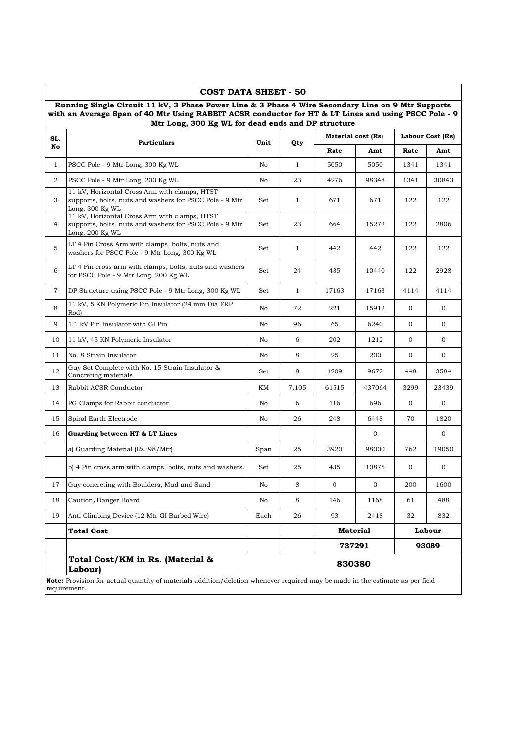|                | <b>COST DATA SHEET - 50</b>                                                                                                                                                                                                                                      |      |              |                  |                    |              |                  |
|----------------|------------------------------------------------------------------------------------------------------------------------------------------------------------------------------------------------------------------------------------------------------------------|------|--------------|------------------|--------------------|--------------|------------------|
|                | Running Single Circuit 11 kV, 3 Phase Power Line & 3 Phase 4 Wire Secondary Line on 9 Mtr Supports<br>with an Average Span of 40 Mtr Using RABBIT ACSR conductor for HT & LT Lines and using PSCC Pole - 9<br>Mtr Long, 300 Kg WL for dead ends and DP structure |      |              |                  |                    |              |                  |
| SL.            | <b>Particulars</b>                                                                                                                                                                                                                                               | Unit |              |                  | Material cost (Rs) |              | Labour Cost (Rs) |
| No             |                                                                                                                                                                                                                                                                  |      | Qty          | Rate             | Amt                | Rate         | Amt              |
| $\mathbf{1}$   | PSCC Pole - 9 Mtr Long, 300 Kg WL                                                                                                                                                                                                                                | No   | $\mathbf{1}$ | 5050             | 5050               | 1341         | 1341             |
| 2              | PSCC Pole - 9 Mtr Long, 200 Kg WL                                                                                                                                                                                                                                | No   | 23           | 4276             | 98348              | 1341         | 30843            |
| 3              | 11 kV, Horizontal Cross Arm with clamps, HTST<br>supports, bolts, nuts and washers for PSCC Pole - 9 Mtr<br>Long, 300 Kg WL                                                                                                                                      | Set  | 1            | 671              | 671                | 122          | 122              |
| 4              | 11 kV, Horizontal Cross Arm with clamps, HTST<br>supports, bolts, nuts and washers for PSCC Pole - 9 Mtr<br>Long, 200 Kg WL                                                                                                                                      | Set  | 23           | 664              | 15272              | 122          | 2806             |
| 5              | LT 4 Pin Cross Arm with clamps, bolts, nuts and<br>washers for PSCC Pole - 9 Mtr Long, 300 Kg WL                                                                                                                                                                 | Set  | 1            | 442              | 442                | 122          | 122              |
| 6              | LT 4 Pin cross arm with clamps, bolts, nuts and washers<br>for PSCC Pole - 9 Mtr Long, 200 Kg WL                                                                                                                                                                 | Set  | 24           | 435              | 10440              | 122          | 2928             |
| $\overline{7}$ | DP Structure using PSCC Pole - 9 Mtr Long, 300 Kg WL                                                                                                                                                                                                             | Set  | $\mathbf{1}$ | 17163            | 17163              | 4114         | 4114             |
| 8              | 11 kV, 5 KN Polymeric Pin Insulator (24 mm Dia FRP<br>Rod)                                                                                                                                                                                                       | No   | 72           | 221              | 15912              | $\mathbf{0}$ | $\mathbf 0$      |
| 9              | 1.1 kV Pin Insulator with GI Pin                                                                                                                                                                                                                                 | No   | 96           | 65               | 6240               | $\mathbf{0}$ | $\mathbf{0}$     |
| 10             | 11 kV, 45 KN Polymeric Insulator                                                                                                                                                                                                                                 | No   | 6            | 202              | 1212               | $\mathbf{0}$ | $\mathbf{0}$     |
| 11             | No. 8 Strain Insulator                                                                                                                                                                                                                                           | No   | 8            | 25               | 200                | $\mathbf{0}$ | $\mathbf{0}$     |
| 12             | Guy Set Complete with No. 15 Strain Insulator &<br>Concreting materials                                                                                                                                                                                          | Set  | 8            | 1209             | 9672               | 448          | 3584             |
| 13             | Rabbit ACSR Conductor                                                                                                                                                                                                                                            | KM   | 7.105        | 61515            | 437064             | 3299         | 23439            |
| 14             | PG Clamps for Rabbit conductor                                                                                                                                                                                                                                   | No   | 6            | 116              | 696                | $\mathbf{0}$ | $\mathbf 0$      |
| 15             | Spiral Earth Electrode                                                                                                                                                                                                                                           | No   | 26           | 248              | 6448               | 70           | 1820             |
| 16             | Guarding between HT & LT Lines                                                                                                                                                                                                                                   |      |              |                  | 0                  |              | $\mathbf 0$      |
|                | a) Guarding Material (Rs. 98/Mtr)                                                                                                                                                                                                                                | Span | 25           | 3920             | 98000              | 762          | 19050            |
|                | b) 4 Pin cross arm with clamps, bolts, nuts and washers.                                                                                                                                                                                                         | Set  | 25           | 435              | 10875              | $\mathbf 0$  | $\mathbf 0$      |
| 17             | Guy concreting with Boulders, Mud and Sand                                                                                                                                                                                                                       | No   | 8            | $\boldsymbol{0}$ | $\boldsymbol{0}$   | 200          | 1600             |
| 18             | Caution/Danger Board                                                                                                                                                                                                                                             | No   | 8            | 146              | 1168               | 61           | 488              |
| 19             | Anti Climbing Device (12 Mtr GI Barbed Wire)                                                                                                                                                                                                                     | Each | 26           | 93               | 2418               | 32           | 832              |
|                | <b>Total Cost</b>                                                                                                                                                                                                                                                |      |              |                  | <b>Material</b>    |              | Labour           |
|                |                                                                                                                                                                                                                                                                  |      |              |                  | 737291             |              | 93089            |
|                | Total Cost/KM in Rs. (Material &<br>Labour)                                                                                                                                                                                                                      |      |              | 830380           |                    |              |                  |
|                | Note: Provision for actual quantity of materials addition/deletion whenever required may be made in the estimate as per field<br>requirement.                                                                                                                    |      |              |                  |                    |              |                  |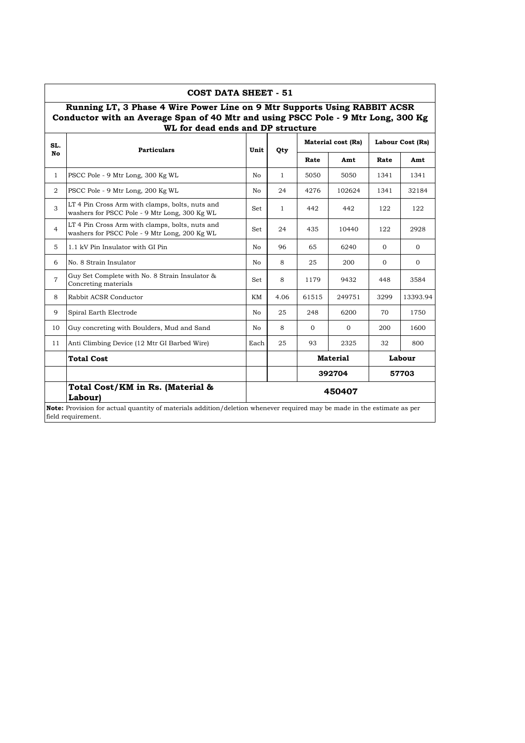|                | COST DATA SHEET - 51                                                                                                                                                                                |      |              |              |                           |                  |          |
|----------------|-----------------------------------------------------------------------------------------------------------------------------------------------------------------------------------------------------|------|--------------|--------------|---------------------------|------------------|----------|
|                | Running LT, 3 Phase 4 Wire Power Line on 9 Mtr Supports Using RABBIT ACSR<br>Conductor with an Average Span of 40 Mtr and using PSCC Pole - 9 Mtr Long, 300 Kg<br>WL for dead ends and DP structure |      |              |              |                           |                  |          |
| SL.            | <b>Particulars</b>                                                                                                                                                                                  | Unit | Qty          |              | <b>Material cost (Rs)</b> | Labour Cost (Rs) |          |
| No             |                                                                                                                                                                                                     |      |              | Rate         | Amt                       | Rate             | Amt      |
| $\mathbf{1}$   | PSCC Pole - 9 Mtr Long, 300 Kg WL                                                                                                                                                                   | No   | $\mathbf{1}$ | 5050         | 5050                      | 1341             | 1341     |
| $\overline{2}$ | PSCC Pole - 9 Mtr Long, 200 Kg WL                                                                                                                                                                   | No   | 24           | 4276         | 102624                    | 1341             | 32184    |
| 3              | LT 4 Pin Cross Arm with clamps, bolts, nuts and<br>washers for PSCC Pole - 9 Mtr Long, 300 Kg WL                                                                                                    | Set  | $\mathbf{1}$ | 442          | 442                       | 122              | 122      |
| 4              | LT 4 Pin Cross Arm with clamps, bolts, nuts and<br>washers for PSCC Pole - 9 Mtr Long, 200 Kg WL                                                                                                    | Set  | 24           | 435          | 10440                     | 122              | 2928     |
| 5              | 1.1 kV Pin Insulator with GI Pin                                                                                                                                                                    | No   | 96           | 65           | 6240                      | $\Omega$         | $\Omega$ |
| 6              | No. 8 Strain Insulator                                                                                                                                                                              | No   | 8            | 25           | 200                       | $\Omega$         | $\Omega$ |
| $\overline{7}$ | Guy Set Complete with No. 8 Strain Insulator &<br>Concreting materials                                                                                                                              | Set  | 8            | 1179         | 9432                      | 448              | 3584     |
| 8              | Rabbit ACSR Conductor                                                                                                                                                                               | KМ   | 4.06         | 61515        | 249751                    | 3299             | 13393.94 |
| 9              | Spiral Earth Electrode                                                                                                                                                                              | No   | 25           | 248          | 6200                      | 70               | 1750     |
| 10             | Guy concreting with Boulders, Mud and Sand                                                                                                                                                          | No.  | 8            | $\mathbf{0}$ | $\mathbf{0}$              | 200              | 1600     |
| 11             | Anti Climbing Device (12 Mtr GI Barbed Wire)                                                                                                                                                        | Each | 25           | 93           | 2325                      | 32               | 800      |
|                | <b>Total Cost</b>                                                                                                                                                                                   |      |              |              | <b>Material</b>           |                  | Labour   |
|                |                                                                                                                                                                                                     |      |              |              | 392704                    |                  | 57703    |
|                | Total Cost/KM in Rs. (Material &<br><b>Labour</b> )                                                                                                                                                 |      |              |              | 450407                    |                  |          |
|                | <b>Note:</b> Provision for actual quantity of materials addition/deletion whenever required may be made in the estimate as per<br>field requirement.                                                |      |              |              |                           |                  |          |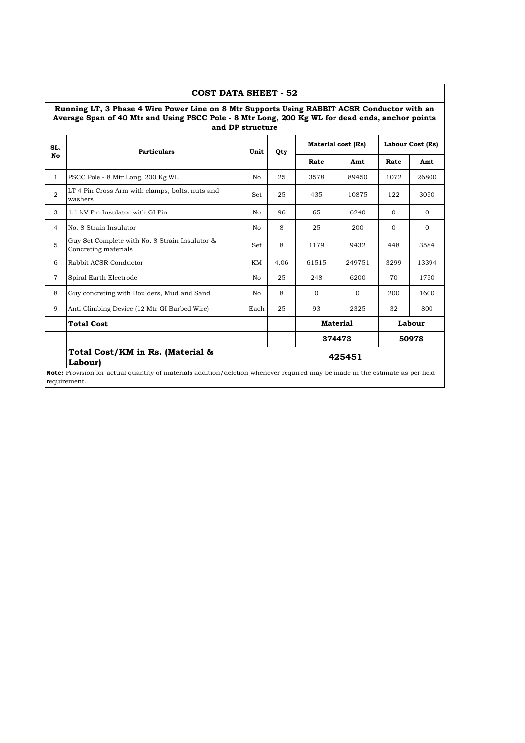|                | <b>COST DATA SHEET - 52</b>                                                                                                                                                                                        |      |      |                           |                 |                  |              |  |
|----------------|--------------------------------------------------------------------------------------------------------------------------------------------------------------------------------------------------------------------|------|------|---------------------------|-----------------|------------------|--------------|--|
|                | Running LT, 3 Phase 4 Wire Power Line on 8 Mtr Supports Using RABBIT ACSR Conductor with an<br>Average Span of 40 Mtr and Using PSCC Pole - 8 Mtr Long, 200 Kg WL for dead ends, anchor points<br>and DP structure |      |      |                           |                 |                  |              |  |
| SL.            | <b>Particulars</b>                                                                                                                                                                                                 | Unit | Qty  | <b>Material cost (Rs)</b> |                 | Labour Cost (Rs) |              |  |
| No             |                                                                                                                                                                                                                    |      |      | Rate                      | Amt             | Rate             | Amt          |  |
| $\mathbf{1}$   | PSCC Pole - 8 Mtr Long, 200 Kg WL                                                                                                                                                                                  | No.  | 25   | 3578                      | 89450           | 1072             | 26800        |  |
| 2              | LT 4 Pin Cross Arm with clamps, bolts, nuts and<br>washers                                                                                                                                                         | Set  | 25   | 435                       | 10875           | 122              | 3050         |  |
| 3              | 1.1 kV Pin Insulator with GI Pin                                                                                                                                                                                   | No   | 96   | 65                        | 6240            | $\Omega$         | $\Omega$     |  |
| 4              | No. 8 Strain Insulator                                                                                                                                                                                             | No   | 8    | 25                        | 200             | $\Omega$         | $\mathbf{0}$ |  |
| 5              | Guy Set Complete with No. 8 Strain Insulator &<br>Concreting materials                                                                                                                                             | Set  | 8    | 1179                      | 9432            | 448              | 3584         |  |
| 6              | Rabbit ACSR Conductor                                                                                                                                                                                              | KM   | 4.06 | 61515                     | 249751          | 3299             | 13394        |  |
| $\overline{7}$ | Spiral Earth Electrode                                                                                                                                                                                             | No.  | 25   | 248                       | 6200            | 70               | 1750         |  |
| 8              | Guy concreting with Boulders, Mud and Sand                                                                                                                                                                         | No.  | 8    | $\Omega$                  | $\Omega$        | 200              | 1600         |  |
| 9              | Anti Climbing Device (12 Mtr GI Barbed Wire)                                                                                                                                                                       | Each | 25   | 93                        | 2325            | 32               | 800          |  |
|                | <b>Total Cost</b>                                                                                                                                                                                                  |      |      |                           | <b>Material</b> |                  | Labour       |  |
|                |                                                                                                                                                                                                                    |      |      |                           | 374473          |                  | 50978        |  |
|                | Total Cost/KM in Rs. (Material &<br><b>Labour</b>                                                                                                                                                                  |      |      |                           | 425451          |                  |              |  |
|                | <b>Note:</b> Provision for actual quantity of materials addition/deletion whenever required may be made in the estimate as per field<br>requirement.                                                               |      |      |                           |                 |                  |              |  |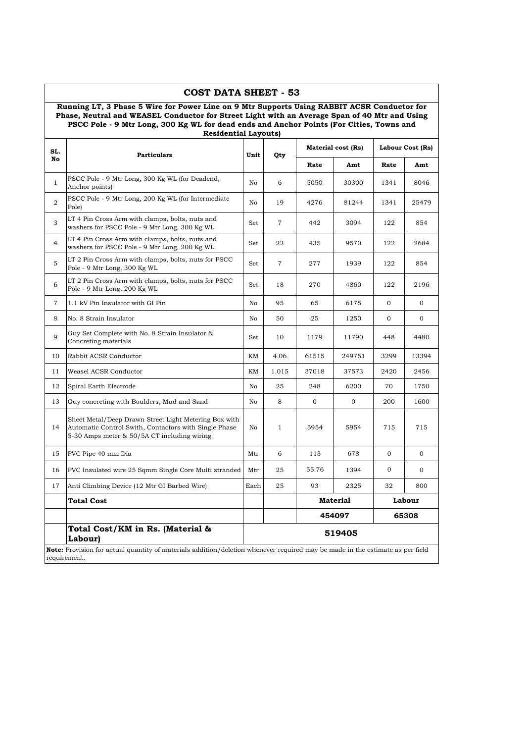|                | COST DATA SHEET - 53                                                                                                                                                                                                                                                                                                    |      |                |       |                    |                |                  |
|----------------|-------------------------------------------------------------------------------------------------------------------------------------------------------------------------------------------------------------------------------------------------------------------------------------------------------------------------|------|----------------|-------|--------------------|----------------|------------------|
|                | Running LT, 3 Phase 5 Wire for Power Line on 9 Mtr Supports Using RABBIT ACSR Conductor for<br>Phase, Neutral and WEASEL Conductor for Street Light with an Average Span of 40 Mtr and Using<br>PSCC Pole - 9 Mtr Long, 300 Kg WL for dead ends and Anchor Points (For Cities, Towns and<br><b>Residential Layouts)</b> |      |                |       |                    |                |                  |
| SL.            | <b>Particulars</b>                                                                                                                                                                                                                                                                                                      | Unit | Qty            |       | Material cost (Rs) |                | Labour Cost (Rs) |
| No             |                                                                                                                                                                                                                                                                                                                         |      |                | Rate  | Amt                | Rate           | Amt              |
| $\mathbf{1}$   | PSCC Pole - 9 Mtr Long, 300 Kg WL (for Deadend,<br>Anchor points)                                                                                                                                                                                                                                                       | No   | 6              | 5050  | 30300              | 1341           | 8046             |
| 2              | PSCC Pole - 9 Mtr Long, 200 Kg WL (for Intermediate<br>Pole)                                                                                                                                                                                                                                                            | No   | 19             | 4276  | 81244              | 1341           | 25479            |
| 3              | LT 4 Pin Cross Arm with clamps, bolts, nuts and<br>washers for PSCC Pole - 9 Mtr Long, 300 Kg WL                                                                                                                                                                                                                        | Set  | 7              | 442   | 3094               | 122            | 854              |
| $\overline{4}$ | LT 4 Pin Cross Arm with clamps, bolts, nuts and<br>washers for PSCC Pole - 9 Mtr Long, 200 Kg WL                                                                                                                                                                                                                        | Set  | 22             | 435   | 9570               | 122            | 2684             |
| 5              | LT 2 Pin Cross Arm with clamps, bolts, nuts for PSCC<br>Pole - 9 Mtr Long, 300 Kg WL                                                                                                                                                                                                                                    | Set  | $\overline{7}$ | 277   | 1939               | 122            | 854              |
| 6              | LT 2 Pin Cross Arm with clamps, bolts, nuts for PSCC<br>Pole - 9 Mtr Long, 200 Kg WL                                                                                                                                                                                                                                    | Set  | 18             | 270   | 4860               | 122            | 2196             |
| $\overline{7}$ | 1.1 kV Pin Insulator with GI Pin                                                                                                                                                                                                                                                                                        | No   | 95             | 65    | 6175               | 0              | 0                |
| 8              | No. 8 Strain Insulator                                                                                                                                                                                                                                                                                                  | No   | 50             | 25    | 1250               | 0              | 0                |
| 9              | Guy Set Complete with No. 8 Strain Insulator &<br>Concreting materials                                                                                                                                                                                                                                                  | Set  | 10             | 1179  | 11790              | 448            | 4480             |
| 10             | Rabbit ACSR Conductor                                                                                                                                                                                                                                                                                                   | KМ   | 4.06           | 61515 | 249751             | 3299           | 13394            |
| 11             | Weasel ACSR Conductor                                                                                                                                                                                                                                                                                                   | KМ   | 1.015          | 37018 | 37573              | 2420           | 2456             |
| 12             | Spiral Earth Electrode                                                                                                                                                                                                                                                                                                  | No   | 25             | 248   | 6200               | 70             | 1750             |
| 13             | Guy concreting with Boulders, Mud and Sand                                                                                                                                                                                                                                                                              | No   | 8              | 0     | $\mathbf{0}$       | 200            | 1600             |
| 14             | Sheet Metal/Deep Drawn Street Light Metering Box with<br>Automatic Control Swith, Contactors with Single Phase<br>5-30 Amps meter & 50/5A CT including wiring                                                                                                                                                           | No   | $\mathbf{1}$   | 5954  | 5954               | 715            | 715              |
| 15             | PVC Pipe 40 mm Dia                                                                                                                                                                                                                                                                                                      | Mtr  | 6              | 113   | 678                | $\overline{0}$ | $\mathbf{0}$     |
| 16             | PVC Insulated wire 25 Sqmm Single Core Multi stranded                                                                                                                                                                                                                                                                   | Mtr  | 25             | 55.76 | 1394               | 0              | 0                |
| 17             | Anti Climbing Device (12 Mtr GI Barbed Wire)                                                                                                                                                                                                                                                                            | Each | 25             | 93    | 2325               | 32             | 800              |
|                | <b>Total Cost</b>                                                                                                                                                                                                                                                                                                       |      |                |       | Material           |                | Labour           |
|                |                                                                                                                                                                                                                                                                                                                         |      |                |       | 454097             |                | 65308            |
|                | Total Cost/KM in Rs. (Material &<br>Labour)                                                                                                                                                                                                                                                                             |      |                |       | 519405             |                |                  |
|                | <b>Note:</b> Provision for actual quantity of materials addition/deletion whenever required may be made in the estimate as per field<br>requirement.                                                                                                                                                                    |      |                |       |                    |                |                  |

 $\overline{1}$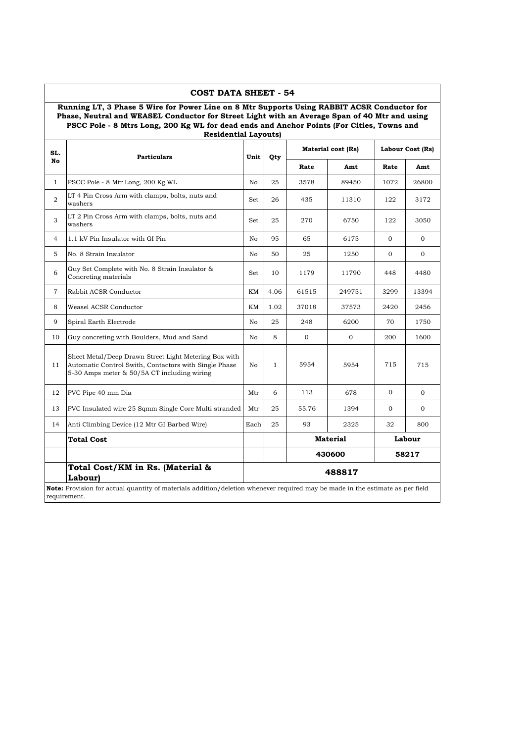|                | COST DATA SHEET - 54<br>Running LT, 3 Phase 5 Wire for Power Line on 8 Mtr Supports Using RABBIT ACSR Conductor for<br>Phase, Neutral and WEASEL Conductor for Street Light with an Average Span of 40 Mtr and using<br>PSCC Pole - 8 Mtrs Long, 200 Kg WL for dead ends and Anchor Points (For Cities, Towns and<br><b>Residential Layouts)</b> |                |              |          |                    |              |                  |  |
|----------------|--------------------------------------------------------------------------------------------------------------------------------------------------------------------------------------------------------------------------------------------------------------------------------------------------------------------------------------------------|----------------|--------------|----------|--------------------|--------------|------------------|--|
| SL.            | <b>Particulars</b>                                                                                                                                                                                                                                                                                                                               | Unit           | Qty          |          | Material cost (Rs) |              | Labour Cost (Rs) |  |
| No             |                                                                                                                                                                                                                                                                                                                                                  |                |              | Rate     | Amt                | Rate         | Amt              |  |
| $\mathbf{1}$   | PSCC Pole - 8 Mtr Long, 200 Kg WL                                                                                                                                                                                                                                                                                                                | No             | 25           | 3578     | 89450              | 1072         | 26800            |  |
| 2              | LT 4 Pin Cross Arm with clamps, bolts, nuts and<br>washers                                                                                                                                                                                                                                                                                       | Set            | 26           | 435      | 11310              | 122          | 3172             |  |
| 3              | LT 2 Pin Cross Arm with clamps, bolts, nuts and<br>washers                                                                                                                                                                                                                                                                                       | Set            | 25           | 270      | 6750               | 122          | 3050             |  |
| $\overline{4}$ | 1.1 kV Pin Insulator with GI Pin                                                                                                                                                                                                                                                                                                                 | No             | 95           | 65       | 6175               | $\mathbf{0}$ | 0                |  |
| 5              | No. 8 Strain Insulator                                                                                                                                                                                                                                                                                                                           | No             | 50           | 25       | 1250               | $\mathbf{0}$ | $\overline{0}$   |  |
| 6              | Guy Set Complete with No. 8 Strain Insulator &<br>Concreting materials                                                                                                                                                                                                                                                                           | Set            | 10           | 1179     | 11790              | 448          | 4480             |  |
| $\overline{7}$ | Rabbit ACSR Conductor                                                                                                                                                                                                                                                                                                                            | KМ             | 4.06         | 61515    | 249751             | 3299         | 13394            |  |
| 8              | Weasel ACSR Conductor                                                                                                                                                                                                                                                                                                                            | KМ             | 1.02         | 37018    | 37573              | 2420         | 2456             |  |
| 9              | Spiral Earth Electrode                                                                                                                                                                                                                                                                                                                           | No             | 25           | 248      | 6200               | 70           | 1750             |  |
| 10             | Guy concreting with Boulders, Mud and Sand                                                                                                                                                                                                                                                                                                       | No             | 8            | $\Omega$ | $\mathbf{O}$       | 200          | 1600             |  |
| 11             | Sheet Metal/Deep Drawn Street Light Metering Box with<br>Automatic Control Swith, Contactors with Single Phase<br>5-30 Amps meter & 50/5A CT including wiring                                                                                                                                                                                    | N <sub>0</sub> | $\mathbf{1}$ | 5954     | 5954               | 715          | 715              |  |
| 12             | PVC Pipe 40 mm Dia                                                                                                                                                                                                                                                                                                                               | Mtr            | 6            | 113      | 678                | $\Omega$     | $\overline{0}$   |  |
| 13             | PVC Insulated wire 25 Sqmm Single Core Multi stranded                                                                                                                                                                                                                                                                                            | Mtr            | 25           | 55.76    | 1394               | $\mathbf{0}$ | $\overline{0}$   |  |
| 14             | Anti Climbing Device (12 Mtr GI Barbed Wire)                                                                                                                                                                                                                                                                                                     | Each           | 25           | 93       | 2325               | 32           | 800              |  |
|                | Total Cost                                                                                                                                                                                                                                                                                                                                       |                |              |          | <b>Material</b>    |              | Labour           |  |
|                |                                                                                                                                                                                                                                                                                                                                                  |                |              |          | 430600             |              | 58217            |  |
|                | Total Cost/KM in Rs. (Material &<br>Labour)                                                                                                                                                                                                                                                                                                      |                |              |          | 488817             |              |                  |  |
|                | <b>Note:</b> Provision for actual quantity of materials addition/deletion whenever required may be made in the estimate as per field<br>requirement.                                                                                                                                                                                             |                |              |          |                    |              |                  |  |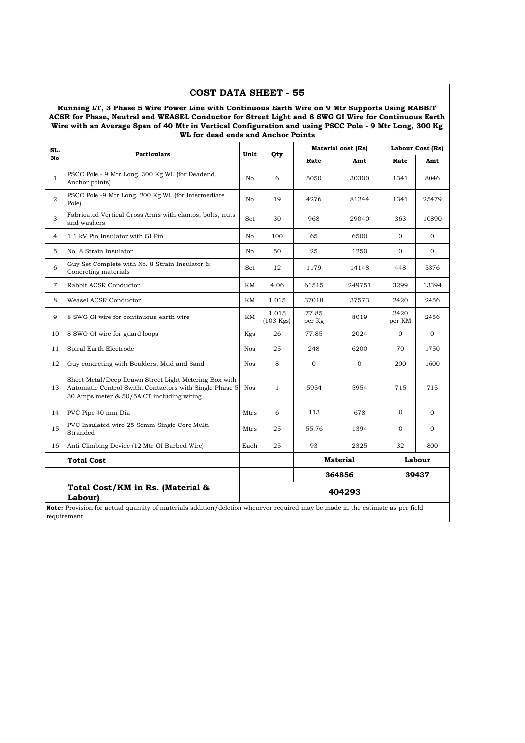#### **Running LT, 3 Phase 5 Wire Power Line with Continuous Earth Wire on 9 Mtr Supports Using RABBIT ACSR for Phase, Neutral and WEASEL Conductor for Street Light and 8 SWG GI Wire for Continuous Earth Wire with an Average Span of 40 Mtr in Vertical Configuration and using PSCC Pole - 9 Mtr Long, 300 Kg WL for dead ends and Anchor Points**

**COST DATA SHEET - 55**

| SL.            | <b>Particulars</b>                                                                                                                                            | Unit       | Qty                          |                 | Material cost (Rs) |                | Labour Cost (Rs) |
|----------------|---------------------------------------------------------------------------------------------------------------------------------------------------------------|------------|------------------------------|-----------------|--------------------|----------------|------------------|
| No             |                                                                                                                                                               |            |                              | Rate            | Amt                | Rate           | Amt              |
| $\mathbf{1}$   | PSCC Pole - 9 Mtr Long, 300 Kg WL (for Deadend,<br>Anchor points)                                                                                             | No         | 6                            | 5050            | 30300              | 1341           | 8046             |
| $\overline{2}$ | PSCC Pole -9 Mtr Long, 200 Kg WL (for Intermediate<br>Pole)                                                                                                   | No         | 19                           | 4276            | 81244              | 1341           | 25479            |
| 3              | Fabricated Vertical Cross Arms with clamps, bolts, nuts<br>and washers                                                                                        | Set        | 30                           | 968             | 29040              | 363            | 10890            |
| $\overline{4}$ | 1.1 kV Pin Insulator with GI Pin                                                                                                                              | No         | 100                          | 65              | 6500               | $\Omega$       | $\Omega$         |
| 5              | No. 8 Strain Insulator                                                                                                                                        | No         | 50                           | 25              | 1250               | $\overline{0}$ | $\overline{0}$   |
| 6              | Guy Set Complete with No. 8 Strain Insulator &<br>Concreting materials                                                                                        | Set        | 12                           | 1179            | 14148              | 448            | 5376             |
| $\overline{7}$ | Rabbit ACSR Conductor                                                                                                                                         | KM         | 4.06                         | 61515           | 249751             | 3299           | 13394            |
| 8              | Weasel ACSR Conductor                                                                                                                                         | KΜ         | 1.015                        | 37018           | 37573              | 2420           | 2456             |
| 9              | 8 SWG GI wire for continuous earth wire                                                                                                                       | KМ         | 1.015<br>$(103 \text{ Kgs})$ | 77.85<br>per Kg | 8019               | 2420<br>per KM | 2456             |
| 10             | 8 SWG GI wire for guard loops                                                                                                                                 | Kgs        | 26                           | 77.85           | 2024               | $\Omega$       | $\Omega$         |
| 11             | Spiral Earth Electrode                                                                                                                                        | <b>Nos</b> | 25                           | 248             | 6200               | 70             | 1750             |
| 12             | Guy concreting with Boulders, Mud and Sand                                                                                                                    | <b>Nos</b> | 8                            | $\overline{0}$  | $\mathbf{O}$       | 200            | 1600             |
| 13             | Sheet Metal/Deep Drawn Street Light Metering Box with<br>Automatic Control Swith, Contactors with Single Phase 5<br>30 Amps meter & 50/5A CT including wiring | <b>Nos</b> | $\mathbf{1}$                 | 5954            | 5954               | 715            | 715              |
| 14             | PVC Pipe 40 mm Dia                                                                                                                                            | Mtrs       | 6                            | 113             | 678                | $\Omega$       | $\Omega$         |
| 15             | PVC Insulated wire 25 Sqmm Single Core Multi<br>Stranded                                                                                                      | Mtrs       | 25                           | 55.76           | 1394               | $\mathbf{O}$   | $\overline{0}$   |
| 16             | Anti Climbing Device (12 Mtr GI Barbed Wire)                                                                                                                  | Each       | 25                           | 93              | 2325               | 32             | 800              |
|                | Total Cost                                                                                                                                                    |            |                              |                 | <b>Material</b>    |                | Labour           |
|                |                                                                                                                                                               |            |                              |                 | 364856             |                | 39437            |
|                | Total Cost/KM in Rs. (Material &<br>Labour)                                                                                                                   |            |                              |                 | 404293             |                |                  |
|                | Note: Provision for actual quantity of materials addition/deletion whenever required may be made in the estimate as per field<br>requirement.                 |            |                              |                 |                    |                |                  |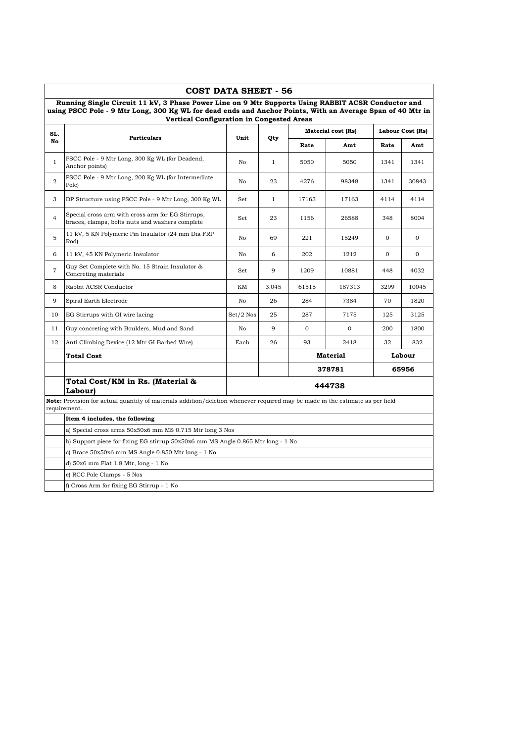|                | COST DATA SHEET - 56                                                                                                                                                                                                                                          |             |              |              |                           |              |                  |
|----------------|---------------------------------------------------------------------------------------------------------------------------------------------------------------------------------------------------------------------------------------------------------------|-------------|--------------|--------------|---------------------------|--------------|------------------|
|                | Running Single Circuit 11 kV, 3 Phase Power Line on 9 Mtr Supports Using RABBIT ACSR Conductor and<br>using PSCC Pole - 9 Mtr Long, 300 Kg WL for dead ends and Anchor Points, With an Average Span of 40 Mtr in<br>Vertical Configuration in Congested Areas |             |              |              |                           |              |                  |
| SL.            |                                                                                                                                                                                                                                                               |             |              |              | <b>Material cost (Rs)</b> |              | Labour Cost (Rs) |
| No             | <b>Particulars</b>                                                                                                                                                                                                                                            | Unit        | Qty          | Rate         | Amt                       | Rate         | Amt              |
| $\mathbf{1}$   | PSCC Pole - 9 Mtr Long, 300 Kg WL (for Deadend,<br>Anchor points)                                                                                                                                                                                             | No          | $\mathbf{1}$ | 5050         | 5050                      | 1341         | 1341             |
| $\overline{2}$ | PSCC Pole - 9 Mtr Long, 200 Kg WL (for Intermediate<br>Pole)                                                                                                                                                                                                  | No          | 23           | 4276         | 98348                     | 1341         | 30843            |
| 3              | DP Structure using PSCC Pole - 9 Mtr Long, 300 Kg WL                                                                                                                                                                                                          | Set         | $\mathbf{1}$ | 17163        | 17163                     | 4114         | 4114             |
| $\overline{4}$ | Special cross arm with cross arm for EG Stirrups,<br>braces, clamps, bolts nuts and washers complete                                                                                                                                                          | Set         | 23           | 1156         | 26588                     | 348          | 8004             |
| 5              | 11 kV, 5 KN Polymeric Pin Insulator (24 mm Dia FRP<br>Rod)                                                                                                                                                                                                    | No          | 69           | 221          | 15249                     | $\mathbf{0}$ | $\Omega$         |
| 6              | 11 kV, 45 KN Polymeric Insulator                                                                                                                                                                                                                              | No          | 6            | 202          | 1212                      | $\mathbf{O}$ | $\mathbf{0}$     |
| $\overline{7}$ | Guy Set Complete with No. 15 Strain Insulator &<br>Concreting materials                                                                                                                                                                                       | Set         | 9            | 1209         | 10881                     | 448          | 4032             |
| 8              | Rabbit ACSR Conductor                                                                                                                                                                                                                                         | ΚM          | 3.045        | 61515        | 187313                    | 3299         | 10045            |
| 9              | Spiral Earth Electrode                                                                                                                                                                                                                                        | No          | 26           | 284          | 7384                      | 70           | 1820             |
| 10             | EG Stirrups with GI wire lacing                                                                                                                                                                                                                               | $Set/2$ Nos | 25           | 287          | 7175                      | 125          | 3125             |
| 11             | Guy concreting with Boulders, Mud and Sand                                                                                                                                                                                                                    | No          | 9            | $\mathbf{O}$ | $\mathbf{0}$              | 200          | 1800             |
| 12             | Anti Climbing Device (12 Mtr GI Barbed Wire)                                                                                                                                                                                                                  | Each        | 26           | 93           | 2418                      | 32           | 832              |
|                | <b>Total Cost</b>                                                                                                                                                                                                                                             |             |              |              | <b>Material</b>           |              | Labour           |
|                |                                                                                                                                                                                                                                                               |             |              |              | 378781                    |              | 65956            |
|                | Total Cost/KM in Rs. (Material &<br>Labour)                                                                                                                                                                                                                   |             |              |              | 444738                    |              |                  |
|                | Note: Provision for actual quantity of materials addition/deletion whenever required may be made in the estimate as per field<br>requirement.                                                                                                                 |             |              |              |                           |              |                  |
|                | Item 4 includes, the following                                                                                                                                                                                                                                |             |              |              |                           |              |                  |
|                | a) Special cross arms 50x50x6 mm MS 0.715 Mtr long 3 Nos                                                                                                                                                                                                      |             |              |              |                           |              |                  |
|                | b) Support piece for fixing EG stirrup 50x50x6 mm MS Angle 0.865 Mtr long - 1 No                                                                                                                                                                              |             |              |              |                           |              |                  |
|                | c) Brace 50x50x6 mm MS Angle 0.850 Mtr long - 1 No                                                                                                                                                                                                            |             |              |              |                           |              |                  |
|                | d) 50x6 mm Flat 1.8 Mtr, long - 1 No                                                                                                                                                                                                                          |             |              |              |                           |              |                  |
|                | e) RCC Pole Clamps - 5 Nos                                                                                                                                                                                                                                    |             |              |              |                           |              |                  |
|                | f) Cross Arm for fixing EG Stirrup - 1 No                                                                                                                                                                                                                     |             |              |              |                           |              |                  |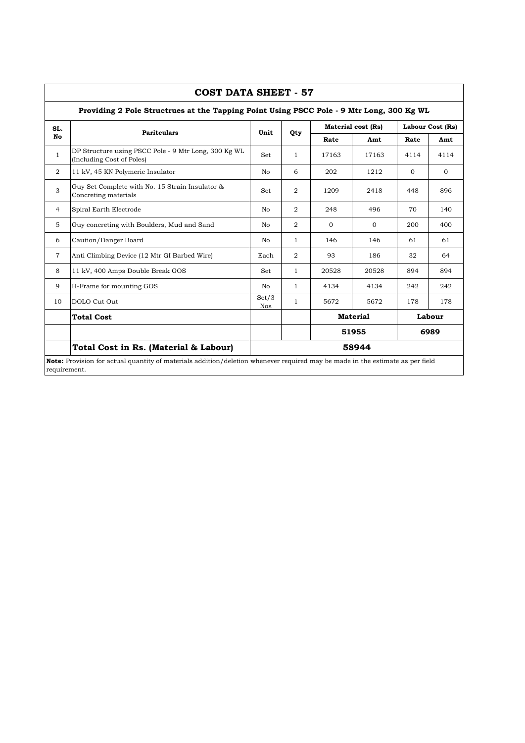| SL.            |                                                                                   |                     |                |          | <b>Material cost (Rs)</b> |          | Labour Cost (Rs) |
|----------------|-----------------------------------------------------------------------------------|---------------------|----------------|----------|---------------------------|----------|------------------|
| No             | <b>Paritculars</b>                                                                | Unit                | Qty            | Rate     | Amt                       | Rate     | Amt              |
| $\mathbf{1}$   | DP Structure using PSCC Pole - 9 Mtr Long, 300 Kg WL<br>(Including Cost of Poles) | Set                 | $\mathbf{1}$   | 17163    | 17163                     | 4114     | 4114             |
| 2              | 11 kV, 45 KN Polymeric Insulator                                                  | No                  | 6              | 202      | 1212                      | $\Omega$ | $\Omega$         |
| 3              | Guy Set Complete with No. 15 Strain Insulator &<br>Concreting materials           | <b>Set</b>          | 2              | 1209     | 2418                      | 448      | 896              |
| $\overline{4}$ | Spiral Earth Electrode                                                            | N <sub>0</sub>      | 2              | 248      | 496                       | 70       | 140              |
| $\overline{5}$ | Guy concreting with Boulders, Mud and Sand                                        | No.                 | 2              | $\Omega$ | $\Omega$                  | 200      | 400              |
| 6              | Caution/Danger Board                                                              | No                  | $\mathbf{1}$   | 146      | 146                       | 61       | 61               |
| $\overline{7}$ | Anti Climbing Device (12 Mtr GI Barbed Wire)                                      | Each                | $\overline{2}$ | 93       | 186                       | 32       | 64               |
| 8              | 11 kV, 400 Amps Double Break GOS                                                  | Set                 | $\mathbf{1}$   | 20528    | 20528                     | 894      | 894              |
| 9              | H-Frame for mounting GOS                                                          | No                  | $\mathbf{1}$   | 4134     | 4134                      | 242      | 242              |
| 10             | DOLO Cut Out                                                                      | Set/3<br><b>Nos</b> | $\mathbf{1}$   | 5672     | 5672                      | 178      | 178              |
|                | <b>Total Cost</b>                                                                 |                     |                |          | <b>Material</b>           |          | Labour           |
|                |                                                                                   |                     |                |          | 51955                     |          | 6989             |
|                | Total Cost in Rs. (Material & Labour)                                             |                     |                |          | 58944                     |          |                  |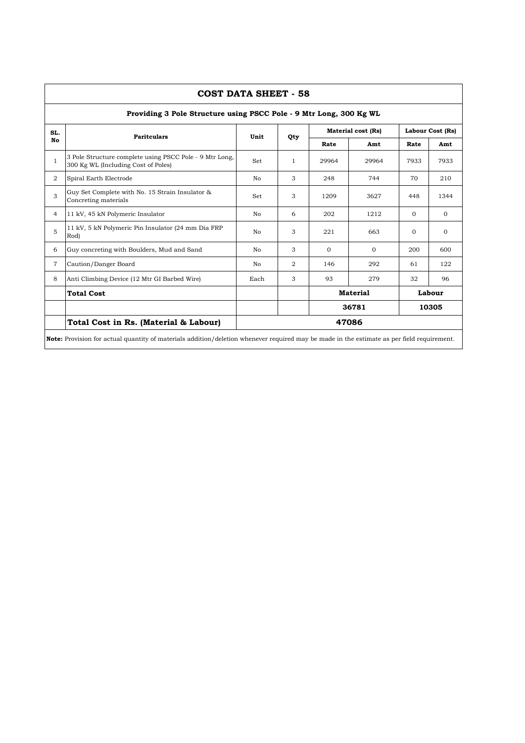|                | COST DATA SHEET - 58                                                                                                                              |                |              |                |                           |                  |              |  |  |  |  |  |
|----------------|---------------------------------------------------------------------------------------------------------------------------------------------------|----------------|--------------|----------------|---------------------------|------------------|--------------|--|--|--|--|--|
|                | Providing 3 Pole Structure using PSCC Pole - 9 Mtr Long, 300 Kg WL                                                                                |                |              |                |                           |                  |              |  |  |  |  |  |
| SL.            | <b>Paritculars</b>                                                                                                                                | Unit           | Qty          |                | <b>Material cost (Rs)</b> | Labour Cost (Rs) |              |  |  |  |  |  |
| No             |                                                                                                                                                   |                |              | Rate           | Amt                       | Rate             | Amt          |  |  |  |  |  |
| $\mathbf{1}$   | 3 Pole Structure complete using PSCC Pole - 9 Mtr Long,<br>300 Kg WL (Including Cost of Poles)                                                    | Set            | $\mathbf{1}$ | 29964          | 29964                     | 7933             | 7933         |  |  |  |  |  |
| 2              | Spiral Earth Electrode                                                                                                                            | N <sub>0</sub> | 3            | 248            | 744                       | 70               | 210          |  |  |  |  |  |
| 3              | Guy Set Complete with No. 15 Strain Insulator &<br>Concreting materials                                                                           | Set            | 3            | 1209           | 3627                      | 448              | 1344         |  |  |  |  |  |
| $\overline{4}$ | 11 kV, 45 kN Polymeric Insulator                                                                                                                  | No             | 6            | 202            | 1212                      | $\Omega$         | $\Omega$     |  |  |  |  |  |
| 5              | 11 kV, 5 kN Polymeric Pin Insulator (24 mm Dia FRP<br>Rod)                                                                                        | No             | 3            | 221            | 663                       | $\Omega$         | $\mathbf{0}$ |  |  |  |  |  |
| 6              | Guy concreting with Boulders, Mud and Sand                                                                                                        | N <sub>0</sub> | 3            | $\Omega$       | $\Omega$                  | 200              | 600          |  |  |  |  |  |
| $\overline{7}$ | Caution/Danger Board                                                                                                                              | No             | $\mathbf{2}$ | 146            | 292                       | 61               | 122          |  |  |  |  |  |
| 8              | Anti Climbing Device (12 Mtr GI Barbed Wire)                                                                                                      | Each           | 3            | 93             | 279                       | 32               | 96           |  |  |  |  |  |
|                | <b>Total Cost</b>                                                                                                                                 |                |              |                | <b>Material</b>           |                  | Labour       |  |  |  |  |  |
|                |                                                                                                                                                   |                |              | 36781<br>10305 |                           |                  |              |  |  |  |  |  |
|                | Total Cost in Rs. (Material & Labour)                                                                                                             |                |              |                | 47086                     |                  |              |  |  |  |  |  |
|                | <b>Note:</b> Provision for actual quantity of materials addition/deletion whenever required may be made in the estimate as per field requirement. |                |              |                |                           |                  |              |  |  |  |  |  |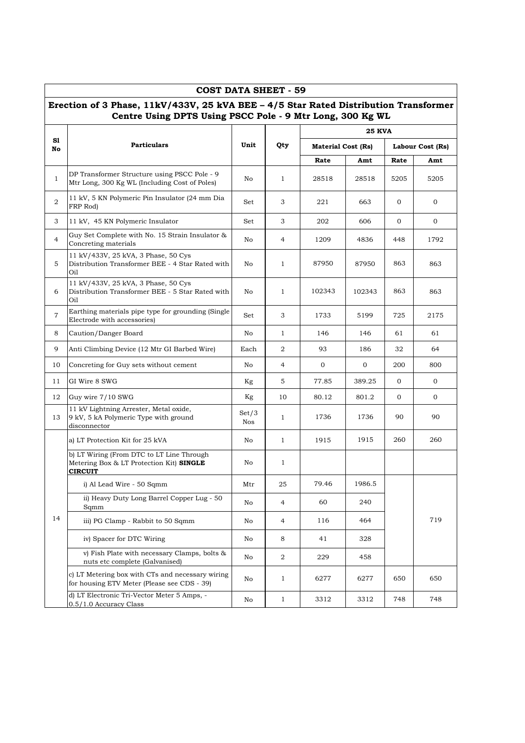|                | Erection of 3 Phase, 11kV/433V, 25 kVA BEE - 4/5 Star Rated Distribution Transformer<br>Centre Using DPTS Using PSCC Pole - 9 Mtr Long, 300 Kg WL |              |                |                           |               |                  |      |
|----------------|---------------------------------------------------------------------------------------------------------------------------------------------------|--------------|----------------|---------------------------|---------------|------------------|------|
|                |                                                                                                                                                   |              |                |                           | <b>25 KVA</b> |                  |      |
| S1<br>No       | <b>Particulars</b>                                                                                                                                | Unit         | Qty            | <b>Material Cost (Rs)</b> |               | Labour Cost (Rs) |      |
|                |                                                                                                                                                   |              |                | Rate                      | Amt           | Rate             | Amt  |
| $\mathbf{1}$   | DP Transformer Structure using PSCC Pole - 9<br>Mtr Long, 300 Kg WL (Including Cost of Poles)                                                     | No           | $\mathbf{1}$   | 28518                     | 28518         | 5205             | 5205 |
| 2              | 11 kV, 5 KN Polymeric Pin Insulator (24 mm Dia<br>FRP Rod)                                                                                        | Set          | 3              | 221                       | 663           | $\mathbf{0}$     | 0    |
| 3              | 11 kV, 45 KN Polymeric Insulator                                                                                                                  | Set          | 3              | 202                       | 606           | $\mathbf{0}$     | 0    |
| $\overline{4}$ | Guy Set Complete with No. 15 Strain Insulator &<br>Concreting materials                                                                           | No           | 4              | 1209                      | 4836          | 448              | 1792 |
| 5              | 11 kV/433V, 25 kVA, 3 Phase, 50 Cys<br>Distribution Transformer BEE - 4 Star Rated with<br>Oil                                                    | No           | $\mathbf{1}$   | 87950                     | 87950         | 863              | 863  |
| 6              | 11 kV/433V, 25 kVA, 3 Phase, 50 Cys<br>Distribution Transformer BEE - 5 Star Rated with<br>Oil                                                    | No           | $\mathbf{1}$   | 102343                    | 102343        | 863              | 863  |
| $\overline{7}$ | Earthing materials pipe type for grounding (Single<br>Electrode with accessories)                                                                 | Set          | 3              | 1733                      | 5199          | 725              | 2175 |
| 8              | Caution/Danger Board                                                                                                                              | No           | $\mathbf{1}$   | 146                       | 146           | 61               | 61   |
| 9              | Anti Climbing Device (12 Mtr GI Barbed Wire)                                                                                                      | Each         | 2              | 93                        | 186           | 32               | 64   |
| 10             | Concreting for Guy sets without cement                                                                                                            | No           | 4              | 0                         | 0             | 200              | 800  |
| 11             | GI Wire 8 SWG                                                                                                                                     | Kg           | 5              | 77.85                     | 389.25        | $\overline{0}$   | 0    |
| 12             | Guy wire 7/10 SWG                                                                                                                                 | Kg           | 10             | 80.12                     | 801.2         | $\overline{0}$   | 0    |
| 13             | 11 kV Lightning Arrester, Metal oxide,<br>9 kV, 5 kA Polymeric Type with ground<br>disconnector                                                   | Set/3<br>Nos | $\mathbf{1}$   | 1736                      | 1736          | 90               | 90   |
|                | a) LT Protection Kit for 25 kVA                                                                                                                   | No           | $\mathbf{1}$   | 1915                      | 1915          | 260              | 260  |
|                | b) LT Wiring (From DTC to LT Line Through<br>Metering Box & LT Protection Kit) SINGLE<br><b>CIRCUIT</b>                                           | No           | $\mathbf{1}$   |                           |               |                  |      |
|                | i) Al Lead Wire - 50 Sqmm                                                                                                                         | Mtr          | 25             | 79.46                     | 1986.5        |                  |      |
|                | ii) Heavy Duty Long Barrel Copper Lug - 50<br>Sqmm                                                                                                | No           | 4              | 60                        | 240           |                  |      |
| 14             | iii) PG Clamp - Rabbit to 50 Sqmm                                                                                                                 | No           | 4              | 116                       | 464           |                  | 719  |
|                | iv) Spacer for DTC Wiring                                                                                                                         | No           | 8              | 41                        | 328           |                  |      |
|                | v) Fish Plate with necessary Clamps, bolts &<br>nuts etc complete (Galvanised)                                                                    | No           | $\overline{a}$ | 229                       | 458           |                  |      |
|                | c) LT Metering box with CTs and necessary wiring<br>for housing ETV Meter (Please see CDS - 39)                                                   | No           | $\mathbf{1}$   | 6277                      | 6277          | 650              | 650  |
|                | d) LT Electronic Tri-Vector Meter 5 Amps, -<br>0.5/1.0 Accuracy Class                                                                             | No           | $\mathbf{1}$   | 3312                      | 3312          | 748              | 748  |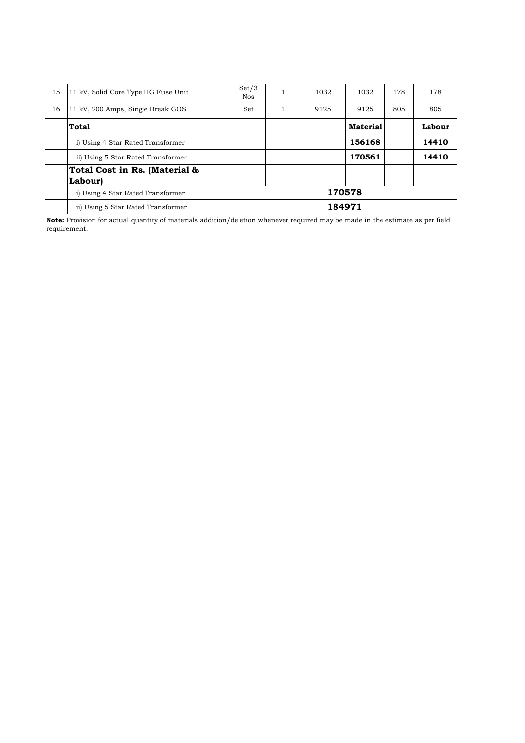| 15 | 11 kV, Solid Core Type HG Fuse Unit                                                                                                           | Set/3<br><b>Nos</b> |  | 1032 | 1032            | 178 | 178    |  |  |  |
|----|-----------------------------------------------------------------------------------------------------------------------------------------------|---------------------|--|------|-----------------|-----|--------|--|--|--|
| 16 | 11 kV, 200 Amps, Single Break GOS                                                                                                             | Set                 |  | 9125 | 9125            | 805 | 805    |  |  |  |
|    | Total                                                                                                                                         |                     |  |      | <b>Material</b> |     | Labour |  |  |  |
|    | i) Using 4 Star Rated Transformer                                                                                                             |                     |  |      | 156168          |     | 14410  |  |  |  |
|    | ii) Using 5 Star Rated Transformer                                                                                                            |                     |  |      | 170561          |     | 14410  |  |  |  |
|    | Total Cost in Rs. (Material &                                                                                                                 |                     |  |      |                 |     |        |  |  |  |
|    | <b>Labour</b>                                                                                                                                 |                     |  |      |                 |     |        |  |  |  |
|    | i) Using 4 Star Rated Transformer                                                                                                             |                     |  |      | 170578          |     |        |  |  |  |
|    | ii) Using 5 Star Rated Transformer                                                                                                            | 184971              |  |      |                 |     |        |  |  |  |
|    | Note: Provision for actual quantity of materials addition/deletion whenever required may be made in the estimate as per field<br>requirement. |                     |  |      |                 |     |        |  |  |  |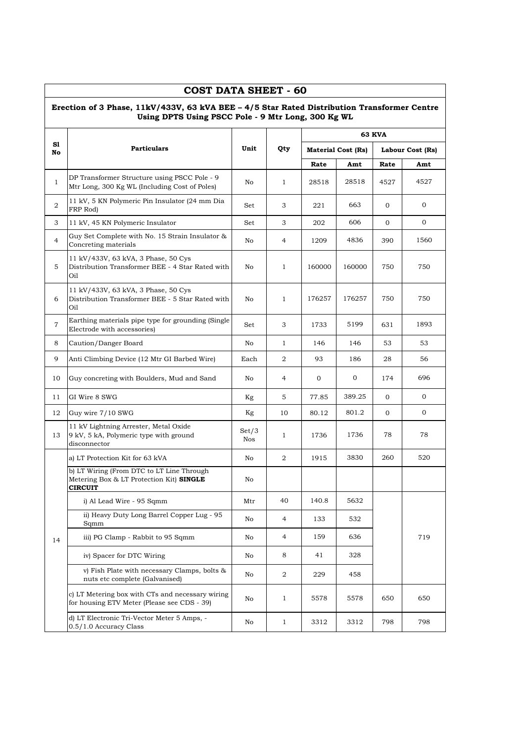|                | COST DATA SHEET - 60<br>Erection of 3 Phase, 11kV/433V, 63 kVA BEE - 4/5 Star Rated Distribution Transformer Centre<br>Using DPTS Using PSCC Pole - 9 Mtr Long, 300 Kg WL |                     |                  |        |                           |                  |      |
|----------------|---------------------------------------------------------------------------------------------------------------------------------------------------------------------------|---------------------|------------------|--------|---------------------------|------------------|------|
|                |                                                                                                                                                                           |                     |                  |        |                           | <b>63 KVA</b>    |      |
| S1<br>No       | <b>Particulars</b>                                                                                                                                                        | Unit                | Qty              |        | <b>Material Cost (Rs)</b> | Labour Cost (Rs) |      |
|                |                                                                                                                                                                           |                     |                  | Rate   | Amt                       | Rate             | Amt  |
| $\mathbf{1}$   | DP Transformer Structure using PSCC Pole - 9<br>Mtr Long, 300 Kg WL (Including Cost of Poles)                                                                             | No                  | $\mathbf{1}$     | 28518  | 28518                     | 4527             | 4527 |
| 2              | 11 kV, 5 KN Polymeric Pin Insulator (24 mm Dia<br>FRP Rod)                                                                                                                | Set                 | 3                | 221    | 663                       | $\mathbf{0}$     | 0    |
| 3              | 11 kV, 45 KN Polymeric Insulator                                                                                                                                          | Set                 | 3                | 202    | 606                       | 0                | 0    |
| $\overline{4}$ | Guy Set Complete with No. 15 Strain Insulator &<br>Concreting materials                                                                                                   | No                  | $\overline{4}$   | 1209   | 4836                      | 390              | 1560 |
| 5              | 11 kV/433V, 63 kVA, 3 Phase, 50 Cys<br>Distribution Transformer BEE - 4 Star Rated with<br>Oil                                                                            | No                  | $\mathbf{1}$     | 160000 | 160000                    | 750              | 750  |
| 6              | 11 kV/433V, 63 kVA, 3 Phase, 50 Cys<br>Distribution Transformer BEE - 5 Star Rated with<br>Oil                                                                            | No                  | $\mathbf{1}$     | 176257 | 176257                    | 750              | 750  |
| $\overline{7}$ | Earthing materials pipe type for grounding (Single<br>Electrode with accessories)                                                                                         | Set                 | 3                | 1733   | 5199                      | 631              | 1893 |
| 8              | Caution/Danger Board                                                                                                                                                      | No                  | $\mathbf{1}$     | 146    | 146                       | 53               | 53   |
| 9              | Anti Climbing Device (12 Mtr GI Barbed Wire)                                                                                                                              | Each                | 2                | 93     | 186                       | 28               | 56   |
| 10             | Guy concreting with Boulders, Mud and Sand                                                                                                                                | No                  | 4                | 0      | 0                         | 174              | 696  |
| 11             | GI Wire 8 SWG                                                                                                                                                             | Kg                  | 5                | 77.85  | 389.25                    | $\overline{0}$   | 0    |
| 12             | Guy wire 7/10 SWG                                                                                                                                                         | Kg                  | 10               | 80.12  | 801.2                     | 0                | 0    |
| 13             | 11 kV Lightning Arrester, Metal Oxide<br>9 kV, 5 kA, Polymeric type with ground<br>disconnector                                                                           | Set/3<br><b>Nos</b> | 1                | 1736   | 1736                      | 78               | 78   |
|                | a) LT Protection Kit for 63 kVA                                                                                                                                           | No                  | $\overline{2}$   | 1915   | 3830                      | 260              | 520  |
|                | b) LT Wiring (From DTC to LT Line Through<br>Metering Box & LT Protection Kit) SINGLE<br><b>CIRCUIT</b>                                                                   | No                  |                  |        |                           |                  |      |
|                | i) Al Lead Wire - 95 Sqmm                                                                                                                                                 | Mtr                 | 40               | 140.8  | 5632                      |                  |      |
|                | ii) Heavy Duty Long Barrel Copper Lug - 95<br>Sqmm                                                                                                                        | No                  | $\overline{4}$   | 133    | 532                       |                  |      |
| 14             | iii) PG Clamp - Rabbit to 95 Sqmm                                                                                                                                         | No                  | 4                | 159    | 636                       |                  | 719  |
|                | iv) Spacer for DTC Wiring                                                                                                                                                 | No                  | 8                | 41     | 328                       |                  |      |
|                | v) Fish Plate with necessary Clamps, bolts &<br>nuts etc complete (Galvanised)                                                                                            | No                  | $\boldsymbol{2}$ | 229    | 458                       |                  |      |
|                | c) LT Metering box with CTs and necessary wiring<br>for housing ETV Meter (Please see CDS - 39)                                                                           | No                  | $\mathbf{1}$     | 5578   | 5578                      | 650              | 650  |
|                | d) LT Electronic Tri-Vector Meter 5 Amps, -<br>0.5/1.0 Accuracy Class                                                                                                     | No                  | $\mathbf{1}$     | 3312   | 3312                      | 798              | 798  |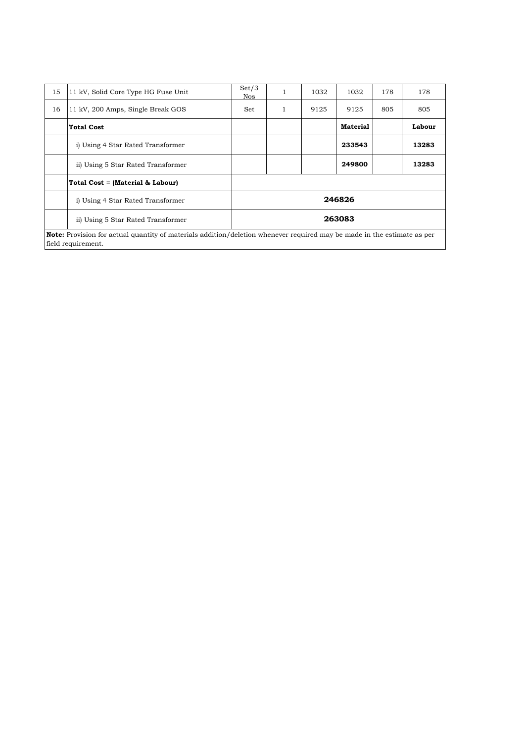| 15 | 11 kV, Solid Core Type HG Fuse Unit                                                                                                                  | Set/3<br><b>Nos</b> | 1 | 1032 | 1032            | 178 | 178    |  |  |  |
|----|------------------------------------------------------------------------------------------------------------------------------------------------------|---------------------|---|------|-----------------|-----|--------|--|--|--|
| 16 | 11 kV, 200 Amps, Single Break GOS                                                                                                                    | Set                 | 1 | 9125 | 9125            | 805 | 805    |  |  |  |
|    | <b>Total Cost</b>                                                                                                                                    |                     |   |      | <b>Material</b> |     | Labour |  |  |  |
|    | i) Using 4 Star Rated Transformer                                                                                                                    |                     |   |      | 233543          |     | 13283  |  |  |  |
|    | ii) Using 5 Star Rated Transformer                                                                                                                   |                     |   |      | 249800          |     | 13283  |  |  |  |
|    | Total Cost = (Material & Labour)                                                                                                                     |                     |   |      |                 |     |        |  |  |  |
|    | i) Using 4 Star Rated Transformer                                                                                                                    |                     |   |      | 246826          |     |        |  |  |  |
|    | ii) Using 5 Star Rated Transformer                                                                                                                   | 263083              |   |      |                 |     |        |  |  |  |
|    | <b>Note:</b> Provision for actual quantity of materials addition/deletion whenever required may be made in the estimate as per<br>field requirement. |                     |   |      |                 |     |        |  |  |  |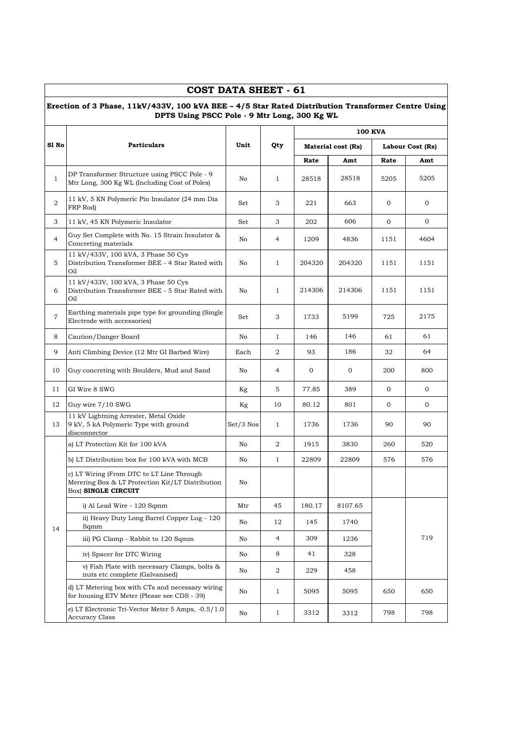|                | <b>COST DATA SHEET - 61</b>                                                                                                                        |             |                |              |                           |                |                  |
|----------------|----------------------------------------------------------------------------------------------------------------------------------------------------|-------------|----------------|--------------|---------------------------|----------------|------------------|
|                | Erection of 3 Phase, 11kV/433V, 100 kVA BEE - 4/5 Star Rated Distribution Transformer Centre Using<br>DPTS Using PSCC Pole - 9 Mtr Long, 300 Kg WL |             |                |              |                           |                |                  |
|                |                                                                                                                                                    |             |                |              |                           | <b>100 KVA</b> |                  |
| S1 No          | <b>Particulars</b>                                                                                                                                 | Unit        | Qty            |              | <b>Material cost (Rs)</b> |                | Labour Cost (Rs) |
|                |                                                                                                                                                    |             |                | Rate         | Amt                       | Rate           | Amt              |
| $\mathbf{1}$   | DP Transformer Structure using PSCC Pole - 9<br>Mtr Long, 300 Kg WL (Including Cost of Poles)                                                      | No          | $\mathbf{1}$   | 28518        | 28518                     | 5205           | 5205             |
| 2              | 11 kV, 5 KN Polymeric Pin Insulator (24 mm Dia<br>FRP Rod)                                                                                         | Set         | 3              | 221          | 663                       | $\mathbf{0}$   | 0                |
| 3              | 11 kV, 45 KN Polymeric Insulator                                                                                                                   | Set         | 3              | 202          | 606                       | 0              | $\overline{0}$   |
| $\overline{4}$ | Guy Set Complete with No. 15 Strain Insulator &<br>Concreting materials                                                                            | No          | 4              | 1209         | 4836                      | 1151           | 4604             |
| 5              | 11 kV/433V, 100 kVA, 3 Phase 50 Cys<br>Distribution Transformer BEE - 4 Star Rated with<br>Oil                                                     | No          | $\mathbf{1}$   | 204320       | 204320                    | 1151           | 1151             |
| 6              | 11 kV/433V, 100 kVA, 3 Phase 50 Cys<br>Distribution Transformer BEE - 5 Star Rated with<br>Oil                                                     | No          | $\mathbf{1}$   | 214306       | 214306                    | 1151           | 1151             |
| $\overline{7}$ | Earthing materials pipe type for grounding (Single<br>Electrode with accessories)                                                                  | Set         | 3              | 1733         | 5199                      | 725            | 2175             |
| 8              | Caution/Danger Board                                                                                                                               | No          | $\mathbf{1}$   | 146          | 146                       | 61             | 61               |
| 9              | Anti Climbing Device (12 Mtr GI Barbed Wire)                                                                                                       | Each        | 2              | 93           | 186                       | 32             | 64               |
| 10             | Guy concreting with Boulders, Mud and Sand                                                                                                         | No          | 4              | $\mathbf{0}$ | $\mathbf{0}$              | 200            | 800              |
| 11             | GI Wire 8 SWG                                                                                                                                      | Kg          | 5              | 77.85        | 389                       | $\mathbf{0}$   | $\overline{0}$   |
| 12             | Guy wire 7/10 SWG                                                                                                                                  | Kg          | 10             | 80.12        | 801                       | $\mathbf{0}$   | 0                |
| 13             | 11 kV Lightning Arrester, Metal Oxide<br>9 kV, 5 kA Polymeric Type with ground<br>disconnector                                                     | $Set/3$ Nos | $\mathbf{1}$   | 1736         | 1736                      | 90             | 90               |
|                | a) LT Protection Kit for 100 kVA                                                                                                                   | No          | 2              | 1915         | 3830                      | 260            | 520              |
|                | b) LT Distribution box for 100 kVA with MCB                                                                                                        | No          | $\mathbf{1}$   | 22809        | 22809                     | 576            | 576              |
|                | c) LT Wiring (From DTC to LT Line Through<br>Merering Box & LT Protection Kit/LT Distribution<br>Box) SINGLE CIRCUIT                               | No          |                |              |                           |                |                  |
|                | i) Al Lead Wire - 120 Sqmm                                                                                                                         | Mtr         | 45             | 180.17       | 8107.65                   |                |                  |
| 14             | ii) Heavy Duty Long Barrel Copper Lug - 120<br>Sqmm                                                                                                | No          | 12             | 145          | 1740                      |                |                  |
|                | iii) PG Clamp - Rabbit to 120 Sqmm                                                                                                                 | No          | $\overline{4}$ | 309          | 1236                      |                | 719              |
|                | iv) Spacer for DTC Wiring                                                                                                                          | No          | 8              | 41           | 328                       |                |                  |
|                | v) Fish Plate with necessary Clamps, bolts &<br>nuts etc complete (Galvanised)                                                                     | No          | 2              | 229          | 458                       |                |                  |
|                | d) LT Metering box with CTs and necessary wiring<br>for housing ETV Meter (Please see CDS - 39)                                                    | No          | $\mathbf{1}$   | 5095         | 5095                      | 650            | 650              |
|                | e) LT Electronic Tri-Vector Meter 5 Amps, -0.5/1.0<br><b>Accuracy Class</b>                                                                        | No          | $\mathbf{1}$   | 3312         | 3312                      | 798            | 798              |

 $\mathbf{r}$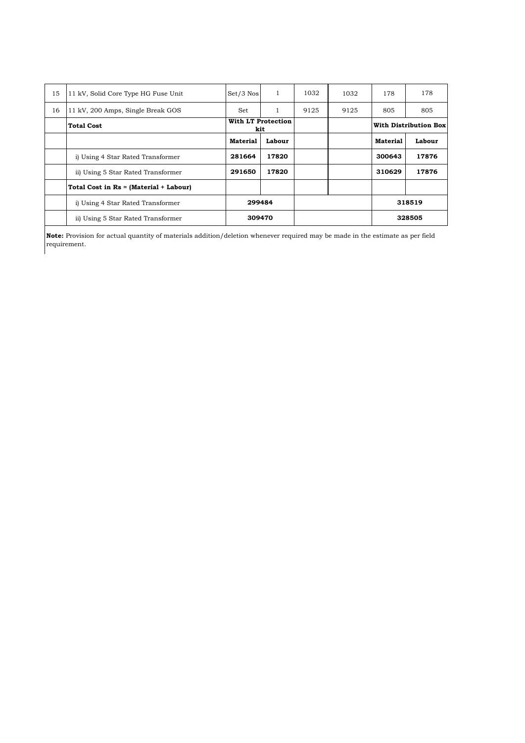| 15 | 11 kV, Solid Core Type HG Fuse Unit    | $Set/3$ Nos     | 1                         | 1032 | 1032 | 178             | 178                          |
|----|----------------------------------------|-----------------|---------------------------|------|------|-----------------|------------------------------|
| 16 | 11 kV, 200 Amps, Single Break GOS      | Set             | 1                         | 9125 | 9125 | 805             | 805                          |
|    | <b>Total Cost</b>                      |                 | With LT Protection<br>kit |      |      |                 | <b>With Distribution Box</b> |
|    |                                        | <b>Material</b> | Labour                    |      |      | <b>Material</b> | Labour                       |
|    | i) Using 4 Star Rated Transformer      | 281664          | 17820                     |      |      | 300643          | 17876                        |
|    | ii) Using 5 Star Rated Transformer     | 291650          | 17820                     |      |      | 310629          | 17876                        |
|    | Total Cost in Rs = (Material + Labour) |                 |                           |      |      |                 |                              |
|    | i) Using 4 Star Rated Transformer      | 299484          |                           |      |      |                 | 318519                       |
|    | ii) Using 5 Star Rated Transformer     |                 | 309470                    |      |      |                 | 328505                       |

**Note:** Provision for actual quantity of materials addition/deletion whenever required may be made in the estimate as per field requirement.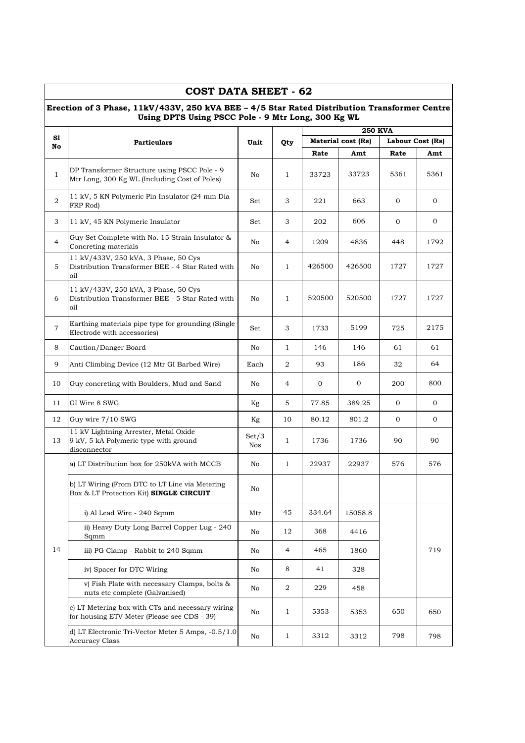|                | <b>COST DATA SHEET - 62</b>                                                                                                                        |              |                |              |                    |                  |                |
|----------------|----------------------------------------------------------------------------------------------------------------------------------------------------|--------------|----------------|--------------|--------------------|------------------|----------------|
|                | Erection of 3 Phase, 11kV/433V, 250 kVA BEE - 4/5 Star Rated Distribution Transformer Centre<br>Using DPTS Using PSCC Pole - 9 Mtr Long, 300 Kg WL |              |                |              |                    |                  |                |
|                |                                                                                                                                                    |              |                |              | <b>250 KVA</b>     |                  |                |
| S1<br>No       | <b>Particulars</b>                                                                                                                                 | Unit         | Qty            |              | Material cost (Rs) | Labour Cost (Rs) |                |
|                |                                                                                                                                                    |              |                | Rate         | Amt                | Rate             | Amt            |
| $\mathbf{1}$   | DP Transformer Structure using PSCC Pole - 9<br>Mtr Long, 300 Kg WL (Including Cost of Poles)                                                      | No           | $\mathbf{1}$   | 33723        | 33723              | 5361             | 5361           |
| 2              | 11 kV, 5 KN Polymeric Pin Insulator (24 mm Dia<br>FRP Rod)                                                                                         | Set          | 3              | 221          | 663                | $\overline{0}$   | $\overline{0}$ |
| 3              | 11 kV, 45 KN Polymeric Insulator                                                                                                                   | Set          | 3              | 202          | 606                | $\overline{0}$   | $\mathbf{0}$   |
| $\overline{4}$ | Guy Set Complete with No. 15 Strain Insulator &<br>Concreting materials                                                                            | No           | 4              | 1209         | 4836               | 448              | 1792           |
| 5              | 11 kV/433V, 250 kVA, 3 Phase, 50 Cys<br>Distribution Transformer BEE - 4 Star Rated with<br>oil                                                    | No           | $\mathbf{1}$   | 426500       | 426500             | 1727             | 1727           |
| 6              | 11 kV/433V, 250 kVA, 3 Phase, 50 Cys<br>Distribution Transformer BEE - 5 Star Rated with<br>oil                                                    | No           | $\mathbf{1}$   | 520500       | 520500             | 1727             | 1727           |
| $\overline{7}$ | Earthing materials pipe type for grounding (Single<br>Electrode with accessories)                                                                  | Set          | 3              | 1733         | 5199               | 725              | 2175           |
| 8              | Caution/Danger Board                                                                                                                               | No           | $\mathbf{1}$   | 146          | 146                | 61               | 61             |
| 9              | Anti Climbing Device (12 Mtr GI Barbed Wire)                                                                                                       | Each         | $\overline{2}$ | 93           | 186                | 32               | 64             |
| 10             | Guy concreting with Boulders, Mud and Sand                                                                                                         | No           | 4              | $\mathbf{0}$ | $\mathbf{0}$       | 200              | 800            |
| 11             | GI Wire 8 SWG                                                                                                                                      | Kg           | 5              | 77.85        | 389.25             | $\mathbf{0}$     | $\overline{0}$ |
| 12             | Guy wire 7/10 SWG                                                                                                                                  | Kg           | 10             | 80.12        | 801.2              | $\overline{0}$   | $\overline{0}$ |
| 13             | 11 kV Lightning Arrester, Metal Oxide<br>9 kV, 5 kA Polymeric type with ground<br>disconnector                                                     | Set/3<br>Nos | $\mathbf{1}$   | 1736         | 1736               | 90               | 90             |
|                | a) LT Distribution box for 250kVA with MCCB                                                                                                        | No           | $\mathbf{1}$   | 22937        | 22937              | 576              | 576            |
|                | b) LT Wiring (From DTC to LT Line via Metering<br>Box & LT Protection Kit) SINGLE CIRCUIT                                                          | No           |                |              |                    |                  |                |
|                | i) Al Lead Wire - 240 Sqmm                                                                                                                         | Mtr          | 45             | 334.64       | 15058.8            |                  |                |
|                | ii) Heavy Duty Long Barrel Copper Lug - 240<br>Sqmm                                                                                                | No           | 12             | 368          | 4416               |                  |                |
| 14             | iii) PG Clamp - Rabbit to 240 Sqmm                                                                                                                 | No           | 4              | 465          | 1860               |                  | 719            |
|                | iv) Spacer for DTC Wiring                                                                                                                          | No           | 8              | 41           | 328                |                  |                |
|                | v) Fish Plate with necessary Clamps, bolts &<br>nuts etc complete (Galvanised)                                                                     | No           | 2              | 229          | 458                |                  |                |
|                | c) LT Metering box with CTs and necessary wiring<br>for housing ETV Meter (Please see CDS - 39)                                                    | No           | $\mathbf{1}$   | 5353         | 5353               | 650              | 650            |
|                | d) LT Electronic Tri-Vector Meter 5 Amps, -0.5/1.0<br><b>Accuracy Class</b>                                                                        | No           | $\mathbf{1}$   | 3312         | 3312               | 798              | 798            |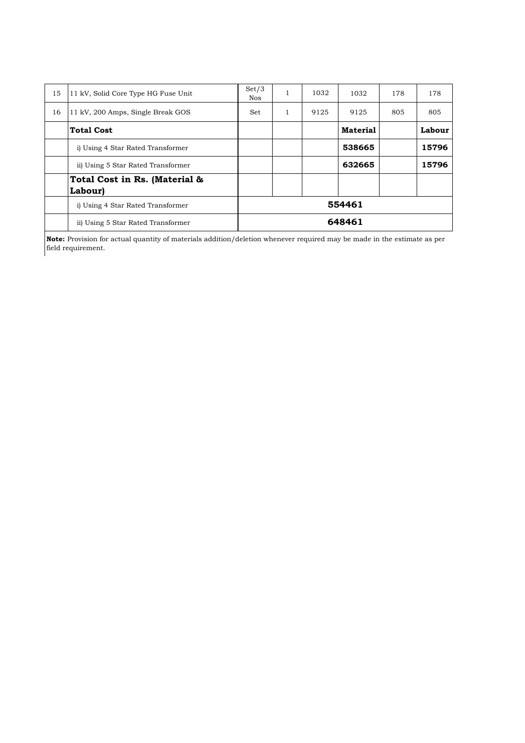| 15 | 11 kV, Solid Core Type HG Fuse Unit      | Set/3<br><b>Nos</b> | 1 | 1032 | 1032            | 178 | 178    |
|----|------------------------------------------|---------------------|---|------|-----------------|-----|--------|
| 16 | 11 kV, 200 Amps, Single Break GOS        | Set.                | 1 | 9125 | 9125            | 805 | 805    |
|    | <b>Total Cost</b>                        |                     |   |      | <b>Material</b> |     | Labour |
|    | i) Using 4 Star Rated Transformer        |                     |   |      | 538665          |     | 15796  |
|    | ii) Using 5 Star Rated Transformer       |                     |   |      | 632665          |     | 15796  |
|    | Total Cost in Rs. (Material &<br>Labour) |                     |   |      |                 |     |        |
|    | i) Using 4 Star Rated Transformer        |                     |   |      | 554461          |     |        |
|    | ii) Using 5 Star Rated Transformer       |                     |   |      | 648461          |     |        |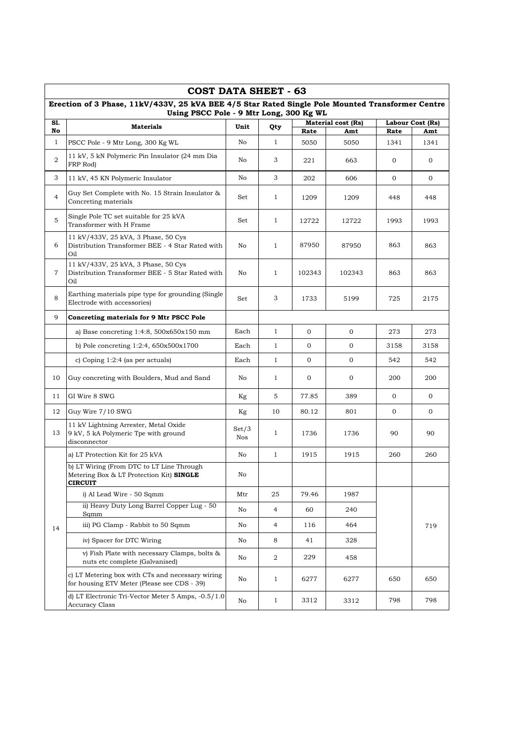|                | COST DATA SHEET - 63                                                                                    |              |                |                |                    |              |                  |
|----------------|---------------------------------------------------------------------------------------------------------|--------------|----------------|----------------|--------------------|--------------|------------------|
|                | Erection of 3 Phase, 11kV/433V, 25 kVA BEE 4/5 Star Rated Single Pole Mounted Transformer Centre        |              |                |                |                    |              |                  |
| S1.            | Using PSCC Pole - 9 Mtr Long, 300 Kg WL                                                                 |              |                |                | Material cost (Rs) |              | Labour Cost (Rs) |
| No             | <b>Materials</b>                                                                                        | Unit         | Qty            | Rate           | Amt                | Rate         | Amt              |
| $\mathbf{1}$   | PSCC Pole - 9 Mtr Long, 300 Kg WL                                                                       | No           | 1              | 5050           | 5050               | 1341         | 1341             |
| 2              | 11 kV, 5 kN Polymeric Pin Insulator (24 mm Dia<br>FRP Rod)                                              | No           | 3              | 221            | 663                | $\mathbf{0}$ | $\mathbf{0}$     |
| 3              | 11 kV, 45 KN Polymeric Insulator                                                                        | No           | 3              | 202            | 606                | $\mathbf 0$  | $\overline{0}$   |
| $\overline{4}$ | Guy Set Complete with No. 15 Strain Insulator &<br>Concreting materials                                 | Set          | 1              | 1209           | 1209               | 448          | 448              |
| 5              | Single Pole TC set suitable for 25 kVA<br>Transformer with H Frame                                      | Set          | $\mathbf{1}$   | 12722          | 12722              | 1993         | 1993             |
| 6              | 11 kV/433V, 25 kVA, 3 Phase, 50 Cys<br>Distribution Transformer BEE - 4 Star Rated with<br>Oil          | No           | 1              | 87950          | 87950              | 863          | 863              |
| $\overline{7}$ | 11 kV/433V, 25 kVA, 3 Phase, 50 Cys<br>Distribution Transformer BEE - 5 Star Rated with<br>Oil          | No           | 1              | 102343         | 102343             | 863          | 863              |
| 8              | Earthing materials pipe type for grounding (Single<br>Electrode with accessories)                       | Set          | 3              | 1733           | 5199               | 725          | 2175             |
| 9              | Concreting materials for 9 Mtr PSCC Pole                                                                |              |                |                |                    |              |                  |
|                | a) Base concreting $1:4:8$ , $500x650x150$ mm                                                           | Each         | $\mathbf{1}$   | $\mathbf{O}$   | $\mathbf{O}$       | 273          | 273              |
|                | b) Pole concreting $1:2:4$ , $650x500x1700$                                                             | Each         | $\mathbf{1}$   | $\mathbf{0}$   | $\mathbf 0$        | 3158         | 3158             |
|                | c) Coping $1:2:4$ (as per actuals)                                                                      | Each         | $\mathbf{1}$   | $\overline{0}$ | $\mathbf{0}$       | 542          | 542              |
| 10             | Guy concreting with Boulders, Mud and Sand                                                              | No           | 1              | $\mathbf 0$    | $\mathbf 0$        | 200          | 200              |
| 11             | GI Wire 8 SWG                                                                                           | Kg           | 5              | 77.85          | 389                | $\mathbf{0}$ | $\overline{0}$   |
| 12             | Guy Wire 7/10 SWG                                                                                       | Kg           | 10             | 80.12          | 801                | $\mathbf{0}$ | $\overline{0}$   |
| 13             | 11 kV Lightning Arrester, Metal Oxide<br>9 kV, 5 kA Polymeric Tpe with ground<br>disconnector           | Set/3<br>Nos | 1              | 1736           | 1736               | 90           | 90               |
|                | a) LT Protection Kit for 25 kVA                                                                         | No           | 1              | 1915           | 1915               | 260          | 260              |
|                | b) LT Wiring (From DTC to LT Line Through<br>Metering Box & LT Protection Kit) SINGLE<br><b>CIRCUIT</b> | No           |                |                |                    |              |                  |
|                | i) Al Lead Wire - 50 Sqmm                                                                               | Mtr          | 25             | 79.46          | 1987               |              |                  |
|                | ii) Heavy Duty Long Barrel Copper Lug - 50<br>Sqmm                                                      | No           | $\overline{4}$ | 60             | 240                |              |                  |
| 14             | iii) PG Clamp - Rabbit to 50 Sqmm                                                                       | No           | $\overline{4}$ | 116            | 464                |              | 719              |
|                | iv) Spacer for DTC Wiring                                                                               | No           | 8              | 41             | 328                |              |                  |
|                | v) Fish Plate with necessary Clamps, bolts &<br>nuts etc complete (Galvanised)                          | No           | $\overline{2}$ | 229            | 458                |              |                  |
|                | c) LT Metering box with CTs and necessary wiring<br>for housing ETV Meter (Please see CDS - 39)         | No           | 1              | 6277           | 6277               | 650          | 650              |
|                | d) LT Electronic Tri-Vector Meter 5 Amps, -0.5/1.0<br><b>Accuracy Class</b>                             | No           | 1              | 3312           | 3312               | 798          | 798              |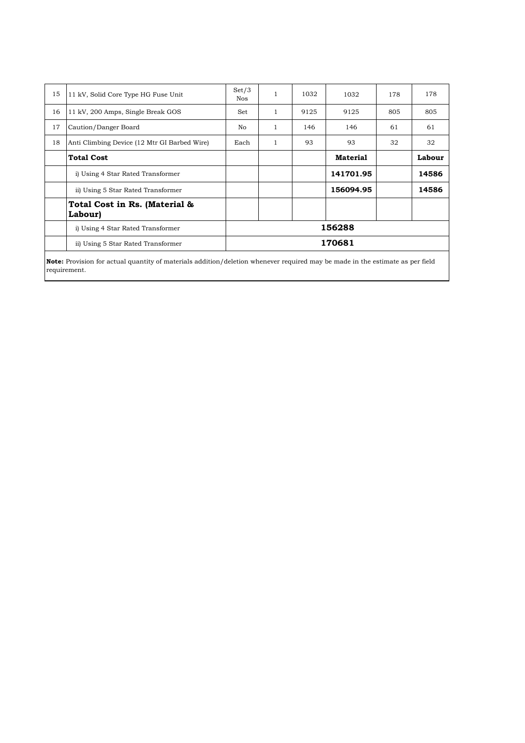| 15 | 11 kV, Solid Core Type HG Fuse Unit          | Set/3<br><b>Nos</b> | $\mathbf{1}$ | 1032 | 1032            | 178 | 178    |
|----|----------------------------------------------|---------------------|--------------|------|-----------------|-----|--------|
| 16 | 11 kV, 200 Amps, Single Break GOS            | Set                 | 1            | 9125 | 9125            | 805 | 805    |
| 17 | Caution/Danger Board                         | No.                 | -1           | 146  | 146             | 61  | 61     |
| 18 | Anti Climbing Device (12 Mtr GI Barbed Wire) | Each                | 1            | 93   | 93              | 32  | 32     |
|    | <b>Total Cost</b>                            |                     |              |      | <b>Material</b> |     | Labour |
|    | i) Using 4 Star Rated Transformer            |                     |              |      | 141701.95       |     | 14586  |
|    | ii) Using 5 Star Rated Transformer           |                     |              |      | 156094.95       |     | 14586  |
|    | Total Cost in Rs. (Material &<br>Labour)     |                     |              |      |                 |     |        |
|    | i) Using 4 Star Rated Transformer            |                     |              |      | 156288          |     |        |
|    | ii) Using 5 Star Rated Transformer           |                     |              |      | 170681          |     |        |
|    |                                              |                     |              |      |                 |     |        |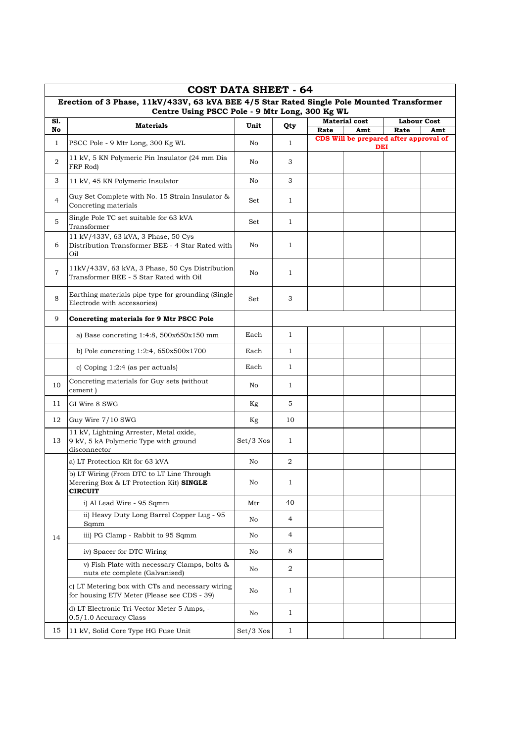|                | <b>COST DATA SHEET - 64</b>                                                                                                                 |             |              |      |                                        |                            |     |
|----------------|---------------------------------------------------------------------------------------------------------------------------------------------|-------------|--------------|------|----------------------------------------|----------------------------|-----|
|                | Erection of 3 Phase, 11kV/433V, 63 kVA BEE 4/5 Star Rated Single Pole Mounted Transformer<br>Centre Using PSCC Pole - 9 Mtr Long, 300 Kg WL |             |              |      |                                        |                            |     |
| S1.<br>No      | <b>Materials</b>                                                                                                                            | Unit        | Qty          | Rate | <b>Material cost</b><br>Amt            | <b>Labour Cost</b><br>Rate | Amt |
| $\mathbf{1}$   | PSCC Pole - 9 Mtr Long, 300 Kg WL                                                                                                           | No          | $\mathbf{1}$ |      | CDS Will be prepared after approval of |                            |     |
| 2              | 11 kV, 5 KN Polymeric Pin Insulator (24 mm Dia<br>FRP Rod)                                                                                  | No          | 3            |      | DEI                                    |                            |     |
| 3              | 11 kV, 45 KN Polymeric Insulator                                                                                                            | No          | 3            |      |                                        |                            |     |
| $\overline{4}$ | Guy Set Complete with No. 15 Strain Insulator &<br>Concreting materials                                                                     | Set         | $\mathbf{1}$ |      |                                        |                            |     |
| 5              | Single Pole TC set suitable for 63 kVA<br>Transformer                                                                                       | Set         | $\mathbf{1}$ |      |                                        |                            |     |
| 6              | 11 kV/433V, 63 kVA, 3 Phase, 50 Cys<br>Distribution Transformer BEE - 4 Star Rated with<br>Oil                                              | No          | 1            |      |                                        |                            |     |
| $\overline{7}$ | 11kV/433V, 63 kVA, 3 Phase, 50 Cys Distribution<br>Transformer BEE - 5 Star Rated with Oil                                                  | No          | $\mathbf{1}$ |      |                                        |                            |     |
| 8              | Earthing materials pipe type for grounding (Single<br>Electrode with accessories)                                                           | Set         | 3            |      |                                        |                            |     |
| 9              | Concreting materials for 9 Mtr PSCC Pole                                                                                                    |             |              |      |                                        |                            |     |
|                | a) Base concreting $1:4:8$ , $500x650x150$ mm                                                                                               | Each        | $\mathbf{1}$ |      |                                        |                            |     |
|                | b) Pole concreting 1:2:4, 650x500x1700                                                                                                      | Each        | $\mathbf{1}$ |      |                                        |                            |     |
|                | c) Coping $1:2:4$ (as per actuals)                                                                                                          | Each        | $\mathbf{1}$ |      |                                        |                            |     |
| 10             | Concreting materials for Guy sets (without<br>cement)                                                                                       | No          | $\mathbf{1}$ |      |                                        |                            |     |
| 11             | GI Wire 8 SWG                                                                                                                               | Kg          | 5            |      |                                        |                            |     |
| 12             | Guy Wire 7/10 SWG                                                                                                                           | Kg          | 10           |      |                                        |                            |     |
| 13             | 11 kV, Lightning Arrester, Metal oxide,<br>9 kV, 5 kA Polymeric Type with ground<br>disconnector                                            | Set/3 Nos   | $\mathbf{1}$ |      |                                        |                            |     |
|                | a) LT Protection Kit for 63 kVA                                                                                                             | No          | 2            |      |                                        |                            |     |
|                | b) LT Wiring (From DTC to LT Line Through<br>Merering Box & LT Protection Kit) SINGLE<br><b>CIRCUIT</b>                                     | No          | $\mathbf{1}$ |      |                                        |                            |     |
|                | i) Al Lead Wire - 95 Sqmm                                                                                                                   | Mtr         | 40           |      |                                        |                            |     |
|                | ii) Heavy Duty Long Barrel Copper Lug - 95<br>Sqmm                                                                                          | No          | 4            |      |                                        |                            |     |
| 14             | iii) PG Clamp - Rabbit to 95 Sqmm                                                                                                           | No          | 4            |      |                                        |                            |     |
|                | iv) Spacer for DTC Wiring                                                                                                                   | No          | 8            |      |                                        |                            |     |
|                | v) Fish Plate with necessary Clamps, bolts &<br>nuts etc complete (Galvanised)                                                              | No          | 2            |      |                                        |                            |     |
|                | c) LT Metering box with CTs and necessary wiring<br>for housing ETV Meter (Please see CDS - 39)                                             | No          | $\mathbf{1}$ |      |                                        |                            |     |
|                | d) LT Electronic Tri-Vector Meter 5 Amps, -<br>0.5/1.0 Accuracy Class                                                                       | No          | $\mathbf{1}$ |      |                                        |                            |     |
| 15             | 11 kV, Solid Core Type HG Fuse Unit                                                                                                         | $Set/3$ Nos | $\mathbf{1}$ |      |                                        |                            |     |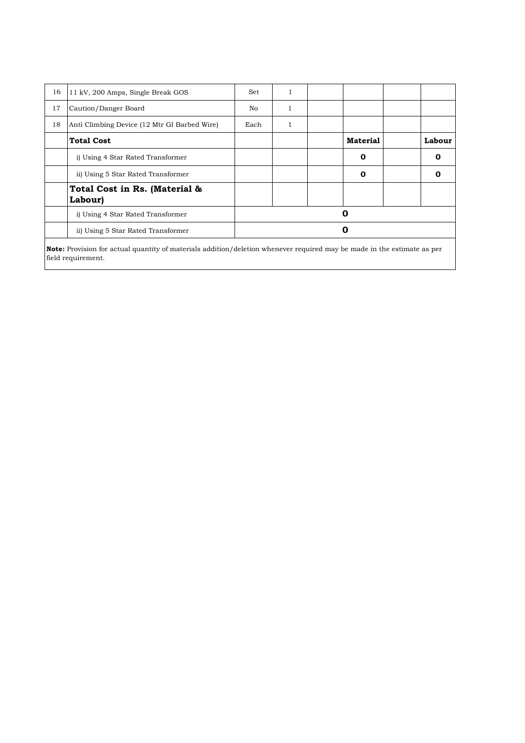| 16 | 11 kV, 200 Amps, Single Break GOS                                                                                              | Set  |  |                 |        |
|----|--------------------------------------------------------------------------------------------------------------------------------|------|--|-----------------|--------|
| 17 | Caution/Danger Board                                                                                                           | No   |  |                 |        |
| 18 | Anti Climbing Device (12 Mtr GI Barbed Wire)                                                                                   | Each |  |                 |        |
|    | <b>Total Cost</b>                                                                                                              |      |  | <b>Material</b> | Labour |
|    | i) Using 4 Star Rated Transformer                                                                                              |      |  | 0               | 0      |
|    | ii) Using 5 Star Rated Transformer                                                                                             |      |  | 0               | Λ      |
|    | Total Cost in Rs. (Material &<br>Labour)                                                                                       |      |  |                 |        |
|    | i) Using 4 Star Rated Transformer                                                                                              |      |  | Ο               |        |
|    | ii) Using 5 Star Rated Transformer                                                                                             |      |  | 0               |        |
|    | <b>Note:</b> Provision for actual quantity of materials addition/deletion whenever required may be made in the estimate as per |      |  |                 |        |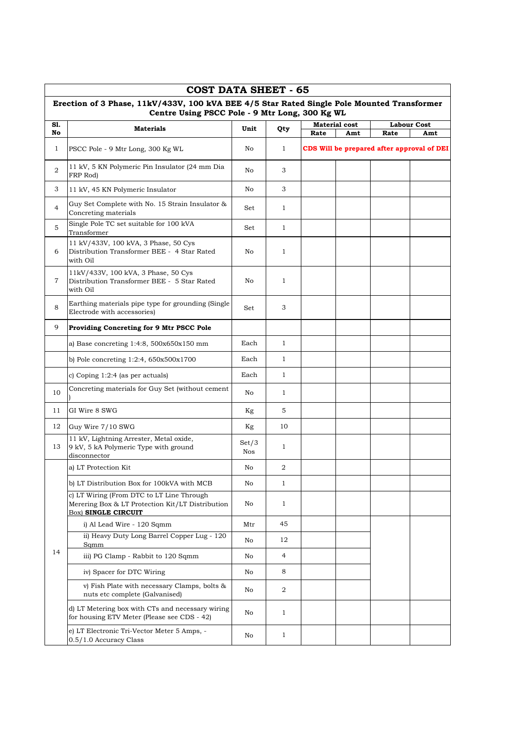|                | <b>COST DATA SHEET - 65</b>                                                                                                                  |              |                |      |                             |                                            |                           |
|----------------|----------------------------------------------------------------------------------------------------------------------------------------------|--------------|----------------|------|-----------------------------|--------------------------------------------|---------------------------|
|                | Erection of 3 Phase, 11kV/433V, 100 kVA BEE 4/5 Star Rated Single Pole Mounted Transformer<br>Centre Using PSCC Pole - 9 Mtr Long, 300 Kg WL |              |                |      |                             |                                            |                           |
| S1.<br>No      | <b>Materials</b>                                                                                                                             | Unit         | Qty            | Rate | <b>Material cost</b><br>Amt | Rate                                       | <b>Labour Cost</b><br>Amt |
| $\mathbf{1}$   | PSCC Pole - 9 Mtr Long, 300 Kg WL                                                                                                            | No           | $\mathbf{1}$   |      |                             | CDS Will be prepared after approval of DEI |                           |
| $\overline{2}$ | 11 kV, 5 KN Polymeric Pin Insulator (24 mm Dia<br>FRP Rod)                                                                                   | No           | 3              |      |                             |                                            |                           |
| 3              | 11 kV, 45 KN Polymeric Insulator                                                                                                             | No           | 3              |      |                             |                                            |                           |
| $\overline{4}$ | Guy Set Complete with No. 15 Strain Insulator &<br>Concreting materials                                                                      | Set          | $\mathbf{1}$   |      |                             |                                            |                           |
| 5              | Single Pole TC set suitable for 100 kVA<br>Transformer                                                                                       | Set          | $\mathbf{1}$   |      |                             |                                            |                           |
| 6              | 11 kV/433V, 100 kVA, 3 Phase, 50 Cys<br>Distribution Transformer BEE - 4 Star Rated<br>with Oil                                              | No           | $\mathbf{1}$   |      |                             |                                            |                           |
| 7              | 11kV/433V, 100 kVA, 3 Phase, 50 Cys<br>Distribution Transformer BEE - 5 Star Rated<br>with Oil                                               | No           | 1              |      |                             |                                            |                           |
| 8              | Earthing materials pipe type for grounding (Single<br>Electrode with accessories)                                                            | Set          | 3              |      |                             |                                            |                           |
| 9              | Providing Concreting for 9 Mtr PSCC Pole                                                                                                     |              |                |      |                             |                                            |                           |
|                | a) Base concreting 1:4:8, 500x650x150 mm                                                                                                     | Each         | $\mathbf{1}$   |      |                             |                                            |                           |
|                | b) Pole concreting $1:2:4$ , $650x500x1700$                                                                                                  | Each         | $\mathbf{1}$   |      |                             |                                            |                           |
|                | c) Coping $1:2:4$ (as per actuals)                                                                                                           | Each         | $\mathbf{1}$   |      |                             |                                            |                           |
| 10             | Concreting materials for Guy Set (without cement                                                                                             | No           | $\mathbf{1}$   |      |                             |                                            |                           |
| 11             | GI Wire 8 SWG                                                                                                                                | Kg           | 5              |      |                             |                                            |                           |
| 12             | Guy Wire 7/10 SWG                                                                                                                            | Kg           | 10             |      |                             |                                            |                           |
| 13             | 11 kV, Lightning Arrester, Metal oxide,<br>9 kV, 5 kA Polymeric Type with ground<br>disconnector                                             | Set/3<br>Nos | $\mathbf{1}$   |      |                             |                                            |                           |
|                | a) LT Protection Kit                                                                                                                         | No           | $\overline{a}$ |      |                             |                                            |                           |
|                | b) LT Distribution Box for 100kVA with MCB                                                                                                   | No           | $\mathbf{1}$   |      |                             |                                            |                           |
|                | c) LT Wiring (From DTC to LT Line Through<br>Merering Box & LT Protection Kit/LT Distribution<br><b>Box) SINGLE CIRCUIT</b>                  | No           | $\mathbf{1}$   |      |                             |                                            |                           |
|                | i) Al Lead Wire - 120 Sqmm                                                                                                                   | Mtr          | 45             |      |                             |                                            |                           |
|                | ii) Heavy Duty Long Barrel Copper Lug - 120<br>Sqmm                                                                                          | No           | 12             |      |                             |                                            |                           |
| 14             | iii) PG Clamp - Rabbit to 120 Sqmm                                                                                                           | No           | $\overline{4}$ |      |                             |                                            |                           |
|                | iv) Spacer for DTC Wiring                                                                                                                    | No           | 8              |      |                             |                                            |                           |
|                | v) Fish Plate with necessary Clamps, bolts &<br>nuts etc complete (Galvanised)                                                               | No           | 2              |      |                             |                                            |                           |
|                | d) LT Metering box with CTs and necessary wiring<br>for housing ETV Meter (Please see CDS - 42)                                              | No           | $\mathbf{1}$   |      |                             |                                            |                           |
|                | e) LT Electronic Tri-Vector Meter 5 Amps, -<br>0.5/1.0 Accuracy Class                                                                        | No           | 1              |      |                             |                                            |                           |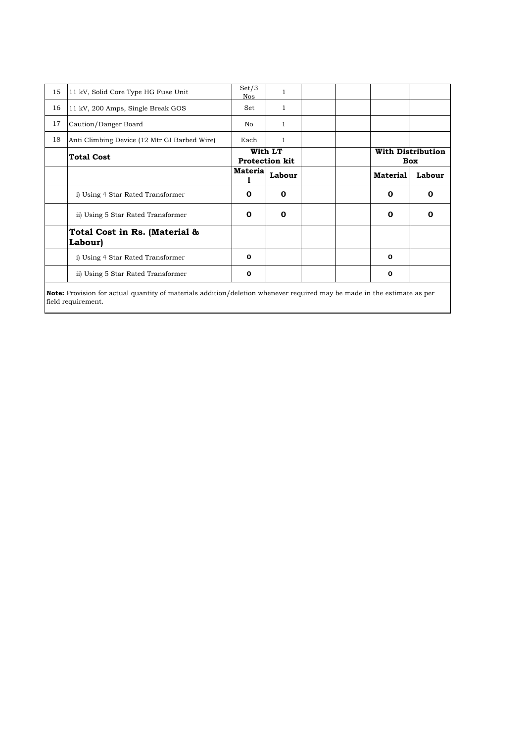| 15 | 11 kV, Solid Core Type HG Fuse Unit          | Set/3<br>Nos   | 1                                |  |                 |                                 |
|----|----------------------------------------------|----------------|----------------------------------|--|-----------------|---------------------------------|
| 16 | 11 kV, 200 Amps, Single Break GOS            | Set            | 1                                |  |                 |                                 |
| 17 | Caution/Danger Board                         | No             |                                  |  |                 |                                 |
| 18 | Anti Climbing Device (12 Mtr GI Barbed Wire) | Each           |                                  |  |                 |                                 |
|    | <b>Total Cost</b>                            |                | With LT<br><b>Protection kit</b> |  |                 | <b>With Distribution</b><br>Box |
|    |                                              | <b>Materia</b> | Labour                           |  | <b>Material</b> | Labour                          |
|    | i) Using 4 Star Rated Transformer            | $\Omega$       | $\Omega$                         |  | 0               | O                               |
|    | ii) Using 5 Star Rated Transformer           | $\Omega$       | 0                                |  | $\Omega$        | n                               |
|    | Total Cost in Rs. (Material &<br>Labour)     |                |                                  |  |                 |                                 |
|    | i) Using 4 Star Rated Transformer            | 0              |                                  |  | $\Omega$        |                                 |
|    | ii) Using 5 Star Rated Transformer           | 0              |                                  |  | 0               |                                 |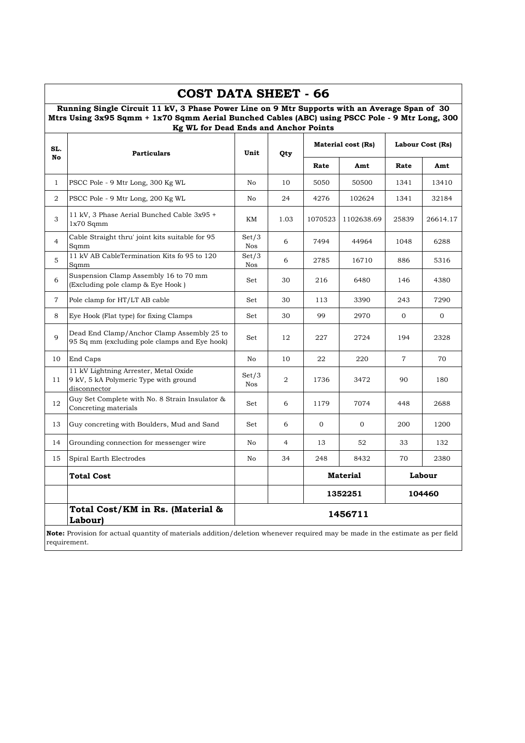|                | Running Single Circuit 11 kV, 3 Phase Power Line on 9 Mtr Supports with an Average Span of 30<br>Mtrs Using 3x95 Sqmm + 1x70 Sqmm Aerial Bunched Cables (ABC) using PSCC Pole - 9 Mtr Long, 300<br>Kg WL for Dead Ends and Anchor Points |                               |                |              |                    |                  |                |
|----------------|------------------------------------------------------------------------------------------------------------------------------------------------------------------------------------------------------------------------------------------|-------------------------------|----------------|--------------|--------------------|------------------|----------------|
| SL.<br>No      | <b>Particulars</b>                                                                                                                                                                                                                       | Unit                          | Qty            |              | Material cost (Rs) | Labour Cost (Rs) |                |
|                |                                                                                                                                                                                                                                          |                               |                | Rate         | Amt                | Rate             | Amt            |
| 1              | PSCC Pole - 9 Mtr Long, 300 Kg WL                                                                                                                                                                                                        | No                            | 10             | 5050         | 50500              | 1341             | 13410          |
| 2              | PSCC Pole - 9 Mtr Long, 200 Kg WL                                                                                                                                                                                                        | No                            | 24             | 4276         | 102624             | 1341             | 32184          |
| 3              | 11 kV, 3 Phase Aerial Bunched Cable 3x95 +<br>$1x70$ Sqmm                                                                                                                                                                                | KM                            | 1.03           | 1070523      | 1102638.69         | 25839            | 26614.17       |
| $\overline{4}$ | Cable Straight thru' joint kits suitable for 95<br>Sqmm                                                                                                                                                                                  | Set/3<br>Nos                  | 6              | 7494         | 44964              | 1048             | 6288           |
| 5              | 11 kV AB CableTermination Kits fo 95 to 120<br>Sqmm                                                                                                                                                                                      | Set/3<br>Nos                  | 6              | 2785         | 16710              | 886              | 5316           |
| 6              | Suspension Clamp Assembly 16 to 70 mm<br>(Excluding pole clamp & Eye Hook)                                                                                                                                                               | Set                           | 30             | 216          | 6480               | 146              | 4380           |
| $\overline{7}$ | Pole clamp for HT/LT AB cable                                                                                                                                                                                                            | Set                           | 30             | 113          | 3390               | 243              | 7290           |
| 8              | Eye Hook (Flat type) for fixing Clamps                                                                                                                                                                                                   | Set                           | 30             | 99           | 2970               | $\mathbf 0$      | $\overline{0}$ |
| 9              | Dead End Clamp/Anchor Clamp Assembly 25 to<br>95 Sq mm (excluding pole clamps and Eye hook)                                                                                                                                              | Set                           | 12             | 227          | 2724               | 194              | 2328           |
| 10             | End Caps                                                                                                                                                                                                                                 | No                            | 10             | 22           | 220                | $\overline{7}$   | 70             |
| 11             | 11 kV Lightning Arrester, Metal Oxide<br>9 kV, 5 kA Polymeric Type with ground<br>disconnector                                                                                                                                           | $\operatorname{Set}/3$<br>Nos | 2              | 1736         | 3472               | 90               | 180            |
| 12             | Guy Set Complete with No. 8 Strain Insulator &<br>Concreting materials                                                                                                                                                                   | Set                           | 6              | 1179         | 7074               | 448              | 2688           |
| 13             | Guy concreting with Boulders, Mud and Sand                                                                                                                                                                                               | Set                           | 6              | $\mathbf{0}$ | $\mathbf{0}$       | 200              | 1200           |
| 14             | Grounding connection for messenger wire                                                                                                                                                                                                  | No                            | $\overline{4}$ | 13           | 52                 | 33               | 132            |
| 15             | Spiral Earth Electrodes                                                                                                                                                                                                                  | No                            | 34             | 248          | 8432               | 70               | 2380           |
|                | <b>Total Cost</b>                                                                                                                                                                                                                        |                               |                |              | <b>Material</b>    |                  | Labour         |
|                |                                                                                                                                                                                                                                          |                               |                |              | 1352251            |                  | 104460         |
|                | Total Cost/KM in Rs. (Material &<br>Labour)                                                                                                                                                                                              |                               |                |              | 1456711            |                  |                |

## **COST DATA SHEET - 66**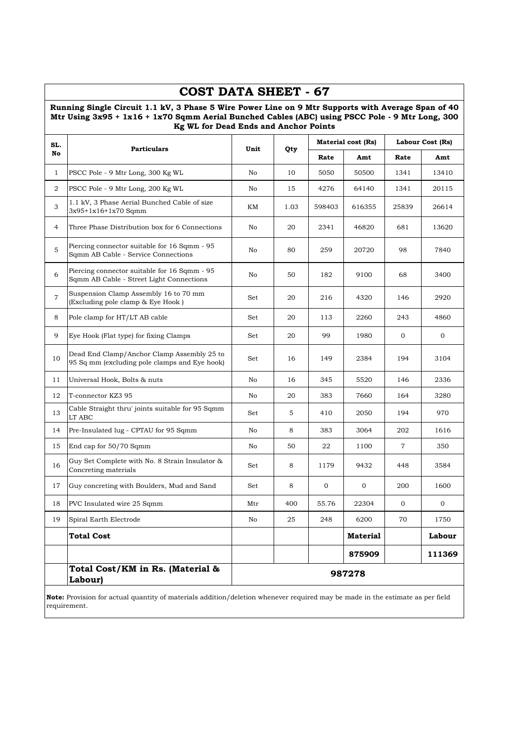|                | COST DATA SHEET - 67                                                                                                                                                                                                                                  |      |      |        |                           |                |                  |
|----------------|-------------------------------------------------------------------------------------------------------------------------------------------------------------------------------------------------------------------------------------------------------|------|------|--------|---------------------------|----------------|------------------|
|                | Running Single Circuit 1.1 kV, 3 Phase 5 Wire Power Line on 9 Mtr Supports with Average Span of 40<br>Mtr Using 3x95 + 1x16 + 1x70 Sqmm Aerial Bunched Cables (ABC) using PSCC Pole - 9 Mtr Long, 300<br><b>Kg WL for Dead Ends and Anchor Points</b> |      |      |        |                           |                |                  |
| SL.            | <b>Particulars</b>                                                                                                                                                                                                                                    | Unit |      |        | <b>Material cost (Rs)</b> |                | Labour Cost (Rs) |
| No             |                                                                                                                                                                                                                                                       |      | Qty  | Rate   | Amt                       | Rate           | Amt              |
| $\mathbf{1}$   | PSCC Pole - 9 Mtr Long, 300 Kg WL                                                                                                                                                                                                                     | No   | 10   | 5050   | 50500                     | 1341           | 13410            |
| $\overline{2}$ | PSCC Pole - 9 Mtr Long, 200 Kg WL                                                                                                                                                                                                                     | No   | 15   | 4276   | 64140                     | 1341           | 20115            |
| 3              | 1.1 kV, 3 Phase Aerial Bunched Cable of size<br>3x95+1x16+1x70 Sqmm                                                                                                                                                                                   | KM   | 1.03 | 598403 | 616355                    | 25839          | 26614            |
| 4              | Three Phase Distribution box for 6 Connections                                                                                                                                                                                                        | No   | 20   | 2341   | 46820                     | 681            | 13620            |
| 5              | Piercing connector suitable for 16 Sqmm - 95<br>Sqmm AB Cable - Service Connections                                                                                                                                                                   | No   | 80   | 259    | 20720                     | 98             | 7840             |
| 6              | Piercing connector suitable for 16 Sqmm - 95<br>Sqmm AB Cable - Street Light Connections                                                                                                                                                              | No   | 50   | 182    | 9100                      | 68             | 3400             |
| $\overline{7}$ | Suspension Clamp Assembly 16 to 70 mm<br>(Excluding pole clamp & Eye Hook)                                                                                                                                                                            | Set  | 20   | 216    | 4320                      | 146            | 2920             |
| 8              | Pole clamp for HT/LT AB cable                                                                                                                                                                                                                         | Set  | 20   | 113    | 2260                      | 243            | 4860             |
| 9              | Eye Hook (Flat type) for fixing Clamps                                                                                                                                                                                                                | Set  | 20   | 99     | 1980                      | $\mathbf 0$    | 0                |
| 10             | Dead End Clamp/Anchor Clamp Assembly 25 to<br>95 Sq mm (excluding pole clamps and Eye hook)                                                                                                                                                           | Set  | 16   | 149    | 2384                      | 194            | 3104             |
| 11             | Universal Hook, Bolts & nuts                                                                                                                                                                                                                          | No   | 16   | 345    | 5520                      | 146            | 2336             |
| 12             | T-connector KZ3 95                                                                                                                                                                                                                                    | No   | 20   | 383    | 7660                      | 164            | 3280             |
| 13             | Cable Straight thru' joints suitable for 95 Sqmm<br>LT ABC                                                                                                                                                                                            | Set  | 5    | 410    | 2050                      | 194            | 970              |
| 14             | Pre-Insulated lug - CPTAU for 95 Sqmm                                                                                                                                                                                                                 | No   | 8    | 383    | 3064                      | 202            | 1616             |
| 15             | End cap for 50/70 Sqmm                                                                                                                                                                                                                                | No   | 50   | 22     | 1100                      | $\overline{7}$ | 350              |
| 16             | Guy Set Complete with No. 8 Strain Insulator &<br>Concreting materials                                                                                                                                                                                | Set  | 8    | 1179   | 9432                      | 448            | 3584             |
| 17             | Guy concreting with Boulders, Mud and Sand                                                                                                                                                                                                            | Set  | 8    | 0      | 0                         | 200            | 1600             |
| 18             | PVC Insulated wire 25 Sqmm                                                                                                                                                                                                                            | Mtr  | 400  | 55.76  | 22304                     | $\overline{0}$ | $\overline{0}$   |
| 19             | Spiral Earth Electrode                                                                                                                                                                                                                                | No   | 25   | 248    | 6200                      | 70             | 1750             |
|                | <b>Total Cost</b>                                                                                                                                                                                                                                     |      |      |        | <b>Material</b>           |                | Labour           |
|                |                                                                                                                                                                                                                                                       |      |      |        | 875909                    |                | 111369           |
|                | Total Cost/KM in Rs. (Material &<br>Labour)                                                                                                                                                                                                           |      |      |        | 987278                    |                |                  |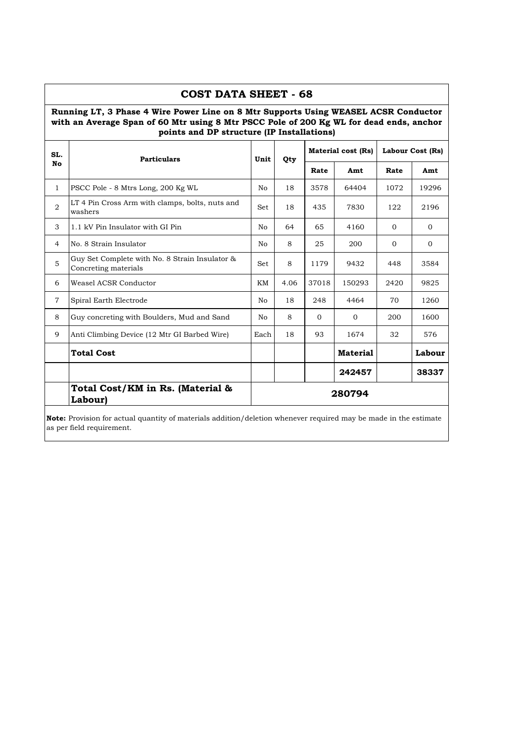|                | <b>COST DATA SHEET - 68</b>                                                                                                                                                                                                  |      |      |          |                           |          |                         |
|----------------|------------------------------------------------------------------------------------------------------------------------------------------------------------------------------------------------------------------------------|------|------|----------|---------------------------|----------|-------------------------|
|                | Running LT, 3 Phase 4 Wire Power Line on 8 Mtr Supports Using WEASEL ACSR Conductor<br>with an Average Span of 60 Mtr using 8 Mtr PSCC Pole of 200 Kg WL for dead ends, anchor<br>points and DP structure (IP Installations) |      |      |          |                           |          |                         |
| SL.            | <b>Particulars</b>                                                                                                                                                                                                           | Unit | Qty  |          | <b>Material cost (Rs)</b> |          | <b>Labour Cost (Rs)</b> |
| No             |                                                                                                                                                                                                                              |      |      | Rate     | Amt                       | Rate     | Amt                     |
| $\mathbf{1}$   | PSCC Pole - 8 Mtrs Long, 200 Kg WL                                                                                                                                                                                           | No.  | 18   | 3578     | 64404                     | 1072     | 19296                   |
| $\overline{2}$ | LT 4 Pin Cross Arm with clamps, bolts, nuts and<br>washers                                                                                                                                                                   | Set. | 18   | 435      | 7830                      | 122      | 2196                    |
| 3              | 1.1 kV Pin Insulator with GI Pin                                                                                                                                                                                             | No   | 64   | 65       | 4160                      | $\Omega$ | $\Omega$                |
| $\overline{4}$ | No. 8 Strain Insulator                                                                                                                                                                                                       | No   | 8    | 25       | 200                       | $\Omega$ | $\Omega$                |
| 5              | Guy Set Complete with No. 8 Strain Insulator &<br>Concreting materials                                                                                                                                                       | Set  | 8    | 1179     | 9432                      | 448      | 3584                    |
| 6              | Weasel ACSR Conductor                                                                                                                                                                                                        | KM   | 4.06 | 37018    | 150293                    | 2420     | 9825                    |
| $\overline{7}$ | Spiral Earth Electrode                                                                                                                                                                                                       | No   | 18   | 248      | 4464                      | 70       | 1260                    |
| 8              | Guy concreting with Boulders, Mud and Sand                                                                                                                                                                                   | No   | 8    | $\Omega$ | $\Omega$                  | 200      | 1600                    |
| 9              | Anti Climbing Device (12 Mtr GI Barbed Wire)                                                                                                                                                                                 | Each | 18   | 93       | 1674                      | 32       | 576                     |
|                | <b>Total Cost</b>                                                                                                                                                                                                            |      |      |          | <b>Material</b>           |          | Labour                  |
|                |                                                                                                                                                                                                                              |      |      |          | 242457                    |          | 38337                   |
|                | Total Cost/KM in Rs. (Material &<br>Labour)                                                                                                                                                                                  |      |      |          | 280794                    |          |                         |